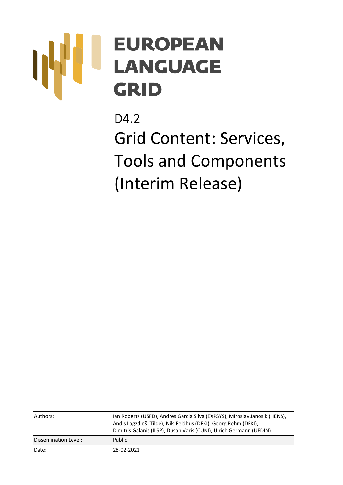# **EUROPEAN LANGUAGE GRID**

D4.2 Grid Content: Services, Tools and Components (Interim Release)

| Authors:             | Jan Roberts (USFD), Andres Garcia Silva (EXPSYS), Miroslav Janosik (HENS),<br>Andis Lagzdiņš (Tilde), Nils Feldhus (DFKI), Georg Rehm (DFKI),<br>Dimitris Galanis (ILSP), Dusan Varis (CUNI), Ulrich Germann (UEDIN) |
|----------------------|----------------------------------------------------------------------------------------------------------------------------------------------------------------------------------------------------------------------|
| Dissemination Level: | Public                                                                                                                                                                                                               |
| Date:                | 28-02-2021                                                                                                                                                                                                           |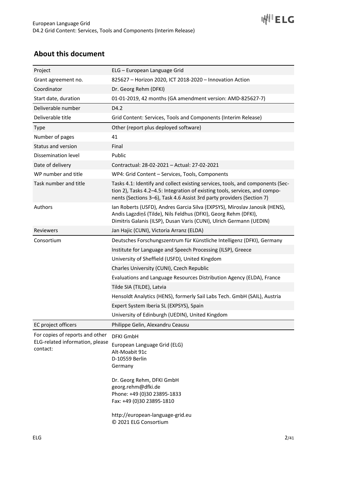# **About this document**

| Project                                                                        | ELG – European Language Grid                                                                                                                                                                                                                                                |
|--------------------------------------------------------------------------------|-----------------------------------------------------------------------------------------------------------------------------------------------------------------------------------------------------------------------------------------------------------------------------|
| Grant agreement no.                                                            | 825627 - Horizon 2020, ICT 2018-2020 - Innovation Action                                                                                                                                                                                                                    |
| Coordinator                                                                    | Dr. Georg Rehm (DFKI)                                                                                                                                                                                                                                                       |
| Start date, duration                                                           | 01-01-2019, 42 months (GA amendment version: AMD-825627-7)                                                                                                                                                                                                                  |
| Deliverable number                                                             | D4.2                                                                                                                                                                                                                                                                        |
| Deliverable title                                                              | Grid Content: Services, Tools and Components (Interim Release)                                                                                                                                                                                                              |
| <b>Type</b>                                                                    | Other (report plus deployed software)                                                                                                                                                                                                                                       |
| Number of pages                                                                | 41                                                                                                                                                                                                                                                                          |
| Status and version                                                             | Final                                                                                                                                                                                                                                                                       |
| Dissemination level                                                            | Public                                                                                                                                                                                                                                                                      |
| Date of delivery                                                               | Contractual: 28-02-2021 - Actual: 27-02-2021                                                                                                                                                                                                                                |
| WP number and title                                                            | WP4: Grid Content - Services, Tools, Components                                                                                                                                                                                                                             |
| Task number and title                                                          | Tasks 4.1: Identify and collect existing services, tools, and components (Sec-<br>tion 2), Tasks 4.2-4.5: Integration of existing tools, services, and compo-<br>nents (Sections 3–6), Task 4.6 Assist 3rd party providers (Section 7)                                      |
| Authors                                                                        | Ian Roberts (USFD), Andres Garcia Silva (EXPSYS), Miroslav Janosik (HENS),<br>Andis Lagzdiņš (Tilde), Nils Feldhus (DFKI), Georg Rehm (DFKI),<br>Dimitris Galanis (ILSP), Dusan Varis (CUNI), Ulrich Germann (UEDIN)                                                        |
| Reviewers                                                                      | Jan Hajic (CUNI), Victoria Arranz (ELDA)                                                                                                                                                                                                                                    |
| Consortium                                                                     | Deutsches Forschungszentrum für Künstliche Intelligenz (DFKI), Germany                                                                                                                                                                                                      |
|                                                                                | Institute for Language and Speech Processing (ILSP), Greece                                                                                                                                                                                                                 |
|                                                                                | University of Sheffield (USFD), United Kingdom                                                                                                                                                                                                                              |
|                                                                                | Charles University (CUNI), Czech Republic                                                                                                                                                                                                                                   |
|                                                                                | Evaluations and Language Resources Distribution Agency (ELDA), France                                                                                                                                                                                                       |
|                                                                                | Tilde SIA (TILDE), Latvia                                                                                                                                                                                                                                                   |
|                                                                                | Hensoldt Analytics (HENS), formerly Sail Labs Tech. GmbH (SAIL), Austria                                                                                                                                                                                                    |
|                                                                                | Expert System Iberia SL (EXPSYS), Spain                                                                                                                                                                                                                                     |
|                                                                                | University of Edinburgh (UEDIN), United Kingdom                                                                                                                                                                                                                             |
| EC project officers                                                            | Philippe Gelin, Alexandru Ceausu                                                                                                                                                                                                                                            |
| For copies of reports and other<br>ELG-related information, please<br>contact: | <b>DFKI GmbH</b><br>European Language Grid (ELG)<br>Alt-Moabit 91c<br>D-10559 Berlin<br>Germany<br>Dr. Georg Rehm, DFKI GmbH<br>georg.rehm@dfki.de<br>Phone: +49 (0)30 23895-1833<br>Fax: +49 (0)30 23895-1810<br>http://european-language-grid.eu<br>© 2021 ELG Consortium |

**WILELG**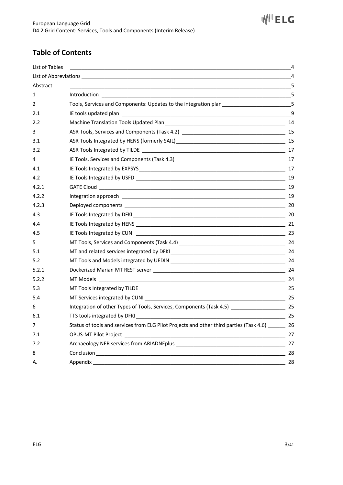# **Table of Contents**

| List of Tables | ,我们也不能在这里的人,我们也不能在这里的人,我们也不能在这里的人,我们也不能在这里的人,我们也不能在这里的人,我们也不能在这里的人,我们也不能在这里的人,我们也                                                                                                                                              | 4              |
|----------------|--------------------------------------------------------------------------------------------------------------------------------------------------------------------------------------------------------------------------------|----------------|
|                |                                                                                                                                                                                                                                | $\overline{4}$ |
| Abstract       |                                                                                                                                                                                                                                |                |
| 1              |                                                                                                                                                                                                                                |                |
| 2              | Tools, Services and Components: Updates to the integration plan _______________________5                                                                                                                                       |                |
| 2.1            |                                                                                                                                                                                                                                | 9              |
| 2.2            |                                                                                                                                                                                                                                |                |
| 3              |                                                                                                                                                                                                                                |                |
| 3.1            |                                                                                                                                                                                                                                |                |
| 3.2            |                                                                                                                                                                                                                                |                |
| 4              |                                                                                                                                                                                                                                |                |
| 4.1            |                                                                                                                                                                                                                                |                |
| 4.2            |                                                                                                                                                                                                                                |                |
| 4.2.1          |                                                                                                                                                                                                                                |                |
| 4.2.2          |                                                                                                                                                                                                                                |                |
| 4.2.3          |                                                                                                                                                                                                                                |                |
| 4.3            |                                                                                                                                                                                                                                |                |
| 4.4            |                                                                                                                                                                                                                                |                |
| 4.5            |                                                                                                                                                                                                                                |                |
| 5              |                                                                                                                                                                                                                                |                |
| 5.1            |                                                                                                                                                                                                                                |                |
| 5.2            |                                                                                                                                                                                                                                |                |
| 5.2.1          |                                                                                                                                                                                                                                |                |
| 5.2.2          | MT Models                                                                                                                                                                                                                      |                |
| 5.3            |                                                                                                                                                                                                                                |                |
| 5.4            |                                                                                                                                                                                                                                |                |
| 6              | Integration of other Types of Tools, Services, Components (Task 4.5) _________________________ 25                                                                                                                              |                |
| 6.1            | TTS tools integrated by DFKI LAND CONTROL CONTROL CONTROL CONTROL CONTROL CONTROL CONTROL CONTROL CONTROL CONTROL CONTROL CONTROL CONTROL CONTROL CONTROL CONTROL CONTROL CONTROL CONTROL CONTROL CONTROL CONTROL CONTROL CONT |                |
| $\overline{7}$ | Status of tools and services from ELG Pilot Projects and other third parties (Task 4.6) _______ 26                                                                                                                             |                |
| 7.1            |                                                                                                                                                                                                                                | 27             |
| 7.2            |                                                                                                                                                                                                                                | 27             |
| 8              |                                                                                                                                                                                                                                | 28             |
| А.             |                                                                                                                                                                                                                                | 28             |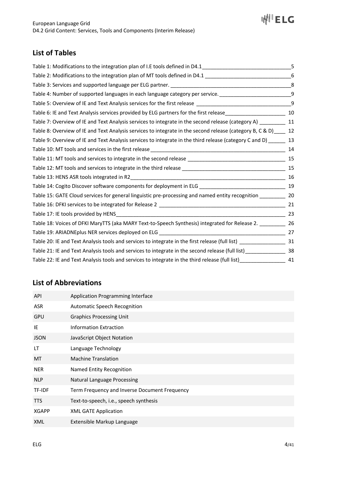

# **List of Tables**

| Table 1: Modifications to the integration plan of I.E tools defined in D4.1_________________________                                                              | 5   |
|-------------------------------------------------------------------------------------------------------------------------------------------------------------------|-----|
| Table 2: Modifications to the integration plan of MT tools defined in D4.1 __________________________________                                                     | -6  |
|                                                                                                                                                                   | 8   |
| Table 4: Number of supported languages in each language category per service. [188] Table 4: Number of supported languages in each language category per service. | 9   |
|                                                                                                                                                                   | 9   |
| Table 6: IE and Text Analysis services provided by ELG partners for the first release________________________                                                     | 10  |
| Table 7: Overview of IE and Text Analysis services to integrate in the second release (category A) _________ 11                                                   |     |
| Table 8: Overview of IE and Text Analysis services to integrate in the second release (category B, C & D) ____ 12                                                 |     |
| Table 9: Overview of IE and Text Analysis services to integrate in the third release (category C and D) ______ 13                                                 |     |
|                                                                                                                                                                   | 14  |
|                                                                                                                                                                   | 15  |
|                                                                                                                                                                   |     |
|                                                                                                                                                                   |     |
| Table 14: Cogito Discover software components for deployment in ELG ________________________________                                                              | 19  |
| Table 15: GATE Cloud services for general linguistic pre-processing and named entity recognition _____________ 20                                                 |     |
|                                                                                                                                                                   | 21  |
|                                                                                                                                                                   | 23  |
| Table 18: Voices of DFKI MaryTTS (aka MARY Text-to-Speech Synthesis) integrated for Release 2. __________ 26                                                      |     |
|                                                                                                                                                                   |     |
| Table 20: IE and Text Analysis tools and services to integrate in the first release (full list) ____________________ 31                                           |     |
| Table 21: IE and Text Analysis tools and services to integrate in the second release (full list) _______________________38                                        |     |
| Table 22: IE and Text Analysis tools and services to integrate in the third release (full list)_______________                                                    | -41 |

# **List of Abbreviations**

| Application Programming Interface             |
|-----------------------------------------------|
| <b>Automatic Speech Recognition</b>           |
| <b>Graphics Processing Unit</b>               |
| <b>Information Extraction</b>                 |
| JavaScript Object Notation                    |
| Language Technology                           |
| <b>Machine Translation</b>                    |
| Named Entity Recognition                      |
| Natural Language Processing                   |
| Term Frequency and Inverse Document Frequency |
| Text-to-speech, i.e., speech synthesis        |
| <b>XML GATE Application</b>                   |
| Extensible Markup Language                    |
|                                               |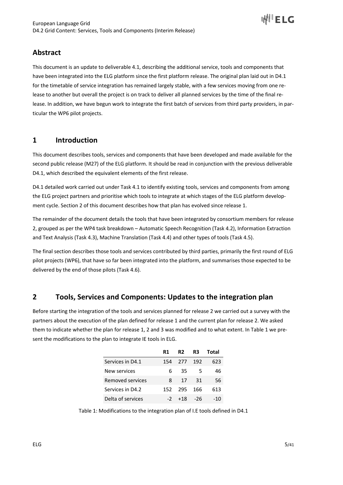

# **Abstract**

This document is an update to deliverable 4.1, describing the additional service, tools and components that have been integrated into the ELG platform since the first platform release. The original plan laid out in D4.1 for the timetable of service integration has remained largely stable, with a few services moving from one release to another but overall the project is on track to deliver all planned services by the time of the final release. In addition, we have begun work to integrate the first batch of services from third party providers, in particular the WP6 pilot projects.

# **1 Introduction**

This document describes tools, services and components that have been developed and made available for the second public release (M27) of the ELG platform. It should be read in conjunction with the previous deliverable D4.1, which described the equivalent elements of the first release.

D4.1 detailed work carried out under Task 4.1 to identify existing tools, services and components from among the ELG project partners and prioritise which tools to integrate at which stages of the ELG platform development cycle. Section 2 of this document describes how that plan has evolved since release 1.

The remainder of the document details the tools that have been integrated by consortium members for release 2, grouped as per the WP4 task breakdown – Automatic Speech Recognition (Task 4.2), Information Extraction and Text Analysis (Task 4.3), Machine Translation (Task 4.4) and other types of tools (Task 4.5).

The final section describes those tools and services contributed by third parties, primarily the first round of ELG pilot projects (WP6), that have so far been integrated into the platform, and summarises those expected to be delivered by the end of those pilots (Task 4.6).

# **2 Tools, Services and Components: Updates to the integration plan**

Before starting the integration of the tools and services planned for release 2 we carried out a survey with the partners about the execution of the plan defined for release 1 and the current plan for release 2. We asked them to indicate whether the plan for release 1, 2 and 3 was modified and to what extent. In Table 1 we present the modifications to the plan to integrate IE tools in ELG.

|                   | R1   | R <sub>2</sub> | R3    | Total |
|-------------------|------|----------------|-------|-------|
| Services in D4.1  | 154  | -277           | - 192 | 623   |
| New services      | 6    | 35             | .5    | 46    |
| Removed services  | 8    | 17             | -31   | 56    |
| Services in D4.2  | 152. | - 295          | 166   | 613   |
| Delta of services | $-2$ | $+18$          | -26   | -10   |

Table 1: Modifications to the integration plan of I.E tools defined in D4.1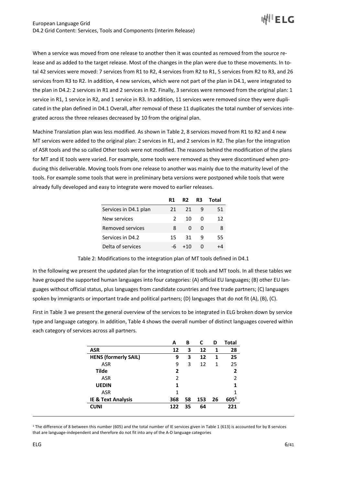

When a service was moved from one release to another then it was counted as removed from the source release and as added to the target release. Most of the changes in the plan were due to these movements. In total 42 services were moved: 7 services from R1 to R2, 4 services from R2 to R1, 5 services from R2 to R3, and 26 services from R3 to R2. In addition, 4 new services, which were not part of the plan in D4.1, were integrated to the plan in D4.2: 2 services in R1 and 2 services in R2. Finally, 3 services were removed from the original plan: 1 service in R1, 1 service in R2, and 1 service in R3. In addition, 11 services were removed since they were duplicated in the plan defined in D4.1 Overall, after removal of these 11 duplicates the total number of services integrated across the three releases decreased by 10 from the original plan.

Machine Translation plan was less modified. As shown in Table 2, 8 services moved from R1 to R2 and 4 new MT services were added to the original plan: 2 services in R1, and 2 services in R2. The plan for the integration of ASR tools and the so called Other tools were not modified. The reasons behind the modification of the plans for MT and IE tools were varied. For example, some tools were removed as they were discontinued when producing this deliverable. Moving tools from one release to another was mainly due to the maturity level of the tools. For example some tools that were in preliminary beta versions were postponed while tools that were already fully developed and easy to integrate were moved to earlier releases.

|                         | R1            | R <sub>2</sub> | R3 | Total |
|-------------------------|---------------|----------------|----|-------|
| Services in D4.1 plan   | 21            | 21             | q  | 51    |
| New services            | $\mathcal{P}$ | 10             | O  | 12    |
| <b>Removed services</b> | 8             | ŋ              | O  | 8     |
| Services in D4.2        | 15            | -31            | q  | 55    |
| Delta of services       |               | +10            |    |       |

Table 2: Modifications to the integration plan of MT tools defined in D4.1

In the following we present the updated plan for the integration of IE tools and MT tools. In all these tables we have grouped the supported human languages into four categories: (A) official EU languages; (B) other EU languages without official status, plus languages from candidate countries and free trade partners; (C) languages spoken by immigrants or important trade and political partners; (D) languages that do not fit (A), (B), (C).

First in Table 3 we present the general overview of the services to be integrated in ELG broken down by service type and language category. In addition, Table 4 shows the overall number of distinct languages covered within each category of services across all partners.

|                               | Α   | В  | C   | D  | Total          |
|-------------------------------|-----|----|-----|----|----------------|
| <b>ASR</b>                    | 12  | 3  | 12  | 1  | 28             |
| <b>HENS (formerly SAIL)</b>   | 9   | 3  | 12  | 1  | 25             |
| ASR                           | 9   | 3  | 12  | 1  | 25             |
| Tilde                         | 2   |    |     |    | $\overline{2}$ |
| ASR                           | 2   |    |     |    | $\overline{2}$ |
| <b>UEDIN</b>                  | 1   |    |     |    | 1              |
| ASR                           | 1   |    |     |    |                |
| <b>IE &amp; Text Analysis</b> | 368 | 58 | 153 | 26 | $605^{1}$      |
| <b>CUNI</b>                   | 122 | 35 | 64  |    | 221            |

<sup>1</sup> The difference of 8 between this number (605) and the total number of IE services given in Table 1 (613) is accounted for by 8 services that are language-independent and therefore do not fit into any of the A-D language categories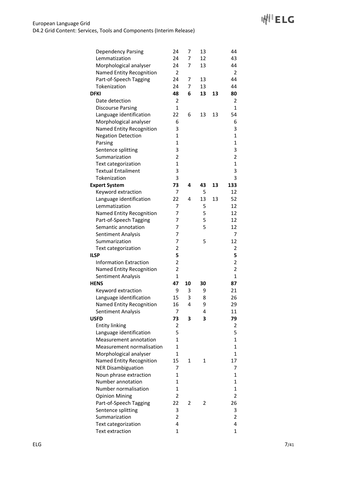| <b>Dependency Parsing</b>     | 24                      | 7  | 13 |    | 44                      |
|-------------------------------|-------------------------|----|----|----|-------------------------|
| Lemmatization                 | 24                      | 7  | 12 |    | 43                      |
| Morphological analyser        | 24                      | 7  | 13 |    | 44                      |
| Named Entity Recognition      | 2                       |    |    |    | 2                       |
| Part-of-Speech Tagging        | 24                      | 7  | 13 |    | 44                      |
| Tokenization                  | 24                      | 7  | 13 |    | 44                      |
| <b>DFKI</b>                   | 48                      | 6  | 13 | 13 | 80                      |
| Date detection                | 2                       |    |    |    | 2                       |
| <b>Discourse Parsing</b>      | $\mathbf{1}$            |    |    |    | 1                       |
| Language identification       | 22                      | 6  | 13 | 13 | 54                      |
| Morphological analyser        | 6                       |    |    |    | 6                       |
| Named Entity Recognition      | 3                       |    |    |    | 3                       |
| <b>Negation Detection</b>     | $\mathbf{1}$            |    |    |    | $\mathbf{1}$            |
| Parsing                       | $\mathbf 1$             |    |    |    | $\mathbf{1}$            |
| Sentence splitting            | 3                       |    |    |    | 3                       |
| Summarization                 | 2                       |    |    |    | $\overline{\mathbf{c}}$ |
| Text categorization           | $\mathbf{1}$            |    |    |    | $\mathbf 1$             |
| <b>Textual Entailment</b>     | 3                       |    |    |    | 3                       |
| Tokenization                  | 3                       |    |    |    | 3                       |
| <b>Expert System</b>          | 73                      | 4  | 43 | 13 | 133                     |
| Keyword extraction            | 7                       |    | 5  |    | 12                      |
| Language identification       | 22                      | 4  | 13 | 13 | 52                      |
| Lemmatization                 | 7                       |    | 5  |    | 12                      |
| Named Entity Recognition      | 7                       |    | 5  |    | 12                      |
| Part-of-Speech Tagging        | 7                       |    | 5  |    | 12                      |
| Semantic annotation           | 7                       |    | 5  |    | 12                      |
| Sentiment Analysis            | 7                       |    |    |    | 7                       |
| Summarization                 | 7                       |    | 5  |    | 12                      |
| Text categorization           | $\overline{2}$          |    |    |    | 2                       |
| <b>ILSP</b>                   | 5                       |    |    |    | 5                       |
| <b>Information Extraction</b> | 2                       |    |    |    | 2                       |
| Named Entity Recognition      | $\overline{\mathbf{c}}$ |    |    |    | 2                       |
| Sentiment Analysis            | $\mathbf{1}$            |    |    |    | $\mathbf{1}$            |
| <b>HENS</b>                   | 47                      | 10 | 30 |    | 87                      |
| Keyword extraction            | 9                       | 3  | 9  |    | 21                      |
| Language identification       | 15                      | 3  | 8  |    | 26                      |
| Named Entity Recognition      | 16                      | 4  | 9  |    | 29                      |
| Sentiment Analysis            | 7                       |    | 4  |    | 11                      |
| <b>USFD</b>                   | 73                      | 3  | 3  |    | 79                      |
| <b>Entity linking</b>         | 2                       |    |    |    | 2                       |
| Language identification       | 5                       |    |    |    | 5                       |
| Measurement annotation        | $\mathbf{1}$            |    |    |    | 1                       |
| Measurement normalisation     | $\mathbf{1}$            |    |    |    | 1                       |
| Morphological analyser        | 1                       |    |    |    | 1                       |
| Named Entity Recognition      | 15                      | 1  | 1  |    | 17                      |
| <b>NER Disambiguation</b>     | 7                       |    |    |    | 7                       |
| Noun phrase extraction        | 1                       |    |    |    | 1                       |
| Number annotation             | $\mathbf{1}$            |    |    |    | $\mathbf{1}$            |
| Number normalisation          | $\mathbf{1}$            |    |    |    | $\mathbf{1}$            |
| <b>Opinion Mining</b>         | 2                       |    |    |    | $\overline{2}$          |
| Part-of-Speech Tagging        | 22                      | 2  | 2  |    | 26                      |
| Sentence splitting            | 3                       |    |    |    | 3                       |
| Summarization                 | 2                       |    |    |    | 2                       |
| Text categorization           | 4                       |    |    |    | 4                       |
| Text extraction               | $\mathbf{1}$            |    |    |    | 1                       |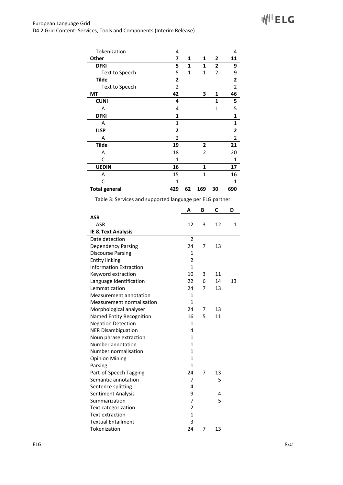| Tokenization         | 4              |    |                |              | 4              |
|----------------------|----------------|----|----------------|--------------|----------------|
| Other                | 7              | 1  | 1              | 2            | 11             |
| <b>DFKI</b>          | 5              | 1  | 1              | 2            | 9              |
| Text to Speech       | 5              | 1  | 1              | 2            | 9              |
| <b>Tilde</b>         | 2              |    |                |              | 2              |
| Text to Speech       | 2              |    |                |              | 2              |
| ΜT                   | 42             |    | 3              | 1            | 46             |
| <b>CUNI</b>          | 4              |    |                | 1            | 5              |
| Α                    | 4              |    |                | $\mathbf{1}$ | 5              |
| <b>DFKI</b>          | 1              |    |                |              | 1              |
| A                    | $\mathbf{1}$   |    |                |              | $\mathbf{1}$   |
| <b>ILSP</b>          | 2              |    |                |              | 2              |
| Α                    | $\overline{2}$ |    |                |              | $\overline{2}$ |
| <b>Tilde</b>         | 19             |    | 2              |              | 21             |
| Α                    | 18             |    | $\overline{2}$ |              | 20             |
| C                    | $\mathbf{1}$   |    |                |              | 1              |
| <b>UEDIN</b>         | 16             |    | 1              |              | 17             |
| A                    | 15             |    | 1              |              | 16             |
| C                    | 1              |    |                |              | 1              |
| <b>Total general</b> | 429            | 62 | 169            | 30           | 690            |

Table 3: Services and supported language per ELG partner.

|                               | A              | в | C  | D  |
|-------------------------------|----------------|---|----|----|
| <b>ASR</b>                    |                |   |    |    |
| ASR                           | 12             | 3 | 12 | 1  |
| <b>IE &amp; Text Analysis</b> |                |   |    |    |
| Date detection                | $\overline{2}$ |   |    |    |
| Dependency Parsing            | 24             | 7 | 13 |    |
| <b>Discourse Parsing</b>      | 1              |   |    |    |
| <b>Entity linking</b>         | $\overline{2}$ |   |    |    |
| <b>Information Extraction</b> | $\mathbf{1}$   |   |    |    |
| Keyword extraction            | 10             | 3 | 11 |    |
| Language identification       | 22             | 6 | 14 | 13 |
| Lemmatization                 | 24             | 7 | 13 |    |
| Measurement annotation        | 1              |   |    |    |
| Measurement normalisation     | $\mathbf{1}$   |   |    |    |
| Morphological analyser        | 24             | 7 | 13 |    |
| Named Entity Recognition      | 16             | 5 | 11 |    |
| <b>Negation Detection</b>     | 1              |   |    |    |
| <b>NER Disambiguation</b>     | 4              |   |    |    |
| Noun phrase extraction        | 1              |   |    |    |
| Number annotation             | 1              |   |    |    |
| Number normalisation          | $\mathbf{1}$   |   |    |    |
| <b>Opinion Mining</b>         | $\mathbf{1}$   |   |    |    |
| Parsing                       | 1              |   |    |    |
| Part-of-Speech Tagging        | 24             | 7 | 13 |    |
| Semantic annotation           | 7              |   | 5  |    |
| Sentence splitting            | 4              |   |    |    |
| <b>Sentiment Analysis</b>     | 9              |   | 4  |    |
| Summarization                 | $\overline{7}$ |   | 5  |    |
| Text categorization           | $\overline{2}$ |   |    |    |
| Text extraction               | $\mathbf{1}$   |   |    |    |
| <b>Textual Entailment</b>     | 3              |   |    |    |
| Tokenization                  | 24             | 7 | 13 |    |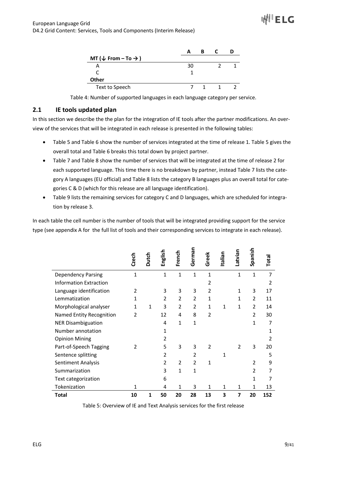| MT ( $\downarrow$ From – To $\rightarrow$ ) |    |  |  |
|---------------------------------------------|----|--|--|
|                                             | 30 |  |  |
|                                             |    |  |  |
| <b>Other</b>                                |    |  |  |
| Text to Speech                              |    |  |  |

Table 4: Number of supported languages in each language category per service.

# **2.1 IE tools updated plan**

In this section we describe the the plan for the integration of IE tools after the partner modifications. An overview of the services that will be integrated in each release is presented in the following tables:

- Table 5 and Table 6 show the number of services integrated at the time of release 1. Table 5 gives the overall total and Table 6 breaks this total down by project partner.
- Table 7 and Table 8 show the number of services that will be integrated at the time of release 2 for each supported language. This time there is no breakdown by partner, instead Table 7 lists the category A languages (EU official) and Table 8 lists the category B languages plus an overall total for categories C & D (which for this release are all language identification).
- Table 9 lists the remaining services for category C and D languages, which are scheduled for integration by release 3.

In each table the cell number is the number of tools that will be integrated providing support for the service type (see appendix A for the full list of tools and their corresponding services to integrate in each release).

|                               | Czech          | Dutch        | English        | French         | German         | Greek          | Italian | Latvian        | Spanish        | Total          |
|-------------------------------|----------------|--------------|----------------|----------------|----------------|----------------|---------|----------------|----------------|----------------|
| <b>Dependency Parsing</b>     | 1              |              | 1              | 1              | $\mathbf{1}$   | $\mathbf{1}$   |         | $\mathbf{1}$   | $\mathbf{1}$   | 7              |
| <b>Information Extraction</b> |                |              |                |                |                | 2              |         |                |                | $\overline{2}$ |
| Language identification       | 2              |              | 3              | 3              | 3              | $\overline{2}$ |         | 1              | 3              | 17             |
| Lemmatization                 | 1              |              | $\overline{2}$ | $\overline{2}$ | $\overline{2}$ | $\mathbf{1}$   |         | 1              | $\overline{2}$ | 11             |
| Morphological analyser        | 1              | $\mathbf{1}$ | 3              | $\overline{2}$ | $\overline{2}$ | $\mathbf{1}$   | 1       | 1              | $\overline{2}$ | 14             |
| Named Entity Recognition      | $\overline{2}$ |              | 12             | 4              | 8              | $\overline{2}$ |         |                | $\overline{2}$ | 30             |
| <b>NER Disambiguation</b>     |                |              | 4              | $\mathbf{1}$   | $\mathbf{1}$   |                |         |                | 1              | $\overline{7}$ |
| Number annotation             |                |              | 1              |                |                |                |         |                |                | 1              |
| <b>Opinion Mining</b>         |                |              | $\overline{2}$ |                |                |                |         |                |                | $\mathfrak z$  |
| Part-of-Speech Tagging        | $\mathfrak z$  |              | 5              | 3              | 3              | $\overline{2}$ |         | $\overline{2}$ | 3              | 20             |
| Sentence splitting            |                |              | 2              |                | 2              |                | 1       |                |                | 5              |
| Sentiment Analysis            |                |              | $\overline{2}$ | $\overline{2}$ | $\overline{2}$ | 1              |         |                | 2              | 9              |
| Summarization                 |                |              | 3              | $\mathbf{1}$   | $\mathbf{1}$   |                |         |                | 2              | 7              |
| Text categorization           |                |              | 6              |                |                |                |         |                | 1              | 7              |
| Tokenization                  | 1              |              | 4              | 1              | 3              | 1              | 1       | 1              | 1              | 13             |
| <b>Total</b>                  | 10             | 1            | 50             | 20             | 28             | 13             | 3       | 7              | 20             | 152            |

Table 5: Overview of IE and Text Analysis services for the first release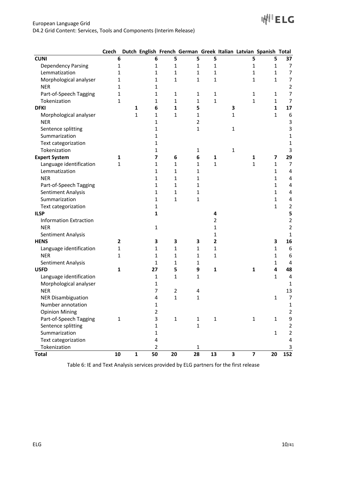|                               | Czech          |              |                |                |                |                |   |                         | Dutch English French German Greek Italian Latvian Spanish Total |                         |
|-------------------------------|----------------|--------------|----------------|----------------|----------------|----------------|---|-------------------------|-----------------------------------------------------------------|-------------------------|
| <b>CUNI</b>                   | 6              |              | 6              | 5              | 5              | 5              |   | 5                       | 5                                                               | 37                      |
| <b>Dependency Parsing</b>     | 1              |              | 1              | 1              | 1              | $\mathbf 1$    |   | 1                       | 1                                                               | $\overline{7}$          |
| Lemmatization                 | 1              |              | 1              | 1              | 1              | $\mathbf 1$    |   | 1                       | 1                                                               | $\boldsymbol{7}$        |
| Morphological analyser        | 1              |              | 1              | 1              | 1              | $\mathbf{1}$   |   | 1                       | 1                                                               | $\overline{7}$          |
| <b>NER</b>                    | 1              |              | 1              |                |                |                |   |                         |                                                                 | $\mathbf 2$             |
| Part-of-Speech Tagging        | 1              |              | 1              | 1              | $\mathbf{1}$   | $\mathbf{1}$   |   | 1                       | 1                                                               | 7                       |
| Tokenization                  | 1              |              | 1              | $\mathbf{1}$   | $\mathbf{1}$   | $\mathbf{1}$   |   | 1                       | $\mathbf{1}$                                                    | $\overline{7}$          |
| <b>DFKI</b>                   |                | 1            | 6              | $\mathbf{1}$   | 5              |                | 3 |                         | $\mathbf{1}$                                                    | 17                      |
| Morphological analyser        |                | 1            | 1              | $\mathbf{1}$   | $\mathbf{1}$   |                | 1 |                         | $\mathbf{1}$                                                    | 6                       |
| <b>NER</b>                    |                |              | 1              |                | $\overline{2}$ |                |   |                         |                                                                 | $\mathsf{3}$            |
| Sentence splitting            |                |              | 1              |                | $\mathbf{1}$   |                | 1 |                         |                                                                 | 3                       |
| Summarization                 |                |              | 1              |                |                |                |   |                         |                                                                 | 1                       |
| Text categorization           |                |              | 1              |                |                |                |   |                         |                                                                 | 1                       |
| Tokenization                  |                |              | 1              |                | 1              |                | 1 |                         |                                                                 | 3                       |
| <b>Expert System</b>          | 1              |              | 7              | 6              | 6              | 1              |   | 1                       | 7                                                               | 29                      |
| Language identification       | 1              |              | 1              | 1              | 1              | $\mathbf{1}$   |   | 1                       | 1                                                               | 7                       |
| Lemmatization                 |                |              | 1              | 1              | 1              |                |   |                         | 1                                                               | 4                       |
| <b>NER</b>                    |                |              | 1              | 1              | 1              |                |   |                         | 1                                                               | 4                       |
| Part-of-Speech Tagging        |                |              | 1              | 1              | 1              |                |   |                         | 1                                                               | 4                       |
| Sentiment Analysis            |                |              | $\mathbf{1}$   | 1              | 1              |                |   |                         | 1                                                               | 4                       |
| Summarization                 |                |              | 1              | $\mathbf{1}$   | $\mathbf{1}$   |                |   |                         | 1                                                               | 4                       |
| Text categorization           |                |              | $\mathbf{1}$   |                |                |                |   |                         | $\mathbf{1}$                                                    | $\overline{\mathbf{c}}$ |
| <b>ILSP</b>                   |                |              | $\mathbf{1}$   |                |                | 4              |   |                         |                                                                 | 5                       |
| <b>Information Extraction</b> |                |              |                |                |                | $\overline{2}$ |   |                         |                                                                 | $\overline{\mathbf{c}}$ |
| <b>NER</b>                    |                |              | $\mathbf 1$    |                |                | 1              |   |                         |                                                                 | $\overline{\mathbf{c}}$ |
| Sentiment Analysis            |                |              |                |                |                | 1              |   |                         |                                                                 | 1                       |
| <b>HENS</b>                   | $\overline{2}$ |              | 3              | 3              | З              | $\mathbf{2}$   |   |                         | 3                                                               | 16                      |
| Language identification       | 1              |              | 1              | 1              | $\mathbf{1}$   | $\mathbf 1$    |   |                         | 1                                                               | 6                       |
| <b>NER</b>                    | 1              |              | 1              | 1              | 1              | 1              |   |                         | 1                                                               | 6                       |
| Sentiment Analysis            |                |              | 1              | 1              | $\mathbf{1}$   |                |   |                         | 1                                                               | 4                       |
| <b>USFD</b>                   | $\mathbf{1}$   |              | 27             | 5              | 9              | $\mathbf 1$    |   | $\mathbf{1}$            | 4                                                               | 48                      |
| Language identification       |                |              | 1              | $\mathbf{1}$   | 1              |                |   |                         | 1                                                               | 4                       |
| Morphological analyser        |                |              | 1              |                |                |                |   |                         |                                                                 | 1                       |
| <b>NER</b>                    |                |              | 7              | $\overline{2}$ | 4              |                |   |                         |                                                                 | 13                      |
| <b>NER Disambiguation</b>     |                |              | 4              | $\mathbf{1}$   | $\mathbf{1}$   |                |   |                         | 1                                                               | $\overline{7}$          |
| Number annotation             |                |              | 1              |                |                |                |   |                         |                                                                 | 1                       |
| <b>Opinion Mining</b>         |                |              | $\overline{2}$ |                |                |                |   |                         |                                                                 | 2                       |
| Part-of-Speech Tagging        | $\mathbf{1}$   |              | 3              | $\mathbf 1$    | $\mathbf{1}$   | $\mathbf{1}$   |   | $\mathbf{1}$            | $\mathbf{1}$                                                    | 9                       |
| Sentence splitting            |                |              | $\mathbf 1$    |                | $\mathbf{1}$   |                |   |                         |                                                                 | 2                       |
| Summarization                 |                |              | $\mathbf 1$    |                |                |                |   |                         | $\mathbf{1}$                                                    | 2                       |
| Text categorization           |                |              | 4              |                |                |                |   |                         |                                                                 | 4                       |
| Tokenization                  |                |              | $\overline{2}$ |                | 1              |                |   |                         |                                                                 | 3                       |
| <b>Total</b>                  | 10             | $\mathbf{1}$ | 50             | 20             | 28             | 13             | 3 | $\overline{\mathbf{z}}$ | 20                                                              | 152                     |

Table 6: IE and Text Analysis services provided by ELG partners for the first release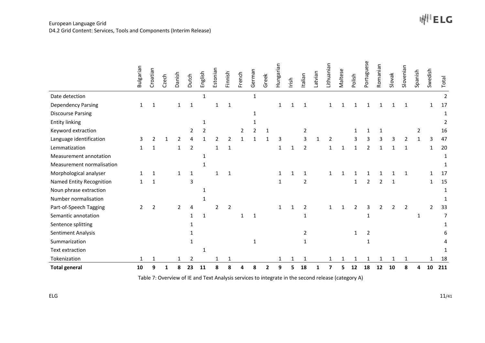|                           | Bulgarian      | Croatian       | Czech        | Danish         | Dutch          | English      | Estonian       | Finnish        | French | German         | Greek          | Hungarian    | Irish | Italian                                                                                            | Latvian | Lithuanian     | Maltese      | Polish         | Portuguese     | Romanian | Slovak | Slovenian      | Spanish      | Swedish | Total          |
|---------------------------|----------------|----------------|--------------|----------------|----------------|--------------|----------------|----------------|--------|----------------|----------------|--------------|-------|----------------------------------------------------------------------------------------------------|---------|----------------|--------------|----------------|----------------|----------|--------|----------------|--------------|---------|----------------|
| Date detection            |                |                |              |                |                | $\mathbf{1}$ |                |                |        | $\mathbf{1}$   |                |              |       |                                                                                                    |         |                |              |                |                |          |        |                |              |         | $\overline{2}$ |
| <b>Dependency Parsing</b> | 1              | 1              |              | 1              | 1              |              | 1              | 1              |        |                |                | $\mathbf{1}$ | -1    | 1                                                                                                  |         |                |              |                |                |          |        | 1              |              | 1       | 17             |
| <b>Discourse Parsing</b>  |                |                |              |                |                |              |                |                |        | 1              |                |              |       |                                                                                                    |         |                |              |                |                |          |        |                |              |         | 1              |
| <b>Entity linking</b>     |                |                |              |                |                | 1            |                |                |        | 1              |                |              |       |                                                                                                    |         |                |              |                |                |          |        |                |              |         | 2              |
| Keyword extraction        |                |                |              |                | $\overline{2}$ | 2            |                |                | 2      | $\overline{2}$ | 1              |              |       | $\overline{2}$                                                                                     |         |                |              | 1              | 1              | 1        |        |                | 2            |         | 16             |
| Language identification   | 3              | 2              | -1           | $\overline{2}$ | 4              |              | $\overline{2}$ | 2              | 1      | $\mathbf{1}$   | 1              | 3            |       | 3                                                                                                  | 1       | $\overline{2}$ |              | 3              | 3              | 3        | 3      | $\overline{2}$ | $\mathbf{1}$ | 3       | 47             |
| Lemmatization             | 1              | 1              |              | 1              | $\overline{2}$ |              | 1              | 1              |        |                |                | 1            | 1     | 2                                                                                                  |         | 1              | $\mathbf{1}$ |                | 2              |          |        | 1              |              | 1       | 20             |
| Measurement annotation    |                |                |              |                |                | 1            |                |                |        |                |                |              |       |                                                                                                    |         |                |              |                |                |          |        |                |              |         | 1              |
| Measurement normalisation |                |                |              |                |                | 1            |                |                |        |                |                |              |       |                                                                                                    |         |                |              |                |                |          |        |                |              |         | 1              |
| Morphological analyser    | 1              | 1              |              | 1              | $\mathbf{1}$   |              | 1              | 1              |        |                |                | 1            | 1     | 1                                                                                                  |         | 1              | 1            |                |                |          |        | 1              |              | 1       | 17             |
| Named Entity Recognition  | $\mathbf{1}$   | 1              |              |                | 3              |              |                |                |        |                |                | 1            |       | $\overline{2}$                                                                                     |         |                |              | 1              | $\overline{2}$ | 2        | 1      |                |              | 1       | 15             |
| Noun phrase extraction    |                |                |              |                |                | -1           |                |                |        |                |                |              |       |                                                                                                    |         |                |              |                |                |          |        |                |              |         | 1              |
| Number normalisation      |                |                |              |                |                | -1           |                |                |        |                |                |              |       |                                                                                                    |         |                |              |                |                |          |        |                |              |         |                |
| Part-of-Speech Tagging    | $\overline{2}$ | $\overline{2}$ |              | $\overline{2}$ | 4              |              | 2              | $\overline{2}$ |        |                |                | $\mathbf{1}$ | 1     | $\overline{2}$                                                                                     |         | 1              | $\mathbf{1}$ | $\overline{2}$ | 3              | 2        | 2      | $\overline{2}$ |              | 2       | 33             |
| Semantic annotation       |                |                |              |                | $\mathbf{1}$   | 1            |                |                | 1      | $\mathbf{1}$   |                |              |       | 1                                                                                                  |         |                |              |                | 1              |          |        |                | 1            |         | 7              |
| Sentence splitting        |                |                |              |                |                |              |                |                |        |                |                |              |       |                                                                                                    |         |                |              |                |                |          |        |                |              |         | 1              |
| Sentiment Analysis        |                |                |              |                | 1              |              |                |                |        |                |                |              |       | $\overline{2}$                                                                                     |         |                |              | $\mathbf{1}$   | $\overline{2}$ |          |        |                |              |         |                |
| Summarization             |                |                |              |                | $\mathbf{1}$   |              |                |                |        | $\mathbf{1}$   |                |              |       | 1                                                                                                  |         |                |              |                | $\mathbf{1}$   |          |        |                |              |         |                |
| Text extraction           |                |                |              |                |                |              |                |                |        |                |                |              |       |                                                                                                    |         |                |              |                |                |          |        |                |              |         |                |
| Tokenization              | 1              | 1              |              | 1              | 2              |              | 1              | 1              |        |                |                | $\mathbf{1}$ | 1     | 1                                                                                                  |         | 1              | 1            | 1              | 1              | 1        | 1      | 1              |              | 1       | 18             |
| <b>Total general</b>      | 10             | 9              | $\mathbf{1}$ | 8              | 23             | 11           | 8              | 8              | 4      | 8              | $\overline{2}$ | 9            | 5     | 18                                                                                                 | 1       | 7              | 5            | 12             | 18             | 12       | 10     | 8              | 4            | 10      | 211            |
| ELG                       |                |                |              |                |                |              |                |                |        |                |                |              |       | Table 7: Overview of IE and Text Analysis services to integrate in the second release (category A) |         |                |              |                |                |          |        |                |              |         | 11/41          |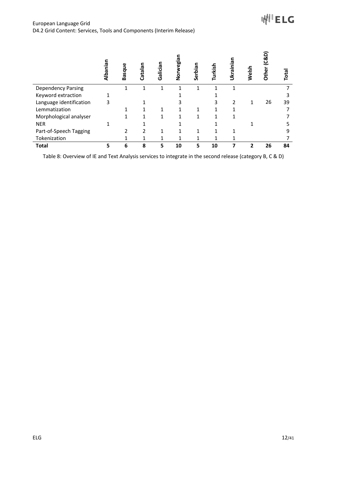**WILETC** 

|                                                                                                           | Albanian    | Basque                           | Catalan          | Galician          | Norwegian          | Serbian          | Turkish                   | Ukrainian                              | Welsh        | Other (C&D) | Total                |
|-----------------------------------------------------------------------------------------------------------|-------------|----------------------------------|------------------|-------------------|--------------------|------------------|---------------------------|----------------------------------------|--------------|-------------|----------------------|
| <b>Dependency Parsing</b>                                                                                 |             | $\mathbf 1$                      | $\mathbf 1$      | $\mathbf 1$       | $\mathbf 1$        | $\mathbf 1$      | $\mathbf{1}$              | $\mathbf 1$                            |              |             | $\overline{7}$       |
| Keyword extraction                                                                                        | $\mathbf 1$ |                                  |                  |                   | $\mathbf{1}$       |                  | $\mathbf{1}$              |                                        |              |             | $\mathsf{3}$         |
| Language identification                                                                                   | 3           |                                  | $\mathbf{1}$     |                   | 3                  |                  | 3                         | $\overline{2}$                         | $\mathbf 1$  | $26\,$      | 39                   |
| Lemmatization                                                                                             |             | $\mathbf{1}$                     | $\mathbf 1$      | $\mathbf 1$       | $\mathbf 1$        | $\mathbf 1$      | $\mathbf{1}$              | $\mathbf 1$                            |              |             | $\overline{7}$       |
| Morphological analyser                                                                                    |             | $\mathbf 1$                      | $\mathbf 1$      | $\mathbf 1$       | $\mathbf{1}$       | $\mathbf 1$      | $\mathbf{1}$              | $\mathbf 1$                            |              |             | $\boldsymbol{7}$     |
| <b>NER</b>                                                                                                | $\mathbf 1$ |                                  | $\mathbf 1$      |                   | $\mathbf 1$        |                  | $\mathbf{1}$              |                                        | $\mathbf 1$  |             | 5                    |
| Part-of-Speech Tagging                                                                                    |             | $\overline{2}$                   | $\mathbf 2$      | $\mathbf 1$       | $\mathbf 1$        | $\mathbf 1$      | $\mathbf{1}$              | $\mathbf 1$                            |              |             | 9                    |
| Tokenization<br><b>Total</b>                                                                              | 5           | $\mathbf{1}$<br>$\boldsymbol{6}$ | $\mathbf 1$<br>8 | $\mathbf{1}$<br>5 | $\mathbf{1}$<br>10 | $\mathbf 1$<br>5 | $\mathbf 1$<br>${\bf 10}$ | $\mathbf 1$<br>$\overline{\mathbf{z}}$ | $\mathbf{2}$ | 26          | $\overline{7}$<br>84 |
| Table 8: Overview of IE and Text Analysis services to integrate in the second release (category B, C & D) |             |                                  |                  |                   |                    |                  |                           |                                        |              |             |                      |
| <b>ELG</b>                                                                                                |             |                                  |                  |                   |                    |                  |                           |                                        |              |             | 12/41                |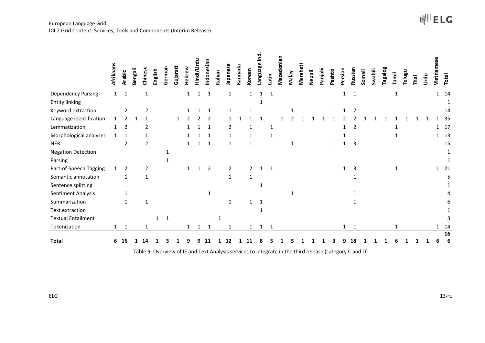#### European Language Grid D4.2 Grid Content: Services, Tools and Components (Interim Release)

|                           | Afrikaans    | <b>Arabic</b>  | Bengali | Chinese        | English      | German       | Gujarati     | Hebrew         | Hindi/Urdu     | Indonesian     | Italian | Japanese                                                                                                | Kannada | Korean         | Language ind.  | Latin        | Macedonian | Valay          | Marahati | Nepali | Panjabi | Pashto       | Persian      | Russian        | Somali | Swahili | Tagalog | Tamil        | Telugu | Thai | Jrdu | Vietnamese   | Total        |
|---------------------------|--------------|----------------|---------|----------------|--------------|--------------|--------------|----------------|----------------|----------------|---------|---------------------------------------------------------------------------------------------------------|---------|----------------|----------------|--------------|------------|----------------|----------|--------|---------|--------------|--------------|----------------|--------|---------|---------|--------------|--------|------|------|--------------|--------------|
| <b>Dependency Parsing</b> | $\mathbf{1}$ | $\mathbf 1$    |         | $\mathbf{1}$   |              |              |              | $\mathbf{1}$   | $\mathbf{1}$   | $\mathbf 1$    |         | $\mathbf 1$                                                                                             |         | $\mathbf 1$    | $\mathbf 1$    | $\mathbf{1}$ |            |                |          |        |         |              | $\mathbf{1}$ | $\mathbf 1$    |        |         |         | $\mathbf{1}$ |        |      |      |              | $1 \quad 14$ |
| <b>Entity linking</b>     |              |                |         |                |              |              |              |                |                |                |         |                                                                                                         |         |                | $\mathbf{1}$   |              |            |                |          |        |         |              |              |                |        |         |         |              |        |      |      |              | 1            |
| Keyword extraction        |              | $\overline{2}$ |         | $\overline{2}$ |              |              |              | 1              | 1              | 1              |         | $\mathbf{1}$                                                                                            |         | $\mathbf 1$    |                |              |            | 1              |          |        |         | 1            | $\mathbf{1}$ | $\overline{2}$ |        |         |         |              |        |      |      |              | 14           |
| Language identification   | $\mathbf{1}$ | $\overline{2}$ | 1       | 1              |              |              | $\mathbf{1}$ | $\overline{2}$ | $\overline{2}$ | 2              |         | $\mathbf{1}$                                                                                            |         |                | $\mathbf{1}$   |              |            | $\mathfrak{p}$ |          |        |         |              | 2            |                |        |         |         |              |        |      |      | 1            | 35           |
| Lemmatization             | 1            | $\overline{2}$ |         | 2              |              |              |              | 1              | 1              | 1              |         | $\overline{2}$                                                                                          |         | 1              |                | $\mathbf{1}$ |            |                |          |        |         |              | 1            | $\overline{2}$ |        |         |         | 1            |        |      |      | $\mathbf{1}$ | 17           |
| Morphological analyser    | $\mathbf{1}$ | $\mathbf{1}$   |         | 1              |              |              |              | 1              |                | 1              |         | $\mathbf{1}$                                                                                            |         | 1              |                | $\mathbf{1}$ |            |                |          |        |         |              | 1            | 1              |        |         |         | $\mathbf{1}$ |        |      |      |              | 1 13         |
| <b>NER</b>                |              | $\overline{2}$ |         | $\overline{2}$ |              |              |              | 1              | 1              | $\mathbf{1}$   |         | $\mathbf{1}$                                                                                            |         | $\mathbf 1$    |                |              |            | $\mathbf 1$    |          |        |         | $\mathbf{1}$ | $\mathbf{1}$ | 3              |        |         |         |              |        |      |      |              | 15           |
| <b>Negation Detection</b> |              |                |         |                |              | $\mathbf{1}$ |              |                |                |                |         |                                                                                                         |         |                |                |              |            |                |          |        |         |              |              |                |        |         |         |              |        |      |      |              | 1            |
| Parsing                   |              |                |         |                |              | $\mathbf{1}$ |              |                |                |                |         |                                                                                                         |         |                |                |              |            |                |          |        |         |              |              |                |        |         |         |              |        |      |      |              | 1            |
| Part-of-Speech Tagging    | 1            | $\overline{2}$ |         | $\overline{2}$ |              |              |              | $\mathbf{1}$   | $\mathbf{1}$   | $\overline{2}$ |         | $\overline{2}$                                                                                          |         | $\overline{2}$ | $\mathbf{1}$   | $\mathbf{1}$ |            |                |          |        |         |              | $\mathbf{1}$ | 3              |        |         |         | $\mathbf{1}$ |        |      |      |              | $1 \quad 21$ |
| Semantic annotation       |              | $\mathbf{1}$   |         | $\mathbf 1$    |              |              |              |                |                |                |         | $\mathbf 1$                                                                                             |         | $\mathbf{1}$   |                |              |            |                |          |        |         |              |              | 1              |        |         |         |              |        |      |      |              | 5            |
| Sentence splitting        |              |                |         |                |              |              |              |                |                |                |         |                                                                                                         |         |                | $\mathbf{1}$   |              |            |                |          |        |         |              |              |                |        |         |         |              |        |      |      |              | 1            |
| Sentiment Analysis        |              | 1              |         |                |              |              |              |                |                | $\mathbf{1}$   |         |                                                                                                         |         |                |                |              |            | $\mathbf{1}$   |          |        |         |              |              | 1              |        |         |         |              |        |      |      |              |              |
| Summarization             |              | $\mathbf 1$    |         | 1              |              |              |              |                |                |                |         | 1                                                                                                       |         | $\mathbf{1}$   | $\mathbf{1}$   |              |            |                |          |        |         |              |              | 1              |        |         |         |              |        |      |      |              | 6            |
| Text extraction           |              |                |         |                |              |              |              |                |                |                |         |                                                                                                         |         |                | $\mathbf{1}$   |              |            |                |          |        |         |              |              |                |        |         |         |              |        |      |      |              | 1            |
| <b>Textual Entailment</b> |              |                |         |                | $\mathbf{1}$ | $\mathbf{1}$ |              |                |                |                | 1       |                                                                                                         |         |                |                |              |            |                |          |        |         |              |              |                |        |         |         |              |        |      |      |              | 3            |
| Tokenization              | $\mathbf{1}$ | $\mathbf{1}$   |         | 1              |              |              |              | $\mathbf{1}$   | $\mathbf{1}$   | $\mathbf{1}$   |         | 1                                                                                                       |         | $\mathbf{1}$   | $\overline{1}$ | $\mathbf{1}$ |            |                |          |        |         |              | $\mathbf{1}$ | 1              |        |         |         | 1            |        |      |      |              | $1 \quad 14$ |
| <b>Total</b>              | 6            | 16             | 1       | 14             |              |              |              |                |                | 11             | 1       | 12                                                                                                      |         | 11             |                |              |            |                |          |        |         |              |              | 18             |        |         |         |              |        |      |      | 6            | 16<br>6      |
|                           |              |                |         |                |              |              |              |                |                |                |         | Table 9: Overview of IE and Text Analysis services to integrate in the third release (category C and D) |         |                |                |              |            |                |          |        |         |              |              |                |        |         |         |              |        |      |      |              |              |
| ELG                       |              |                |         |                |              |              |              |                |                |                |         |                                                                                                         |         |                |                |              |            |                |          |        |         |              |              |                |        |         |         |              |        |      |      |              | 13/41        |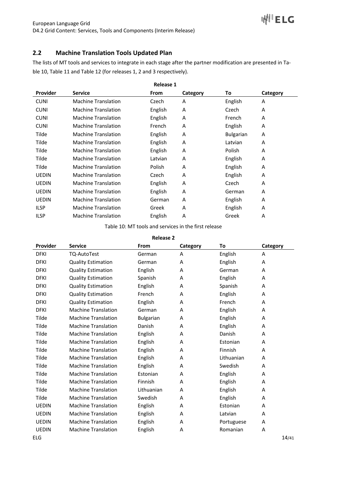# **2.2 Machine Translation Tools Updated Plan**

The lists of MT tools and services to integrate in each stage after the partner modification are presented in Table 10, Table 11 and Table 12 (for releases 1, 2 and 3 respectively).

|                 |                            | <b>Release 1</b> |          |                  |          |  |
|-----------------|----------------------------|------------------|----------|------------------|----------|--|
| <b>Provider</b> | <b>Service</b>             | From             | Category | To               | Category |  |
| <b>CUNI</b>     | <b>Machine Translation</b> | Czech            | A        | English          | A        |  |
| <b>CUNI</b>     | <b>Machine Translation</b> | English          | A        | Czech            | A        |  |
| <b>CUNI</b>     | <b>Machine Translation</b> | English          | A        | French           | A        |  |
| <b>CUNI</b>     | <b>Machine Translation</b> | French           | A        | English          | A        |  |
| Tilde           | <b>Machine Translation</b> | English          | A        | <b>Bulgarian</b> | A        |  |
| Tilde           | <b>Machine Translation</b> | English          | A        | Latvian          | A        |  |
| Tilde           | <b>Machine Translation</b> | English          | Α        | Polish           | A        |  |
| Tilde           | <b>Machine Translation</b> | Latvian          | A        | English          | A        |  |
| Tilde           | <b>Machine Translation</b> | Polish           | A        | English          | A        |  |
| <b>UEDIN</b>    | <b>Machine Translation</b> | Czech            | A        | English          | A        |  |
| <b>UEDIN</b>    | <b>Machine Translation</b> | English          | A        | Czech            | A        |  |
| <b>UEDIN</b>    | <b>Machine Translation</b> | English          | A        | German           | A        |  |
| <b>UEDIN</b>    | <b>Machine Translation</b> | German           | A        | English          | A        |  |
| <b>ILSP</b>     | <b>Machine Translation</b> | Greek            | A        | English          | A        |  |
| <b>ILSP</b>     | <b>Machine Translation</b> | English          | A        | Greek            | A        |  |

Table 10: MT tools and services in the first release

| <b>Release 2</b> |
|------------------|
|------------------|

| Provider     | <b>Service</b>             | From             | Category | To         | Category |
|--------------|----------------------------|------------------|----------|------------|----------|
| <b>DFKI</b>  | TQ-AutoTest                | German           | A        | English    | A        |
| <b>DFKI</b>  | <b>Quality Estimation</b>  | German           | A        | English    | A        |
| <b>DFKI</b>  | <b>Quality Estimation</b>  | English          | A        | German     | A        |
| <b>DFKI</b>  | <b>Quality Estimation</b>  | Spanish          | Α        | English    | Α        |
| <b>DFKI</b>  | <b>Quality Estimation</b>  | English          | A        | Spanish    | A        |
| <b>DFKI</b>  | <b>Quality Estimation</b>  | French           | A        | English    | A        |
| <b>DFKI</b>  | <b>Quality Estimation</b>  | English          | A        | French     | A        |
| <b>DFKI</b>  | <b>Machine Translation</b> | German           | A        | English    | Α        |
| Tilde        | <b>Machine Translation</b> | <b>Bulgarian</b> | A        | English    | A        |
| Tilde        | <b>Machine Translation</b> | Danish           | A        | English    | Α        |
| Tilde        | <b>Machine Translation</b> | English          | A        | Danish     | A        |
| Tilde        | <b>Machine Translation</b> | English          | A        | Estonian   | A        |
| Tilde        | <b>Machine Translation</b> | English          | A        | Finnish    | A        |
| Tilde        | <b>Machine Translation</b> | English          | A        | Lithuanian | A        |
| Tilde        | <b>Machine Translation</b> | English          | A        | Swedish    | A        |
| Tilde        | <b>Machine Translation</b> | Estonian         | A        | English    | A        |
| Tilde        | <b>Machine Translation</b> | Finnish          | A        | English    | A        |
| Tilde        | <b>Machine Translation</b> | Lithuanian       | A        | English    | A        |
| Tilde        | <b>Machine Translation</b> | Swedish          | A        | English    | Α        |
| <b>UEDIN</b> | <b>Machine Translation</b> | English          | A        | Estonian   | A        |
| <b>UEDIN</b> | <b>Machine Translation</b> | English          | A        | Latvian    | A        |
| <b>UEDIN</b> | <b>Machine Translation</b> | English          | Α        | Portuguese | Α        |
| <b>UEDIN</b> | <b>Machine Translation</b> | English          | Α        | Romanian   | Α        |
| ELG          |                            |                  |          |            | 14/41    |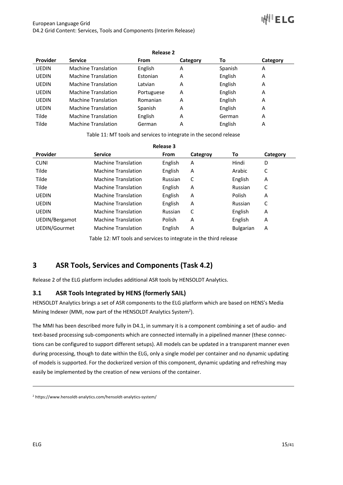# ⊪₩'ELG

|                 |                            | <b>Release 2</b> |          |         |          |
|-----------------|----------------------------|------------------|----------|---------|----------|
| <b>Provider</b> | <b>Service</b>             | From             | Category | To      | Category |
| <b>UEDIN</b>    | <b>Machine Translation</b> | English          | A        | Spanish | A        |
| <b>UEDIN</b>    | <b>Machine Translation</b> | Estonian         | A        | English | A        |
| <b>UEDIN</b>    | <b>Machine Translation</b> | Latvian          | A        | English | A        |
| <b>UEDIN</b>    | <b>Machine Translation</b> | Portuguese       | A        | English | A        |
| <b>UEDIN</b>    | <b>Machine Translation</b> | Romanian         | A        | English | A        |
| <b>UEDIN</b>    | <b>Machine Translation</b> | Spanish          | A        | English | A        |
| Tilde           | <b>Machine Translation</b> | English          | A        | German  | A        |
| Tilde           | <b>Machine Translation</b> | German           | A        | English | A        |

Table 11: MT tools and services to integrate in the second release

|                |                            | <b>Release 3</b> |          |                  |          |
|----------------|----------------------------|------------------|----------|------------------|----------|
| Provider       | <b>Service</b>             | <b>From</b>      | Categroy | To               | Category |
| <b>CUNI</b>    | <b>Machine Translation</b> | English          | A        | Hindi            | D        |
| Tilde          | <b>Machine Translation</b> | English          | A        | Arabic           | С        |
| Tilde          | <b>Machine Translation</b> | Russian          | C        | English          | A        |
| Tilde          | <b>Machine Translation</b> | English          | A        | Russian          | С        |
| <b>UEDIN</b>   | <b>Machine Translation</b> | English          | A        | Polish           | A        |
| <b>UEDIN</b>   | <b>Machine Translation</b> | English          | A        | Russian          | C        |
| <b>UEDIN</b>   | <b>Machine Translation</b> | Russian          | C        | English          | A        |
| UEDIN/Bergamot | <b>Machine Translation</b> | Polish           | A        | English          | Α        |
| UEDIN/Gourmet  | <b>Machine Translation</b> | English          | A        | <b>Bulgarian</b> | A        |

Table 12: MT tools and services to integrate in the third release

# **3 ASR Tools, Services and Components (Task 4.2)**

Release 2 of the ELG platform includes additional ASR tools by HENSOLDT Analytics.

# **3.1 ASR Tools Integrated by HENS (formerly SAIL)**

HENSOLDT Analytics brings a set of ASR components to the ELG platform which are based on HENS's Media Mining Indexer (MMI, now part of the HENSOLDT Analytics System<sup>2</sup>).

The MMI has been described more fully in D4.1, in summary it is a component combining a set of audio- and text-based processing sub-components which are connected internally in a pipelined manner (these connections can be configured to support different setups). All models can be updated in a transparent manner even during processing, though to date within the ELG, only a single model per container and no dynamic updating of models is supported. For the dockerized version of this component, dynamic updating and refreshing may easily be implemented by the creation of new versions of the container.

<sup>2</sup> https://www.hensoldt-analytics.com/hensoldt-analytics-system/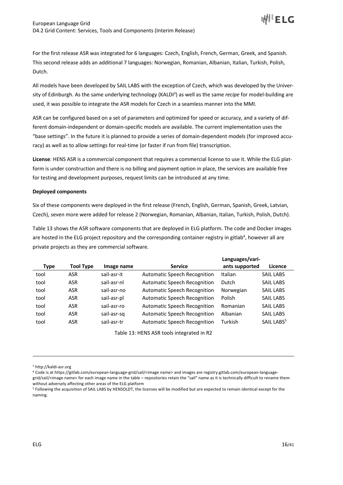For the first release ASR was integrated for 6 languages: Czech, English, French, German, Greek, and Spanish. This second release adds an additional 7 languages: Norwegian, Romanian, Albanian, Italian, Turkish, Polish, Dutch.

All models have been developed by SAIL LABS with the exception of Czech, which was developed by the University of Edinburgh. As the same underlying technology (KALDI<sup>3</sup>) as well as the same *recipe* for model-building are used, it was possible to integrate the ASR models for Czech in a seamless manner into the MMI.

ASR can be configured based on a set of parameters and optimized for speed or accuracy, and a variety of different domain-independent or domain-specific models are available. The current implementation uses the "base settings". In the future it is planned to provide a series of domain-dependent models (for improved accuracy) as well as to allow settings for real-time (or faster if run from file) transcription.

**License**: HENS ASR is a commercial component that requires a commercial license to use it. While the ELG platform is under construction and there is no billing and payment option in place, the services are available free for testing and development purposes, request limits can be introduced at any time.

#### **Deployed components**

Six of these components were deployed in the first release (French, English, German, Spanish, Greek, Latvian, Czech), seven more were added for release 2 (Norwegian, Romanian, Albanian, Italian, Turkish, Polish, Dutch).

Table 13 shows the ASR software components that are deployed in ELG platform. The code and Docker images are hosted in the ELG project repository and the corresponding container registry in gitlab<sup>4</sup>, however all are private projects as they are commercial software.

|      |                  |             |                                     | Languages/vari- |                        |
|------|------------------|-------------|-------------------------------------|-----------------|------------------------|
| Type | <b>Tool Type</b> | Image name  | <b>Service</b>                      | ants supported  | Licence                |
| tool | <b>ASR</b>       | sail-asr-it | <b>Automatic Speech Recognition</b> | Italian         | <b>SAIL LABS</b>       |
| tool | <b>ASR</b>       | sail-asr-nl | <b>Automatic Speech Recognition</b> | Dutch           | <b>SAIL LABS</b>       |
| tool | <b>ASR</b>       | sail-asr-no | <b>Automatic Speech Recognition</b> | Norwegian       | <b>SAIL LABS</b>       |
| tool | <b>ASR</b>       | sail-asr-pl | <b>Automatic Speech Recognition</b> | Polish          | <b>SAIL LABS</b>       |
| tool | <b>ASR</b>       | sail-asr-ro | <b>Automatic Speech Recognition</b> | Romanian        | <b>SAIL LABS</b>       |
| tool | <b>ASR</b>       | sail-asr-sg | <b>Automatic Speech Recognition</b> | Albanian        | <b>SAIL LABS</b>       |
| tool | ASR              | sail-asr-tr | <b>Automatic Speech Recognition</b> | Turkish         | SAIL LABS <sup>5</sup> |

Table 13: HENS ASR tools integrated in R2

<sup>3</sup> http://kaldi-asr.org

<sup>4</sup> Code is at https://gitlab.com/european-language-grid/sail/<image name> and images are registry.gitlab.com/european-languagegrid/sail/<image name> for each image name in the table – repositories retain the "sail" name as it is technically difficult to rename them without adversely affecting other areas of the ELG platform

<sup>5</sup> Following the acquisition of SAIL LABS by HENSOLDT, the licenses will be modified but are expected to remain identical except for the naming.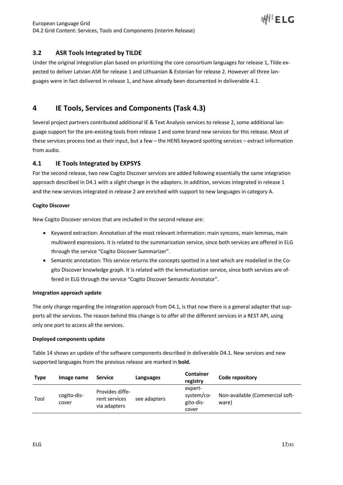# **3.2 ASR Tools Integrated by TILDE**

Under the original integration plan based on prioritizing the core consortium languages for release 1, Tilde expected to deliver Latvian ASR for release 1 and Lithuanian & Estonian for release 2. However all three languages were in fact delivered in release 1, and have already been documented in deliverable 4.1.

# **4 IE Tools, Services and Components (Task 4.3)**

Several project partners contributed additional IE & Text Analysis services to release 2, some additional language support for the pre-existing tools from release 1 and some brand new services for this release. Most of these services process text as their input, but a few – the HENS keyword spotting services – extract information from audio.

# **4.1 IE Tools Integrated by EXPSYS**

For the second release, two new Cogito Discover services are added following essentially the same integration approach described in D4.1 with a slight change in the adapters. In addition, services integrated in release 1 and the new services integrated in release 2 are enriched with support to new languages in category A.

#### **Cogito Discover**

New Cogito Discover services that are included in the second release are:

- Keyword extraction: Annotation of the most relevant information: main syncons, main lemmas, main multiword expressions. It is related to the summarization service, since both services are offered in ELG through the service "Cogito Discover Summarizer".
- Semantic annotation: This service returns the concepts spotted in a text which are modelled in the Cogito Discover knowledge graph. It is related with the lemmatization service, since both services are offered in ELG through the service "Cogito Discover Semantic Annotator".

#### **Integration approach update**

The only change regarding the integration approach from D4.1, is that now there is a general adapter that supports all the services. The reason behind this change is to offer all the different services in a REST API, using only one port to access all the services.

#### **Deployed components update**

Table 14 shows an update of the software components described in deliverable D4.1. New services and new supported languages from the previous release are marked in **bold.**

| <b>Type</b> | Image name           | <b>Service</b>                                   | Languages    | <b>Container</b><br>registry                | Code repository                          |
|-------------|----------------------|--------------------------------------------------|--------------|---------------------------------------------|------------------------------------------|
| Tool        | cogito-dis-<br>cover | Provides diffe-<br>rent services<br>via adapters | see adapters | expert-<br>system/co-<br>gito-dis-<br>cover | Non-available (Commercial soft-<br>ware) |

I⊮I'ELG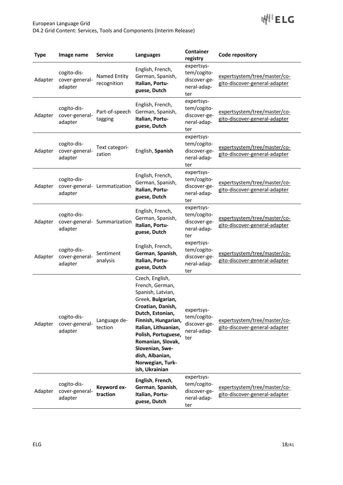

| <b>Type</b> | Image name                               | <b>Service</b>               | <b>Languages</b>                                                                                                                                                                                                                                                                             | Container<br>registry                                           | Code repository                                               |
|-------------|------------------------------------------|------------------------------|----------------------------------------------------------------------------------------------------------------------------------------------------------------------------------------------------------------------------------------------------------------------------------------------|-----------------------------------------------------------------|---------------------------------------------------------------|
| Adapter     | cogito-dis-<br>cover-general-<br>adapter | Named Entity<br>recognition  | English, French,<br>German, Spanish,<br>Italian, Portu-<br>guese, Dutch                                                                                                                                                                                                                      | expertsys-<br>tem/cogito-<br>discover-ge-<br>neral-adap-<br>ter | expertsystem/tree/master/co-<br>gito-discover-general-adapter |
| Adapter     | cogito-dis-<br>cover-general-<br>adapter | Part-of-speech<br>tagging    | English, French,<br>German, Spanish,<br>Italian, Portu-<br>guese, Dutch                                                                                                                                                                                                                      | expertsys-<br>tem/cogito-<br>discover-ge-<br>neral-adap-<br>ter | expertsystem/tree/master/co-<br>gito-discover-general-adapter |
| Adapter     | cogito-dis-<br>cover-general-<br>adapter | Text categori-<br>zation     | English, Spanish                                                                                                                                                                                                                                                                             | expertsys-<br>tem/cogito-<br>discover-ge-<br>neral-adap-<br>ter | expertsystem/tree/master/co-<br>gito-discover-general-adapter |
| Adapter     | cogito-dis-<br>adapter                   | cover-general- Lemmatization | English, French,<br>German, Spanish,<br>Italian, Portu-<br>guese, Dutch                                                                                                                                                                                                                      | expertsys-<br>tem/cogito-<br>discover-ge-<br>neral-adap-<br>ter | expertsystem/tree/master/co-<br>gito-discover-general-adapter |
| Adapter     | cogito-dis-<br>adapter                   | cover-general- Summarization | English, French,<br>German, Spanish,<br>Italian, Portu-<br>guese, Dutch                                                                                                                                                                                                                      | expertsys-<br>tem/cogito-<br>discover-ge-<br>neral-adap-<br>ter | expertsystem/tree/master/co-<br>gito-discover-general-adapter |
| Adapter     | cogito-dis-<br>cover-general-<br>adapter | Sentiment<br>analysis        | English, French,<br>German, Spanish,<br>Italian, Portu-<br>guese, Dutch                                                                                                                                                                                                                      | expertsys-<br>tem/cogito-<br>discover-ge-<br>neral-adap-<br>ter | expertsystem/tree/master/co-<br>gito-discover-general-adapter |
| Adapter     | cogito-dis-<br>cover-general-<br>adapter | Language de-<br>tection      | Czech, English,<br>French, German,<br>Spanish, Latvian,<br>Greek, Bulgarian,<br>Croatian, Danish,<br>Dutch, Estonian,<br>Finnish, Hungarian,<br>Italian, Lithuanian,<br>Polish, Portuguese,<br>Romanian, Slovak,<br>Slovenian, Swe-<br>dish, Albanian,<br>Norwegian, Turk-<br>ish, Ukrainian | expertsys-<br>tem/cogito-<br>discover-ge-<br>neral-adap-<br>ter | expertsystem/tree/master/co-<br>gito-discover-general-adapter |
| Adapter     | cogito-dis-<br>cover-general-<br>adapter | Keyword ex-<br>traction      | English, French,<br>German, Spanish,<br>Italian, Portu-<br>guese, Dutch                                                                                                                                                                                                                      | expertsys-<br>tem/cogito-<br>discover-ge-<br>neral-adap-<br>ter | expertsystem/tree/master/co-<br>gito-discover-general-adapter |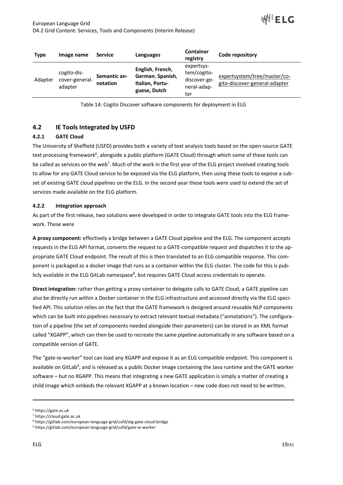| <b>Type</b> | Image name                               | <b>Service</b>           | Languages                                                               | <b>Container</b><br>registry                                    | Code repository                                               |
|-------------|------------------------------------------|--------------------------|-------------------------------------------------------------------------|-----------------------------------------------------------------|---------------------------------------------------------------|
| Adapter     | cogito-dis-<br>cover-general-<br>adapter | Semantic an-<br>notation | English, French,<br>German, Spanish,<br>Italian, Portu-<br>guese, Dutch | expertsys-<br>tem/cogito-<br>discover-ge-<br>neral-adap-<br>ter | expertsystem/tree/master/co-<br>gito-discover-general-adapter |

Table 14: Cogito Discover software components for deployment in ELG

# **4.2 IE Tools Integrated by USFD**

## **4.2.1 GATE Cloud**

The University of Sheffield (USFD) provides both a variety of text analysis tools based on the open-source GATE text processing framework<sup>6</sup>, alongside a public platform (GATE Cloud) through which some of these tools can be called as services on the web<sup>7</sup>. Much of the work in the first year of the ELG project involved creating tools to allow for any GATE Cloud service to be exposed via the ELG platform, then using these tools to expose a subset of existing GATE cloud pipelines on the ELG. In the second year these tools were used to extend the set of services made available on the ELG platform.

#### **4.2.2 Integration approach**

As part of the first release, two solutions were developed in order to integrate GATE tools into the ELG framework. These were

**A proxy component:** effectively a bridge between a GATE Cloud pipeline and the ELG. The component accepts requests in the ELG API format, converts the request to a GATE-compatible request and dispatches it to the appropriate GATE Cloud endpoint. The result of this is then translated to an ELG compatible response. This component is packaged as a docker image that runs as a container within the ELG cluster. The code for this is publicly available in the ELG GitLab namespace<sup>8</sup>, but requires GATE Cloud access credentials to operate.

**Direct integration:** rather than getting a proxy container to delegate calls to GATE Cloud, a GATE pipeline can also be directly run within a Docker container in the ELG infrastructure and accessed directly via the ELG specified API. This solution relies on the fact that the GATE framework is designed around reusable NLP components which can be built into pipelines necessary to extract relevant textual metadata ("annotations"). The configuration of a pipeline (the set of components needed alongside their parameters) can be stored in an XML format called "XGAPP", which can then be used to recreate the same pipeline automatically in any software based on a compatible version of GATE.

The "gate-ie-worker" tool can load any XGAPP and expose it as an ELG compatible endpoint. This component is available on GitLab<sup>9</sup>, and is released as a public Docker image containing the Java runtime and the GATE worker software – but no XGAPP. This means that integrating a new GATE application is simply a matter of creating a child image which embeds the relevant XGAPP at a known location – new code does not need to be written.

<sup>6</sup> https://gate.ac.uk

<sup>7</sup> https://cloud.gate.ac.uk

<sup>8</sup> https://gitlab.com/european-language-grid/usfd/elg-gate-cloud-bridge

<sup>9</sup> https://gitlab.com/european-language-grid/usfd/gate-ie-worker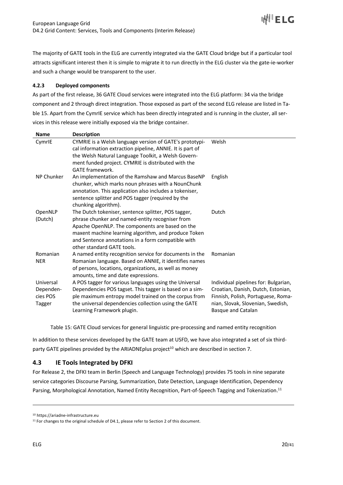

The majority of GATE tools in the ELG are currently integrated via the GATE Cloud bridge but if a particular tool attracts significant interest then it is simple to migrate it to run directly in the ELG cluster via the gate-ie-worker and such a change would be transparent to the user.

#### **4.2.3 Deployed components**

As part of the first release, 36 GATE Cloud services were integrated into the ELG platform: 34 via the bridge component and 2 through direct integration. Those exposed as part of the second ELG release are listed in Table 15. Apart from the CymrIE service which has been directly integrated and is running in the cluster, all services in this release were initially exposed via the bridge container.

| <b>Name</b>                                  | <b>Description</b>                                                                                                                                                                                                                                                                                    |                                                                                                                                                                                    |
|----------------------------------------------|-------------------------------------------------------------------------------------------------------------------------------------------------------------------------------------------------------------------------------------------------------------------------------------------------------|------------------------------------------------------------------------------------------------------------------------------------------------------------------------------------|
| CymrlE                                       | CYMRIE is a Welsh language version of GATE's prototypi-<br>cal information extraction pipeline, ANNIE. It is part of<br>the Welsh Natural Language Toolkit, a Welsh Govern-<br>ment funded project. CYMRIE is distributed with the<br><b>GATE</b> framework.                                          | Welsh                                                                                                                                                                              |
| <b>NP Chunker</b>                            | An implementation of the Ramshaw and Marcus BaseNP<br>chunker, which marks noun phrases with a NounChunk<br>annotation. This application also includes a tokeniser,<br>sentence splitter and POS tagger (required by the<br>chunking algorithm).                                                      | English                                                                                                                                                                            |
| OpenNLP<br>(Dutch)                           | The Dutch tokeniser, sentence splitter, POS tagger,<br>phrase chunker and named-entity recogniser from<br>Apache OpenNLP. The components are based on the<br>maxent machine learning algorithm, and produce Token<br>and Sentence annotations in a form compatible with<br>other standard GATE tools. | Dutch                                                                                                                                                                              |
| Romanian<br><b>NER</b>                       | A named entity recognition service for documents in the<br>Romanian language. Based on ANNIE, it identifies names<br>of persons, locations, organizations, as well as money<br>amounts, time and date expressions.                                                                                    | Romanian                                                                                                                                                                           |
| Universal<br>Dependen-<br>cies POS<br>Tagger | A POS tagger for various languages using the Universal<br>Dependencies POS tagset. This tagger is based on a sim-<br>ple maximum entropy model trained on the corpus from<br>the universal dependencies collection using the GATE<br>Learning Framework plugin.                                       | Individual pipelines for: Bulgarian,<br>Croatian, Danish, Dutch, Estonian,<br>Finnish, Polish, Portuguese, Roma-<br>nian, Slovak, Slovenian, Swedish,<br><b>Basque and Catalan</b> |

Table 15: GATE Cloud services for general linguistic pre-processing and named entity recognition

In addition to these services developed by the GATE team at USFD, we have also integrated a set of six thirdparty GATE pipelines provided by the ARIADNEplus project<sup>10</sup> which are described in section 7.

# **4.3 IE Tools Integrated by DFKI**

For Release 2, the DFKI team in Berlin (Speech and Language Technology) provides 75 tools in nine separate service categories Discourse Parsing, Summarization, Date Detection, Language Identification, Dependency Parsing, Morphological Annotation, Named Entity Recognition, Part-of-Speech Tagging and Tokenization.<sup>11</sup>

<sup>10</sup> https://ariadne-infrastructure.eu

 $11$  For changes to the original schedule of D4.1, please refer to Section 2 of this document.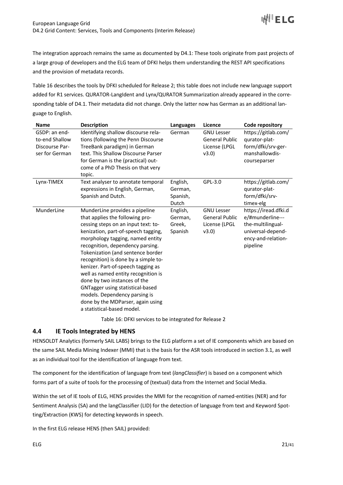The integration approach remains the same as documented by D4.1: These tools originate from past projects of a large group of developers and the ELG team of DFKI helps them understanding the REST API specifications and the provision of metadata records.

Table 16 describes the tools by DFKI scheduled for Release 2; this table does not include new language support added for R1 services. QURATOR-LangIdent and Lynx/QURATOR Summarization already appeared in the corresponding table of D4.1. Their metadata did not change. Only the latter now has German as an additional language to English.

| <b>Name</b>                                                         | <b>Description</b>                                                                                                                                                                                                                                                                                                                                                                                                                                                                                                                                        | Languages                                | Licence                                                              | Code repository                                                                                                      |
|---------------------------------------------------------------------|-----------------------------------------------------------------------------------------------------------------------------------------------------------------------------------------------------------------------------------------------------------------------------------------------------------------------------------------------------------------------------------------------------------------------------------------------------------------------------------------------------------------------------------------------------------|------------------------------------------|----------------------------------------------------------------------|----------------------------------------------------------------------------------------------------------------------|
| GSDP: an end-<br>to-end Shallow<br>Discourse Par-<br>ser for German | Identifying shallow discourse rela-<br>tions (following the Penn Discourse<br>TreeBank paradigm) in German<br>text. This Shallow Discourse Parser<br>for German is the (practical) out-<br>come of a PhD Thesis on that very<br>topic.                                                                                                                                                                                                                                                                                                                    | German                                   | <b>GNU Lesser</b><br><b>General Public</b><br>License (LPGL<br>v3.0  | https://gitlab.com/<br>qurator-plat-<br>form/dfki/srv-ger-<br>manshallowdis-<br>courseparser                         |
| Lynx-TIMEX                                                          | Text analyser to annotate temporal<br>expressions in English, German,<br>Spanish and Dutch.                                                                                                                                                                                                                                                                                                                                                                                                                                                               | English,<br>German,<br>Spanish,<br>Dutch | GPL-3.0                                                              | https://gitlab.com/<br>qurator-plat-<br>form/dfki/srv-<br>timex-elg                                                  |
| MunderLine                                                          | MunderLine provides a pipeline<br>that applies the following pro-<br>cessing steps on an input text: to-<br>kenization, part-of-speech tagging,<br>morphology tagging, named entity<br>recognition, dependency parsing.<br>Tokenization (and sentence border<br>recognition) is done by a simple to-<br>kenizer. Part-of-speech tagging as<br>well as named entity recognition is<br>done by two instances of the<br>GNTagger using statistical-based<br>models. Dependency parsing is<br>done by the MDParser, again using<br>a statistical-based model. | English,<br>German,<br>Greek,<br>Spanish | <b>GNU Lesser</b><br><b>General Public</b><br>License (LPGL<br>v3.0) | https://iread.dfki.d<br>e/#munderline---<br>the-multilingual-<br>universal-depend-<br>ency-and-relation-<br>pipeline |

Table 16: DFKI services to be integrated for Release 2

# **4.4 IE Tools Integrated by HENS**

HENSOLDT Analytics (formerly SAIL LABS) brings to the ELG platform a set of IE components which are based on the same SAIL Media Mining Indexer (MMI) that is the basis for the ASR tools introduced in section 3.1, as well as an individual tool for the identification of language from text.

The component for the identification of language from text (*langClassifier*) is based on a component which forms part of a suite of tools for the processing of (textual) data from the Internet and Social Media.

Within the set of IE tools of ELG, HENS provides the MMI for the recognition of named-entities (NER) and for Sentiment Analysis (SA) and the langClassifier (LID) for the detection of language from text and Keyword Spotting/Extraction (KWS) for detecting keywords in speech.

In the first ELG release HENS (then SAIL) provided: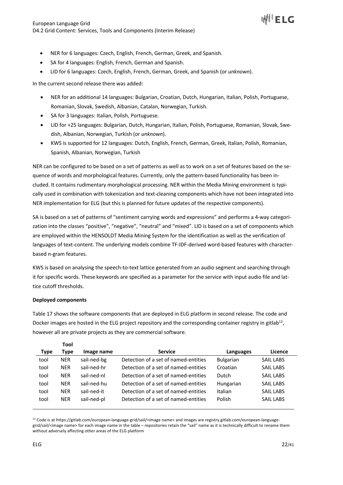- NER for 6 languages: Czech, English, French, German, Greek, and Spanish.
- SA for 4 languages: English, French, German and Spanish.
- LID for 6 languages: Czech, English, French, German, Greek, and Spanish (or *unknown*).

In the current second release there was added:

- NER for an additional 14 languages: Bulgarian, Croatian, Dutch, Hungarian, Italian, Polish, Portuguese, Romanian, Slovak, Swedish, Albanian, Catalan, Norwegian, Turkish.
- SA for 3 languages: Italian, Polish, Portuguese.
- LID for +25 languages: Bulgarian, Dutch, Hungarian, Italian, Polish, Portuguese, Romanian, Slovak, Swedish, Albanian, Norwegian, Turkish (or *unknown*).
- KWS is supported for 12 languages: Dutch, English, French, German, Greek, Italian, Polish, Romanian, Spanish, Albanian, Norwegian, Turkish

NER can be configured to be based on a set of patterns as well as to work on a set of features based on the sequence of words and morphological features. Currently, only the pattern-based functionality has been included. It contains rudimentary morphological processing. NER within the Media Mining environment is typically used in combination with tokenization and text-cleaning components which have not been integrated into NER implementation for ELG (but this is planned for future updates of the respective components).

SA is based on a set of patterns of "sentiment carrying words and expressions" and performs a 4-way categorization into the classes "positive", "negative", "neutral" and "mixed". LID is based on a set of components which are employed within the HENSOLDT Media Mining System for the identification as well as the verification of languages of text-content. The underlying models combine TF-IDF-derived word-based features with characterbased n-gram features.

KWS is based on analysing the speech-to-text lattice generated from an audio segment and searching through it for specific words. These keywords are specified as a parameter for the service with input audio file and lattice cutoff thresholds.

#### **Deployed components**

**Tool**

Table 17 shows the software components that are deployed in ELG platform in second release. The code and Docker images are hosted in the ELG project repository and the corresponding container registry in gitlab<sup>12</sup>, however all are private projects as they are commercial software.

|      | .          |             |                                      |                  |                  |  |
|------|------------|-------------|--------------------------------------|------------------|------------------|--|
| Type | Type       | Image name  | <b>Service</b>                       | Languages        | Licence          |  |
| tool | <b>NER</b> | sail-ned-bg | Detection of a set of named-entities | <b>Bulgarian</b> | <b>SAIL LABS</b> |  |
| tool | <b>NER</b> | sail-ned-hr | Detection of a set of named-entities | Croatian         | <b>SAIL LABS</b> |  |
| tool | <b>NER</b> | sail-ned-nl | Detection of a set of named-entities | Dutch            | <b>SAIL LABS</b> |  |
| tool | <b>NER</b> | sail-ned-hu | Detection of a set of named-entities | Hungarian        | <b>SAIL LABS</b> |  |
| tool | <b>NER</b> | sail-ned-it | Detection of a set of named-entities | Italian          | <b>SAIL LABS</b> |  |
| tool | <b>NER</b> | sail-ned-pl | Detection of a set of named-entities | Polish           | <b>SAIL LABS</b> |  |
|      |            |             |                                      |                  |                  |  |

<sup>12</sup> Code is at https://gitlab.com/european-language-grid/sail/<image name> and images are registry.gitlab.com/european-languagegrid/sail/<image name> for each image name in the table – repositories retain the "sail" name as it is technically difficult to rename them without adversely affecting other areas of the ELG platform

II<sup>I</sup> ELG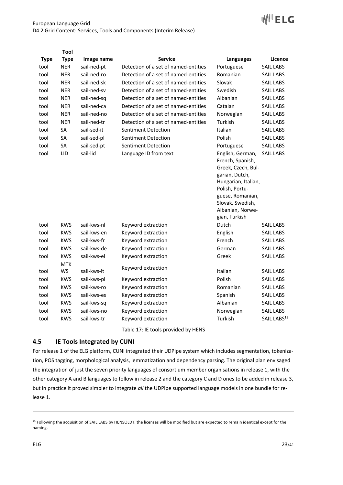# ₩LELC

#### European Language Grid D4.2 Grid Content: Services, Tools and Components (Interim Release)

|             | Tool        |             |                                      |                                                                                                                                                                                                    |                         |
|-------------|-------------|-------------|--------------------------------------|----------------------------------------------------------------------------------------------------------------------------------------------------------------------------------------------------|-------------------------|
| <b>Type</b> | <b>Type</b> | Image name  | <b>Service</b>                       | Languages                                                                                                                                                                                          | Licence                 |
| tool        | <b>NER</b>  | sail-ned-pt | Detection of a set of named-entities | Portuguese                                                                                                                                                                                         | <b>SAIL LABS</b>        |
| tool        | <b>NER</b>  | sail-ned-ro | Detection of a set of named-entities | Romanian                                                                                                                                                                                           | <b>SAIL LABS</b>        |
| tool        | <b>NER</b>  | sail-ned-sk | Detection of a set of named-entities | Slovak                                                                                                                                                                                             | <b>SAIL LABS</b>        |
| tool        | <b>NER</b>  | sail-ned-sv | Detection of a set of named-entities | Swedish                                                                                                                                                                                            | <b>SAIL LABS</b>        |
| tool        | <b>NER</b>  | sail-ned-sq | Detection of a set of named-entities | Albanian                                                                                                                                                                                           | <b>SAIL LABS</b>        |
| tool        | <b>NER</b>  | sail-ned-ca | Detection of a set of named-entities | Catalan                                                                                                                                                                                            | <b>SAIL LABS</b>        |
| tool        | <b>NER</b>  | sail-ned-no | Detection of a set of named-entities | Norwegian                                                                                                                                                                                          | <b>SAIL LABS</b>        |
| tool        | <b>NER</b>  | sail-ned-tr | Detection of a set of named-entities | Turkish                                                                                                                                                                                            | <b>SAIL LABS</b>        |
| tool        | SA          | sail-sed-it | Sentiment Detection                  | Italian                                                                                                                                                                                            | <b>SAIL LABS</b>        |
| tool        | <b>SA</b>   | sail-sed-pl | Sentiment Detection                  | Polish                                                                                                                                                                                             | <b>SAIL LABS</b>        |
| tool        | SA          | sail-sed-pt | Sentiment Detection                  | Portuguese                                                                                                                                                                                         | <b>SAIL LABS</b>        |
| tool        | LID         | sail-lid    | Language ID from text                | English, German,<br>French, Spanish,<br>Greek, Czech, Bul-<br>garian, Dutch,<br>Hungarian, Italian,<br>Polish, Portu-<br>guese, Romanian,<br>Slovak, Swedish,<br>Albanian, Norwe-<br>gian, Turkish | <b>SAIL LABS</b>        |
| tool        | <b>KWS</b>  | sail-kws-nl | Keyword extraction                   | Dutch                                                                                                                                                                                              | <b>SAIL LABS</b>        |
| tool        | <b>KWS</b>  | sail-kws-en | Keyword extraction                   | English                                                                                                                                                                                            | <b>SAIL LABS</b>        |
| tool        | <b>KWS</b>  | sail-kws-fr | Keyword extraction                   | French                                                                                                                                                                                             | <b>SAIL LABS</b>        |
| tool        | <b>KWS</b>  | sail-kws-de | Keyword extraction                   | German                                                                                                                                                                                             | <b>SAIL LABS</b>        |
| tool        | <b>KWS</b>  | sail-kws-el | Keyword extraction                   | Greek                                                                                                                                                                                              | <b>SAIL LABS</b>        |
|             | <b>MTK</b>  |             | Keyword extraction                   |                                                                                                                                                                                                    |                         |
| tool        | <b>WS</b>   | sail-kws-it |                                      | Italian                                                                                                                                                                                            | <b>SAIL LABS</b>        |
| tool        | <b>KWS</b>  | sail-kws-pl | Keyword extraction                   | Polish                                                                                                                                                                                             | <b>SAIL LABS</b>        |
| tool        | <b>KWS</b>  | sail-kws-ro | Keyword extraction                   | Romanian                                                                                                                                                                                           | <b>SAIL LABS</b>        |
| tool        | <b>KWS</b>  | sail-kws-es | Keyword extraction                   | Spanish                                                                                                                                                                                            | <b>SAIL LABS</b>        |
| tool        | <b>KWS</b>  | sail-kws-sq | Keyword extraction                   | Albanian                                                                                                                                                                                           | <b>SAIL LABS</b>        |
| tool        | <b>KWS</b>  | sail-kws-no | Keyword extraction                   | Norwegian                                                                                                                                                                                          | <b>SAIL LABS</b>        |
| tool        | <b>KWS</b>  | sail-kws-tr | Keyword extraction                   | Turkish                                                                                                                                                                                            | SAIL LABS <sup>13</sup> |

Table 17: IE tools provided by HENS

# **4.5 IE Tools Integrated by CUNI**

For release 1 of the ELG platform, CUNI integrated their UDPipe system which includes segmentation, tokenization, POS tagging, morphological analysis, lemmatization and dependency parsing. The original plan envisaged the integration of just the seven priority languages of consortium member organisations in release 1, with the other category A and B languages to follow in release 2 and the category C and D ones to be added in release 3, but in practice it proved simpler to integrate *all* the UDPipe supported language models in one bundle for release 1.

<sup>&</sup>lt;sup>13</sup> Following the acquisition of SAIL LABS by HENSOLDT, the licenses will be modified but are expected to remain identical except for the naming.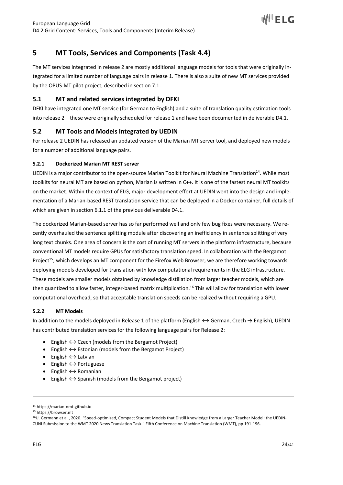

# **5 MT Tools, Services and Components (Task 4.4)**

The MT services integrated in release 2 are mostly additional language models for tools that were originally integrated for a limited number of language pairs in release 1. There is also a suite of new MT services provided by the OPUS-MT pilot project, described in section 7.1.

# **5.1 MT and related services integrated by DFKI**

DFKI have integrated one MT service (for German to English) and a suite of translation quality estimation tools into release 2 – these were originally scheduled for release 1 and have been documented in deliverable D4.1.

# **5.2 MT Tools and Models integrated by UEDIN**

For release 2 UEDIN has released an updated version of the Marian MT server tool, and deployed new models for a number of additional language pairs.

## **5.2.1 Dockerized Marian MT REST server**

UEDIN is a major contributor to the open-source Marian Toolkit for Neural Machine Translation<sup>14</sup>. While most toolkits for neural MT are based on python, Marian is written in C++. It is one of the fastest neural MT toolkits on the market. Within the context of ELG, major development effort at UEDIN went into the design and implementation of a Marian-based REST translation service that can be deployed in a Docker container, full details of which are given in section 6.1.1 of the previous deliverable D4.1.

The dockerized Marian-based server has so far performed well and only few bug fixes were necessary. We recently overhauled the sentence splitting module after discovering an inefficiency in sentence splitting of very long text chunks. One area of concern is the cost of running MT servers in the platform infrastructure, because conventional MT models require GPUs for satisfactory translation speed. In collaboration with the Bergamot Project<sup>15</sup>, which develops an MT component for the Firefox Web Browser, we are therefore working towards deploying models developed for translation with low computational requirements in the ELG infrastructure. These models are smaller models obtained by knowledge distillation from larger teacher models, which are then quantized to allow faster, integer-based matrix multiplication.16 This will allow for translation with lower computational overhead, so that acceptable translation speeds can be realized without requiring a GPU.

## **5.2.2 MT Models**

In addition to the models deployed in Release 1 of the platform (English ↔ German, Czech → English), UEDIN has contributed translation services for the following language pairs for Release 2:

- English  $\leftrightarrow$  Czech (models from the Bergamot Project)
- English  $\leftrightarrow$  Estonian (models from the Bergamot Project)
- English  $\leftrightarrow$  Latvian
- $\bullet$  English  $\leftrightarrow$  Portuguese
- English  $\leftrightarrow$  Romanian
- English  $\leftrightarrow$  Spanish (models from the Bergamot project)

<sup>14</sup> https://marian-nmt.github.io

<sup>15</sup> https://browser.mt

<sup>16</sup>U. Germann et al., 2020. "Speed-optimized, Compact Student Models that Distill Knowledge from a Larger Teacher Model: the UEDIN-CUNI Submission to the WMT 2020 News Translation Task." Fifth Conference on Machine Translation (WMT), pp 191-196.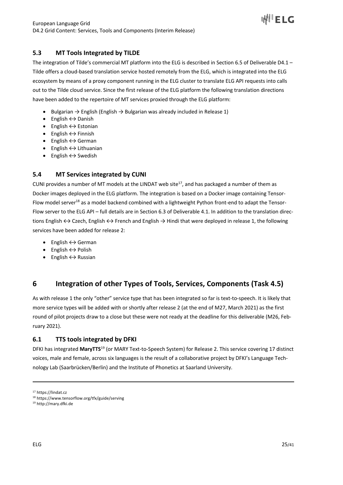

# **5.3 MT Tools Integrated by TILDE**

The integration of Tilde's commercial MT platform into the ELG is described in Section 6.5 of Deliverable D4.1 – Tilde offers a cloud-based translation service hosted remotely from the ELG, which is integrated into the ELG ecosystem by means of a proxy component running in the ELG cluster to translate ELG API requests into calls out to the Tilde cloud service. Since the first release of the ELG platform the following translation directions have been added to the repertoire of MT services proxied through the ELG platform:

- Bulgarian  $\rightarrow$  English (English  $\rightarrow$  Bulgarian was already included in Release 1)
- English  $\leftrightarrow$  Danish
- English  $\leftrightarrow$  Estonian
- English  $\leftrightarrow$  Finnish
- English  $\leftrightarrow$  German
- English  $\leftrightarrow$  Lithuanian
- English  $\leftrightarrow$  Swedish

# **5.4 MT Services integrated by CUNI**

CUNI provides a number of MT models at the LINDAT web site<sup>17</sup>, and has packaged a number of them as Docker images deployed in the ELG platform. The integration is based on a Docker image containing Tensor-Flow model server<sup>18</sup> as a model backend combined with a lightweight Python front-end to adapt the Tensor-Flow server to the ELG API – full details are in Section 6.3 of Deliverable 4.1. In addition to the translation directions English  $\leftrightarrow$  Czech, English  $\leftrightarrow$  French and English  $\rightarrow$  Hindi that were deployed in release 1, the following services have been added for release 2:

- English  $\leftrightarrow$  German
- English  $\leftrightarrow$  Polish
- English  $\leftrightarrow$  Russian

# **6 Integration of other Types of Tools, Services, Components (Task 4.5)**

As with release 1 the only "other" service type that has been integrated so far is text-to-speech. It is likely that more service types will be added with or shortly after release 2 (at the end of M27, March 2021) as the first round of pilot projects draw to a close but these were not ready at the deadline for this deliverable (M26, February 2021).

## **6.1 TTS tools integrated by DFKI**

DFKI has integrated **MaryTTS**<sup>19</sup> (or MARY Text-to-Speech System) for Release 2. This service covering 17 distinct voices, male and female, across six languages is the result of a collaborative project by DFKI's Language Technology Lab (Saarbrücken/Berlin) and the Institute of Phonetics at Saarland University.

<sup>17</sup> https://lindat.cz

<sup>18</sup> https://www.tensorflow.org/tfx/guide/serving

<sup>19</sup> http://mary.dfki.de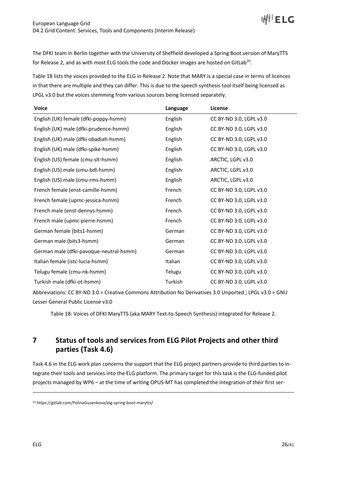The DFKI team in Berlin together with the University of Sheffield developed a Spring Boot version of MaryTTS for Release 2, and as with most ELG tools the code and Docker images are hosted on GitLab<sup>20</sup>.

Table 18 lists the voices provided to the ELG in Release 2. Note that MARY is a special case in terms of licences in that there are multiple and they can differ. This is due to the speech synthesis tool itself being licensed as LPGL v3.0 but the voices stemming from various sources being licensed separately.

| <b>Voice</b>                            | Language | License                 |
|-----------------------------------------|----------|-------------------------|
| English (UK) female (dfki-poppy-hsmm)   | English  | CC BY-ND 3.0, LGPL v3.0 |
| English (UK) male (dfki-prudence-hsmm)  | English  | CC BY-ND 3.0, LGPL v3.0 |
| English (UK) male (dfki-obadiah-hsmm)   | English  | CC BY-ND 3.0, LGPL v3.0 |
| English (UK) male (dfki-spike-hsmm)     | English  | CC BY-ND 3.0, LGPL v3.0 |
| English (US) female (cmu-slt-hsmm)      | English  | ARCTIC, LGPL v3.0       |
| English (US) male (cmu-bdl-hsmm)        | English  | ARCTIC, LGPL v3.0       |
| English (US) male (cmu-rms-hsmm)        | English  | ARCTIC, LGPL v3.0       |
| French female (enst-camille-hsmm)       | French   | CC BY-ND 3.0, LGPL v3.0 |
| French female (upmc-jessica-hsmm)       | French   | CC BY-ND 3.0, LGPL v3.0 |
| French male (enst-dennys-hsmm)          | French   | CC BY-ND 3.0, LGPL v3.0 |
| French male (upmc-pierre-hsmm)          | French   | CC BY-ND 3.0, LGPL v3.0 |
| German female (bits1-hsmm)              | German   | CC BY-ND 3.0, LGPL v3.0 |
| German male (bits3-hsmm)                | German   | CC BY-ND 3.0, LGPL v3.0 |
| German male (dfki-pavoque-neutral-hsmm) | German   | CC BY-ND 3.0, LGPL v3.0 |
| Italian female (istc-lucia-hsmm)        | Italian  | CC BY-ND 3.0, LGPL v3.0 |
| Telugu female (cmu-nk-hsmm)             | Telugu   | CC BY-ND 3.0, LGPL v3.0 |
| Turkish male (dfki-ot-hsmm)             | Turkish  | CC BY-ND 3.0, LGPL v3.0 |

Abbreviations: CC BY-ND 3.0 = Creative Commons Attribution No Derivatives 3.0 Unported ; LPGL v3.0 = GNU Lesser General Public License v3.0

Table 18: Voices of DFKI MaryTTS (aka MARY Text-to-Speech Synthesis) integrated for Release 2.

# **7 Status of tools and services from ELG Pilot Projects and other third parties (Task 4.6)**

Task 4.6 in the ELG work plan concerns the support that the ELG project partners provide to third parties to integrate their tools and services into the ELG platform. The primary target for this task is the ELG-funded pilot projects managed by WP6 – at the time of writing OPUS-MT has completed the integration of their first ser-

<sup>20</sup> https://gitlab.com/PolinaGusenkova/elg-spring-boot-marytts/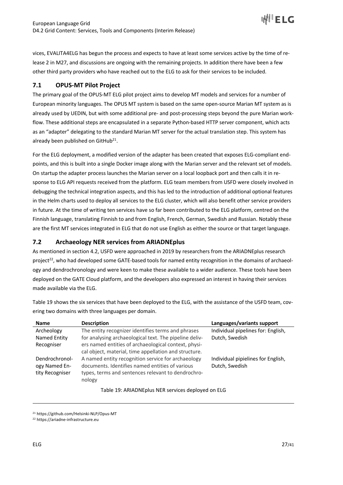

vices, EVALITA4ELG has begun the process and expects to have at least some services active by the time of release 2 in M27, and discussions are ongoing with the remaining projects. In addition there have been a few other third party providers who have reached out to the ELG to ask for their services to be included.

# **7.1 OPUS-MT Pilot Project**

The primary goal of the OPUS-MT ELG pilot project aims to develop MT models and services for a number of European minority languages. The OPUS MT system is based on the same open-source Marian MT system as is already used by UEDIN, but with some additional pre- and post-processing steps beyond the pure Marian workflow. These additional steps are encapsulated in a separate Python-based HTTP server component, which acts as an "adapter" delegating to the standard Marian MT server for the actual translation step. This system has already been published on GitHub<sup>21</sup>.

For the ELG deployment, a modified version of the adapter has been created that exposes ELG-compliant endpoints, and this is built into a single Docker image along with the Marian server and the relevant set of models. On startup the adapter process launches the Marian server on a local loopback port and then calls it in response to ELG API requests received from the platform. ELG team members from USFD were closely involved in debugging the technical integration aspects, and this has led to the introduction of additional optional features in the Helm charts used to deploy all services to the ELG cluster, which will also benefit other service providers in future. At the time of writing ten services have so far been contributed to the ELG platform, centred on the Finnish language, translating Finnish to and from English, French, German, Swedish and Russian. Notably these are the first MT services integrated in ELG that do not use English as either the source or that target language.

# **7.2 Archaeology NER services from ARIADNEplus**

As mentioned in section 4.2, USFD were approached in 2019 by researchers from the ARIADNEplus research project<sup>22</sup>, who had developed some GATE-based tools for named entity recognition in the domains of archaeology and dendrochronology and were keen to make these available to a wider audience. These tools have been deployed on the GATE Cloud platform, and the developers also expressed an interest in having their services made available via the ELG.

Table 19 shows the six services that have been deployed to the ELG, with the assistance of the USFD team, covering two domains with three languages per domain.

| <b>Name</b>     | <b>Description</b>                                     | Languages/variants support         |
|-----------------|--------------------------------------------------------|------------------------------------|
| Archeology      | The entity recognizer identifies terms and phrases     | Individual pipelines for: English, |
| Named Entity    | for analysing archaeological text. The pipeline deliv- | Dutch, Swedish                     |
| Recogniser      | ers named entities of archaeological context, physi-   |                                    |
|                 | cal object, material, time appellation and structure.  |                                    |
| Dendrochronol-  | A named entity recognition service for archaeology     | Individual pipielines for English, |
| ogy Named En-   | documents. Identifies named entities of various        | Dutch, Swedish                     |
| tity Recogniser | types, terms and sentences relevant to dendrochro-     |                                    |
|                 | nology                                                 |                                    |

Table 19: ARIADNEplus NER services deployed on ELG

<sup>21</sup> https://github.com/Helsinki-NLP/Opus-MT

<sup>22</sup> https://ariadne-infrastructure.eu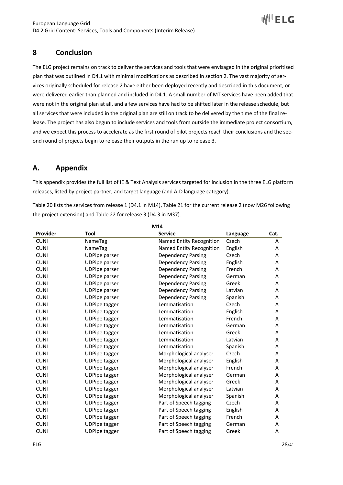

# **8 Conclusion**

The ELG project remains on track to deliver the services and tools that were envisaged in the original prioritised plan that was outlined in D4.1 with minimal modifications as described in section 2. The vast majority of services originally scheduled for release 2 have either been deployed recently and described in this document, or were delivered earlier than planned and included in D4.1. A small number of MT services have been added that were not in the original plan at all, and a few services have had to be shifted later in the release schedule, but all services that were included in the original plan are still on track to be delivered by the time of the final release. The project has also begun to include services and tools from outside the immediate project consortium, and we expect this process to accelerate as the first round of pilot projects reach their conclusions and the second round of projects begin to release their outputs in the run up to release 3.

# **A. Appendix**

This appendix provides the full list of IE & Text Analysis services targeted for inclusion in the three ELG platform releases, listed by project partner, and target language (and A-D language category).

Table 20 lists the services from release 1 (D4.1 in M14), Table 21 for the current release 2 (now M26 following the project extension) and Table 22 for release 3 (D4.3 in M37).

| M14         |                      |                           |          |      |  |  |
|-------------|----------------------|---------------------------|----------|------|--|--|
| Provider    | <b>Tool</b>          | <b>Service</b>            | Language | Cat. |  |  |
| <b>CUNI</b> | NameTag              | Named Entity Recognition  | Czech    | Α    |  |  |
| <b>CUNI</b> | NameTag              | Named Entity Recognition  | English  | Α    |  |  |
| <b>CUNI</b> | <b>UDPipe parser</b> | <b>Dependency Parsing</b> | Czech    | Α    |  |  |
| <b>CUNI</b> | <b>UDPipe parser</b> | <b>Dependency Parsing</b> | English  | Α    |  |  |
| <b>CUNI</b> | <b>UDPipe parser</b> | <b>Dependency Parsing</b> | French   | Α    |  |  |
| <b>CUNI</b> | <b>UDPipe parser</b> | <b>Dependency Parsing</b> | German   | Α    |  |  |
| <b>CUNI</b> | <b>UDPipe parser</b> | <b>Dependency Parsing</b> | Greek    | Α    |  |  |
| <b>CUNI</b> | <b>UDPipe parser</b> | <b>Dependency Parsing</b> | Latvian  | Α    |  |  |
| <b>CUNI</b> | <b>UDPipe parser</b> | <b>Dependency Parsing</b> | Spanish  | A    |  |  |
| <b>CUNI</b> | <b>UDPipe tagger</b> | Lemmatisation             | Czech    | Α    |  |  |
| <b>CUNI</b> | <b>UDPipe tagger</b> | Lemmatisation             | English  | Α    |  |  |
| <b>CUNI</b> | <b>UDPipe tagger</b> | Lemmatisation             | French   | Α    |  |  |
| <b>CUNI</b> | <b>UDPipe tagger</b> | Lemmatisation             | German   | Α    |  |  |
| <b>CUNI</b> | <b>UDPipe tagger</b> | Lemmatisation             | Greek    | A    |  |  |
| <b>CUNI</b> | <b>UDPipe tagger</b> | Lemmatisation             | Latvian  | Α    |  |  |
| <b>CUNI</b> | <b>UDPipe tagger</b> | Lemmatisation             | Spanish  | Α    |  |  |
| <b>CUNI</b> | <b>UDPipe tagger</b> | Morphological analyser    | Czech    | Α    |  |  |
| <b>CUNI</b> | <b>UDPipe tagger</b> | Morphological analyser    | English  | Α    |  |  |
| <b>CUNI</b> | <b>UDPipe tagger</b> | Morphological analyser    | French   | Α    |  |  |
| <b>CUNI</b> | <b>UDPipe tagger</b> | Morphological analyser    | German   | Α    |  |  |
| <b>CUNI</b> | <b>UDPipe tagger</b> | Morphological analyser    | Greek    | Α    |  |  |
| <b>CUNI</b> | <b>UDPipe tagger</b> | Morphological analyser    | Latvian  | Α    |  |  |
| <b>CUNI</b> | <b>UDPipe tagger</b> | Morphological analyser    | Spanish  | Α    |  |  |
| <b>CUNI</b> | <b>UDPipe tagger</b> | Part of Speech tagging    | Czech    | Α    |  |  |
| <b>CUNI</b> | <b>UDPipe tagger</b> | Part of Speech tagging    | English  | A    |  |  |
| <b>CUNI</b> | <b>UDPipe tagger</b> | Part of Speech tagging    | French   | Α    |  |  |
| <b>CUNI</b> | <b>UDPipe tagger</b> | Part of Speech tagging    | German   | Α    |  |  |
| <b>CUNI</b> | <b>UDPipe tagger</b> | Part of Speech tagging    | Greek    | Α    |  |  |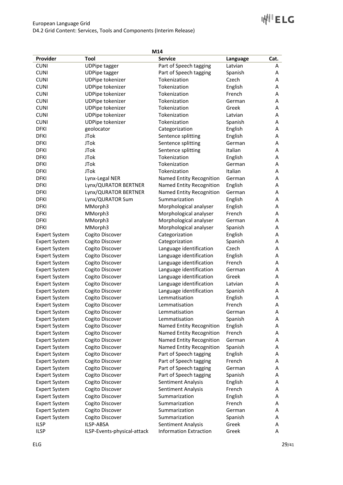# **WILETC**

| M14                  |                             |                               |          |      |  |  |
|----------------------|-----------------------------|-------------------------------|----------|------|--|--|
| Provider             | Tool                        | <b>Service</b>                | Language | Cat. |  |  |
| <b>CUNI</b>          | <b>UDPipe tagger</b>        | Part of Speech tagging        | Latvian  | А    |  |  |
| <b>CUNI</b>          | <b>UDPipe tagger</b>        | Part of Speech tagging        | Spanish  | Α    |  |  |
| <b>CUNI</b>          | UDPipe tokenizer            | Tokenization                  | Czech    | Α    |  |  |
| <b>CUNI</b>          | UDPipe tokenizer            | Tokenization                  | English  | Α    |  |  |
| <b>CUNI</b>          | UDPipe tokenizer            | Tokenization                  | French   | Α    |  |  |
| <b>CUNI</b>          | UDPipe tokenizer            | Tokenization                  | German   | Α    |  |  |
| <b>CUNI</b>          | UDPipe tokenizer            | Tokenization                  | Greek    | Α    |  |  |
| <b>CUNI</b>          | UDPipe tokenizer            | Tokenization                  | Latvian  | Α    |  |  |
| <b>CUNI</b>          | UDPipe tokenizer            | Tokenization                  | Spanish  | Α    |  |  |
| <b>DFKI</b>          | geolocator                  | Categorization                | English  | Α    |  |  |
| <b>DFKI</b>          | <b>JTok</b>                 | Sentence splitting            | English  | Α    |  |  |
| <b>DFKI</b>          | <b>JTok</b>                 | Sentence splitting            | German   | Α    |  |  |
| <b>DFKI</b>          | <b>JTok</b>                 | Sentence splitting            | Italian  | A    |  |  |
| <b>DFKI</b>          | <b>JTok</b>                 | Tokenization                  | English  | А    |  |  |
| <b>DFKI</b>          | <b>JTok</b>                 | Tokenization                  | German   | А    |  |  |
| <b>DFKI</b>          | <b>JTok</b>                 | Tokenization                  | Italian  | А    |  |  |
| <b>DFKI</b>          | Lynx-Legal NER              | Named Entity Recognition      | German   | А    |  |  |
| <b>DFKI</b>          | Lynx/QURATOR BERTNER        | Named Entity Recognition      | English  | А    |  |  |
| <b>DFKI</b>          | Lynx/QURATOR BERTNER        | Named Entity Recognition      | German   | Α    |  |  |
| <b>DFKI</b>          | Lynx/QURATOR Sum            | Summarization                 | English  | Α    |  |  |
| <b>DFKI</b>          | MMorph3                     | Morphological analyser        | English  | Α    |  |  |
| <b>DFKI</b>          | MMorph3                     | Morphological analyser        | French   | Α    |  |  |
| <b>DFKI</b>          | MMorph3                     | Morphological analyser        | German   | Α    |  |  |
| <b>DFKI</b>          | MMorph3                     | Morphological analyser        | Spanish  | Α    |  |  |
| <b>Expert System</b> | Cogito Discover             | Categorization                | English  | Α    |  |  |
| <b>Expert System</b> | Cogito Discover             | Categorization                | Spanish  | Α    |  |  |
| <b>Expert System</b> | Cogito Discover             | Language identification       | Czech    | A    |  |  |
| <b>Expert System</b> | Cogito Discover             | Language identification       | English  | Α    |  |  |
| <b>Expert System</b> | Cogito Discover             | Language identification       | French   | Α    |  |  |
| <b>Expert System</b> | Cogito Discover             | Language identification       | German   | A    |  |  |
| <b>Expert System</b> | Cogito Discover             | Language identification       | Greek    | Α    |  |  |
| <b>Expert System</b> | Cogito Discover             | Language identification       | Latvian  | Α    |  |  |
| <b>Expert System</b> | Cogito Discover             | Language identification       | Spanish  | Α    |  |  |
| <b>Expert System</b> | Cogito Discover             | Lemmatisation                 | English  | Α    |  |  |
| <b>Expert System</b> | Cogito Discover             | Lemmatisation                 | French   | A    |  |  |
| <b>Expert System</b> | Cogito Discover             | Lemmatisation                 | German   | Α    |  |  |
| <b>Expert System</b> | Cogito Discover             | Lemmatisation                 | Spanish  | Α    |  |  |
| <b>Expert System</b> | Cogito Discover             | Named Entity Recognition      | English  | Α    |  |  |
| <b>Expert System</b> | Cogito Discover             | Named Entity Recognition      | French   | Α    |  |  |
| <b>Expert System</b> | Cogito Discover             | Named Entity Recognition      | German   | Α    |  |  |
| <b>Expert System</b> | Cogito Discover             | Named Entity Recognition      | Spanish  | Α    |  |  |
| <b>Expert System</b> | Cogito Discover             | Part of Speech tagging        | English  | Α    |  |  |
| <b>Expert System</b> | Cogito Discover             | Part of Speech tagging        | French   | Α    |  |  |
| <b>Expert System</b> | Cogito Discover             | Part of Speech tagging        | German   | Α    |  |  |
| <b>Expert System</b> | Cogito Discover             | Part of Speech tagging        | Spanish  | Α    |  |  |
| <b>Expert System</b> | Cogito Discover             | Sentiment Analysis            | English  | Α    |  |  |
| <b>Expert System</b> | Cogito Discover             | Sentiment Analysis            | French   | Α    |  |  |
| <b>Expert System</b> | Cogito Discover             | Summarization                 | English  | Α    |  |  |
| <b>Expert System</b> | Cogito Discover             | Summarization                 | French   | Α    |  |  |
| <b>Expert System</b> | Cogito Discover             | Summarization                 | German   | Α    |  |  |
| <b>Expert System</b> | Cogito Discover             | Summarization                 | Spanish  | A    |  |  |
| <b>ILSP</b>          | ILSP-ABSA                   | Sentiment Analysis            | Greek    | Α    |  |  |
| <b>ILSP</b>          | ILSP-Events-physical-attack | <b>Information Extraction</b> | Greek    | Α    |  |  |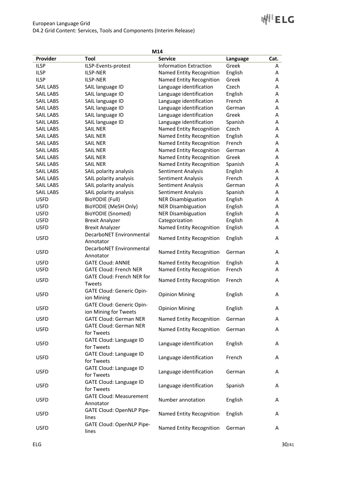|                  |                                   | M14                             |          |      |
|------------------|-----------------------------------|---------------------------------|----------|------|
| Provider         | Tool                              | <b>Service</b>                  | Language | Cat. |
| <b>ILSP</b>      | ILSP-Events-protest               | <b>Information Extraction</b>   | Greek    | A    |
| <b>ILSP</b>      | <b>ILSP-NER</b>                   | Named Entity Recognition        | English  | A    |
| <b>ILSP</b>      | <b>ILSP-NER</b>                   | Named Entity Recognition        | Greek    | A    |
| <b>SAIL LABS</b> | SAIL language ID                  | Language identification         | Czech    | Α    |
| <b>SAIL LABS</b> | SAIL language ID                  | Language identification         | English  | Α    |
| SAIL LABS        | SAIL language ID                  | Language identification         | French   | Α    |
| SAIL LABS        | SAIL language ID                  | Language identification         | German   | Α    |
| <b>SAIL LABS</b> | SAIL language ID                  | Language identification         | Greek    | Α    |
| <b>SAIL LABS</b> | SAIL language ID                  | Language identification         | Spanish  | Α    |
| <b>SAIL LABS</b> | <b>SAIL NER</b>                   | Named Entity Recognition        | Czech    | Α    |
| <b>SAIL LABS</b> | <b>SAIL NER</b>                   | Named Entity Recognition        | English  | A    |
| <b>SAIL LABS</b> | <b>SAIL NER</b>                   | Named Entity Recognition        | French   | A    |
| <b>SAIL LABS</b> | <b>SAIL NER</b>                   | Named Entity Recognition        | German   | Α    |
| <b>SAIL LABS</b> | <b>SAIL NER</b>                   | Named Entity Recognition        | Greek    | Α    |
| <b>SAIL LABS</b> | <b>SAIL NER</b>                   | Named Entity Recognition        | Spanish  | Α    |
| <b>SAIL LABS</b> | SAIL polarity analysis            | Sentiment Analysis              | English  | Α    |
| <b>SAIL LABS</b> | SAIL polarity analysis            | Sentiment Analysis              | French   | Α    |
| <b>SAIL LABS</b> | SAIL polarity analysis            | Sentiment Analysis              | German   | Α    |
| <b>SAIL LABS</b> | SAIL polarity analysis            | Sentiment Analysis              | Spanish  | Α    |
| <b>USFD</b>      | <b>BioYODIE (Full)</b>            | <b>NER Disambiguation</b>       | English  | Α    |
| <b>USFD</b>      | BioYODIE (MeSH Only)              | <b>NER Disambiguation</b>       | English  | Α    |
| <b>USFD</b>      | BioYODIE (Snomed)                 | <b>NER Disambiguation</b>       | English  | Α    |
| <b>USFD</b>      | <b>Brexit Analyzer</b>            | Categorization                  | English  | Α    |
| <b>USFD</b>      | <b>Brexit Analyzer</b>            | Named Entity Recognition        | English  | A    |
|                  | DecarboNET Environmental          |                                 |          |      |
| <b>USFD</b>      | Annotator                         | Named Entity Recognition        | English  | Α    |
|                  | DecarboNET Environmental          |                                 |          |      |
| <b>USFD</b>      | Annotator                         | Named Entity Recognition        | German   | A    |
| <b>USFD</b>      | <b>GATE Cloud: ANNIE</b>          | Named Entity Recognition        | English  | Α    |
| <b>USFD</b>      | <b>GATE Cloud: French NER</b>     | Named Entity Recognition        | French   | A    |
|                  | <b>GATE Cloud: French NER for</b> |                                 |          |      |
| <b>USFD</b>      | Tweets                            | Named Entity Recognition        | French   | A    |
|                  | GATE Cloud: Generic Opin-         |                                 |          |      |
| <b>USFD</b>      | ion Mining                        | <b>Opinion Mining</b>           | English  | Α    |
|                  | GATE Cloud: Generic Opin-         |                                 |          |      |
| <b>USFD</b>      | ion Mining for Tweets             | <b>Opinion Mining</b>           | English  | Α    |
| <b>USFD</b>      | <b>GATE Cloud: German NER</b>     | Named Entity Recognition        | German   | A    |
|                  | <b>GATE Cloud: German NER</b>     |                                 |          |      |
| <b>USFD</b>      | for Tweets                        | <b>Named Entity Recognition</b> | German   | Α    |
|                  | GATE Cloud: Language ID           |                                 |          |      |
| <b>USFD</b>      | for Tweets                        | Language identification         | English  | A    |
|                  | <b>GATE Cloud: Language ID</b>    |                                 |          |      |
| <b>USFD</b>      | for Tweets                        | Language identification         | French   | Α    |
|                  | <b>GATE Cloud: Language ID</b>    |                                 |          |      |
| <b>USFD</b>      | for Tweets                        | Language identification         | German   | A    |
|                  | GATE Cloud: Language ID           |                                 |          |      |
| <b>USFD</b>      | for Tweets                        | Language identification         | Spanish  | A    |
|                  | <b>GATE Cloud: Measurement</b>    |                                 |          |      |
| <b>USFD</b>      | Annotator                         | Number annotation               | English  | A    |
|                  | GATE Cloud: OpenNLP Pipe-         |                                 |          |      |
| <b>USFD</b>      | lines                             | Named Entity Recognition        | English  | Α    |
|                  | GATE Cloud: OpenNLP Pipe-         |                                 |          |      |
| <b>USFD</b>      | lines                             | Named Entity Recognition        | German   | Α    |
|                  |                                   |                                 |          |      |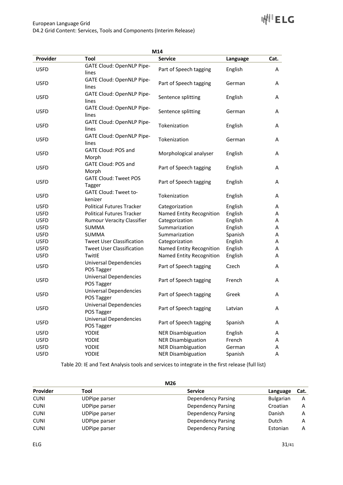

|             |                                   | M14                       |          |      |
|-------------|-----------------------------------|---------------------------|----------|------|
| Provider    | Tool                              | <b>Service</b>            | Language | Cat. |
| <b>USFD</b> | GATE Cloud: OpenNLP Pipe-         | Part of Speech tagging    | English  | A    |
|             | lines                             |                           |          |      |
| <b>USFD</b> | GATE Cloud: OpenNLP Pipe-         | Part of Speech tagging    | German   | A    |
|             | lines                             |                           |          |      |
| <b>USFD</b> | GATE Cloud: OpenNLP Pipe-         | Sentence splitting        | English  | A    |
|             | lines                             |                           |          |      |
| <b>USFD</b> | GATE Cloud: OpenNLP Pipe-         | Sentence splitting        | German   | A    |
|             | lines                             |                           |          |      |
| <b>USFD</b> | GATE Cloud: OpenNLP Pipe-         | Tokenization              | English  | A    |
|             | lines                             |                           |          |      |
| <b>USFD</b> | GATE Cloud: OpenNLP Pipe-         | Tokenization              | German   | A    |
|             | lines                             |                           |          |      |
| <b>USFD</b> | <b>GATE Cloud: POS and</b>        | Morphological analyser    | English  | A    |
|             | Morph                             |                           |          |      |
| <b>USFD</b> | <b>GATE Cloud: POS and</b>        | Part of Speech tagging    | English  | A    |
|             | Morph                             |                           |          |      |
| <b>USFD</b> | <b>GATE Cloud: Tweet POS</b>      | Part of Speech tagging    | English  | A    |
|             | Tagger                            |                           |          |      |
| <b>USFD</b> | GATE Cloud: Tweet to-             | Tokenization              | English  | A    |
|             | kenizer                           |                           |          |      |
| <b>USFD</b> | <b>Political Futures Tracker</b>  | Categorization            | English  | A    |
| <b>USFD</b> | <b>Political Futures Tracker</b>  | Named Entity Recognition  | English  | Α    |
| <b>USFD</b> | <b>Rumour Veracity Classifier</b> | Categorization            | English  | A    |
| <b>USFD</b> | <b>SUMMA</b>                      | Summarization             | English  | Α    |
| <b>USFD</b> | <b>SUMMA</b>                      | Summarization             | Spanish  | A    |
| <b>USFD</b> | <b>Tweet User Classification</b>  | Categorization            | English  | A    |
| <b>USFD</b> | <b>Tweet User Classification</b>  | Named Entity Recognition  | English  | A    |
| <b>USFD</b> | TwitlE                            | Named Entity Recognition  | English  | Α    |
| <b>USFD</b> | <b>Universal Dependencies</b>     | Part of Speech tagging    | Czech    | A    |
|             | POS Tagger                        |                           |          |      |
| <b>USFD</b> | <b>Universal Dependencies</b>     | Part of Speech tagging    | French   | A    |
|             | POS Tagger                        |                           |          |      |
| <b>USFD</b> | <b>Universal Dependencies</b>     | Part of Speech tagging    | Greek    | A    |
|             | POS Tagger                        |                           |          |      |
| <b>USFD</b> | <b>Universal Dependencies</b>     | Part of Speech tagging    | Latvian  | Α    |
|             | POS Tagger                        |                           |          |      |
| <b>USFD</b> | Universal Dependencies            | Part of Speech tagging    | Spanish  | A    |
|             | POS Tagger                        |                           |          |      |
| <b>USFD</b> | <b>YODIE</b>                      | <b>NER Disambiguation</b> | English  | A    |
| <b>USFD</b> | YODIE                             | <b>NER Disambiguation</b> | French   | A    |
| <b>USFD</b> | YODIE                             | <b>NER Disambiguation</b> | German   | A    |
| <b>USFD</b> | <b>YODIE</b>                      | <b>NER Disambiguation</b> | Spanish  | Α    |

Table 20: IE and Text Analysis tools and services to integrate in the first release (full list)

|                 | M26                  |                           |                  |      |
|-----------------|----------------------|---------------------------|------------------|------|
| <b>Provider</b> | Tool                 | <b>Service</b>            | Language         | Cat. |
| <b>CUNI</b>     | <b>UDPipe parser</b> | Dependency Parsing        | <b>Bulgarian</b> | A    |
| <b>CUNI</b>     | <b>UDPipe parser</b> | Dependency Parsing        | Croatian         | A    |
| <b>CUNI</b>     | <b>UDPipe parser</b> | Dependency Parsing        | Danish           | А    |
| <b>CUNI</b>     | <b>UDPipe parser</b> | Dependency Parsing        | Dutch            | Α    |
| <b>CUNI</b>     | <b>UDPipe parser</b> | <b>Dependency Parsing</b> | Estonian         | А    |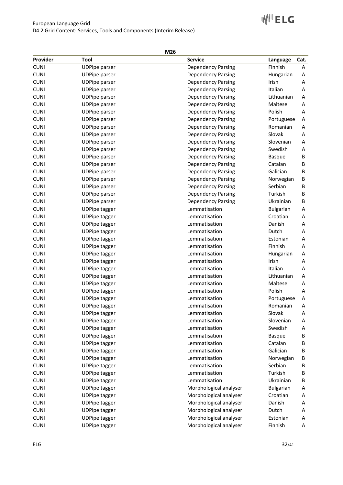# **WILETC**

| ۰.<br>۰.<br>× |
|---------------|
|---------------|

| Provider                   | Tool                                         |                                                        |                          |        |
|----------------------------|----------------------------------------------|--------------------------------------------------------|--------------------------|--------|
| <b>CUNI</b>                |                                              | <b>Service</b>                                         | Language<br>Finnish      | Cat.   |
| <b>CUNI</b>                | <b>UDPipe parser</b>                         | <b>Dependency Parsing</b>                              |                          | Α      |
| <b>CUNI</b>                | <b>UDPipe parser</b>                         | Dependency Parsing                                     | Hungarian<br>Irish       | Α      |
| <b>CUNI</b>                | <b>UDPipe parser</b><br><b>UDPipe parser</b> | <b>Dependency Parsing</b>                              | Italian                  | Α<br>Α |
| <b>CUNI</b>                |                                              | <b>Dependency Parsing</b>                              | Lithuanian               | Α      |
| <b>CUNI</b>                | <b>UDPipe parser</b><br><b>UDPipe parser</b> | <b>Dependency Parsing</b><br><b>Dependency Parsing</b> | Maltese                  | Α      |
| <b>CUNI</b>                | <b>UDPipe parser</b>                         | <b>Dependency Parsing</b>                              | Polish                   | Α      |
| <b>CUNI</b>                | <b>UDPipe parser</b>                         | <b>Dependency Parsing</b>                              |                          | Α      |
| <b>CUNI</b>                |                                              | <b>Dependency Parsing</b>                              | Portuguese<br>Romanian   | Α      |
| <b>CUNI</b>                | <b>UDPipe parser</b><br><b>UDPipe parser</b> | <b>Dependency Parsing</b>                              | Slovak                   |        |
| <b>CUNI</b>                | <b>UDPipe parser</b>                         |                                                        | Slovenian                | Α<br>Α |
| <b>CUNI</b>                |                                              | <b>Dependency Parsing</b>                              | Swedish                  |        |
| <b>CUNI</b>                | <b>UDPipe parser</b><br><b>UDPipe parser</b> | <b>Dependency Parsing</b><br><b>Dependency Parsing</b> |                          | Α<br>В |
| <b>CUNI</b>                |                                              | <b>Dependency Parsing</b>                              | <b>Basque</b><br>Catalan | В      |
| <b>CUNI</b>                | <b>UDPipe parser</b>                         | <b>Dependency Parsing</b>                              | Galician                 | B      |
| <b>CUNI</b>                | <b>UDPipe parser</b><br><b>UDPipe parser</b> | <b>Dependency Parsing</b>                              |                          | B      |
| <b>CUNI</b>                |                                              |                                                        | Norwegian<br>Serbian     |        |
| <b>CUNI</b>                | <b>UDPipe parser</b><br><b>UDPipe parser</b> | <b>Dependency Parsing</b><br><b>Dependency Parsing</b> | Turkish                  | В<br>B |
| <b>CUNI</b>                | <b>UDPipe parser</b>                         | <b>Dependency Parsing</b>                              | Ukrainian                | B      |
| <b>CUNI</b>                | <b>UDPipe tagger</b>                         | Lemmatisation                                          | <b>Bulgarian</b>         | A      |
| <b>CUNI</b>                |                                              | Lemmatisation                                          |                          |        |
| <b>CUNI</b>                | <b>UDPipe tagger</b>                         | Lemmatisation                                          | Croatian<br>Danish       | Α<br>Α |
| <b>CUNI</b>                | <b>UDPipe tagger</b>                         | Lemmatisation                                          | Dutch                    | Α      |
|                            | <b>UDPipe tagger</b>                         |                                                        |                          |        |
| <b>CUNI</b><br><b>CUNI</b> | <b>UDPipe tagger</b>                         | Lemmatisation<br>Lemmatisation                         | Estonian<br>Finnish      | Α      |
|                            | <b>UDPipe tagger</b>                         |                                                        |                          | Α      |
| <b>CUNI</b>                | <b>UDPipe tagger</b>                         | Lemmatisation                                          | Hungarian                | Α      |
| <b>CUNI</b>                | <b>UDPipe tagger</b>                         | Lemmatisation                                          | Irish                    | Α      |
| <b>CUNI</b><br><b>CUNI</b> | <b>UDPipe tagger</b>                         | Lemmatisation                                          | Italian<br>Lithuanian    | Α      |
| <b>CUNI</b>                | <b>UDPipe tagger</b>                         | Lemmatisation<br>Lemmatisation                         | Maltese                  | Α<br>Α |
| <b>CUNI</b>                | <b>UDPipe tagger</b>                         | Lemmatisation                                          | Polish                   | Α      |
| <b>CUNI</b>                | <b>UDPipe tagger</b><br><b>UDPipe tagger</b> | Lemmatisation                                          |                          | Α      |
| <b>CUNI</b>                | <b>UDPipe tagger</b>                         | Lemmatisation                                          | Portuguese<br>Romanian   |        |
|                            |                                              | Lemmatisation                                          | Slovak                   | Α      |
| <b>CUNI</b>                | <b>UDPipe tagger</b>                         |                                                        |                          | A      |
| <b>CUNI</b><br><b>CUNI</b> | <b>UDPipe tagger</b>                         | Lemmatisation<br>Lemmatisation                         | Slovenian<br>Swedish     | Α      |
| <b>CUNI</b>                | <b>UDPipe tagger</b><br><b>UDPipe tagger</b> | Lemmatisation                                          |                          | Α<br>B |
| <b>CUNI</b>                | <b>UDPipe tagger</b>                         | Lemmatisation                                          | <b>Basque</b><br>Catalan | В      |
| <b>CUNI</b>                | <b>UDPipe tagger</b>                         | Lemmatisation                                          | Galician                 | В      |
| <b>CUNI</b>                |                                              | Lemmatisation                                          |                          |        |
| <b>CUNI</b>                | <b>UDPipe tagger</b>                         | Lemmatisation                                          | Norwegian<br>Serbian     | В      |
| <b>CUNI</b>                | <b>UDPipe tagger</b>                         | Lemmatisation                                          | Turkish                  | В      |
| <b>CUNI</b>                | <b>UDPipe tagger</b>                         | Lemmatisation                                          | Ukrainian                | В      |
|                            | <b>UDPipe tagger</b>                         |                                                        |                          | В      |
| <b>CUNI</b>                | <b>UDPipe tagger</b>                         | Morphological analyser                                 | <b>Bulgarian</b>         | Α      |
| <b>CUNI</b><br><b>CUNI</b> | <b>UDPipe tagger</b>                         | Morphological analyser                                 | Croatian                 | Α      |
|                            | <b>UDPipe tagger</b>                         | Morphological analyser                                 | Danish                   | Α      |
| <b>CUNI</b>                | <b>UDPipe tagger</b>                         | Morphological analyser                                 | Dutch                    | Α      |
| <b>CUNI</b>                | <b>UDPipe tagger</b>                         | Morphological analyser                                 | Estonian                 | Α      |
| <b>CUNI</b>                | <b>UDPipe tagger</b>                         | Morphological analyser                                 | Finnish                  | Α      |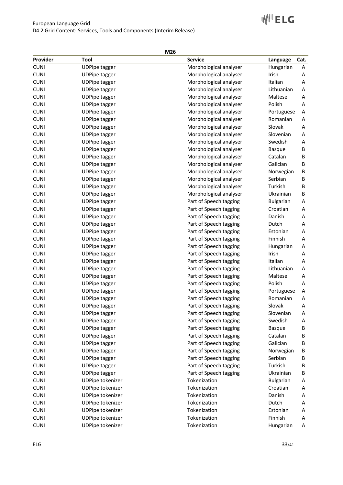# D4.2 Grid Content: Services, Tools and Components (Interim Release)

# ⊮<sup>∥</sup>ELG

|          |                      | M26                    |            |              |
|----------|----------------------|------------------------|------------|--------------|
| Provider | Tool                 | <b>Service</b>         | Language   | Cat.         |
| CUNI     | <b>UDPipe tagger</b> | Morphological analyser | Hungarian  | A            |
| CUNI     | <b>UDPipe tagger</b> | Morphological analyser | Irish      | A            |
| CUNI     | <b>UDPipe tagger</b> | Morphological analyser | Italian    | A            |
| CUNI     | <b>UDPipe tagger</b> | Morphological analyser | Lithuanian | $\mathsf{A}$ |
| CUNI     | <b>UDPipe tagger</b> | Morphological analyser | Maltese    | A            |
| CUNI     | <b>UDPipe tagger</b> | Morphological analyser | Polish     | A            |
|          |                      |                        |            |              |

European Language Grid

CUNI UDPipe tagger Morphological analyser Maltese A CUNI UDPipe tagger Morphological analyser Polish A CUNI UDPipe tagger and the Morphological analyser Portuguese A CUNI CUNI UDPipe tagger and the Morphological analyser Romanian A CUNI CUNI UDPipe tagger and the Morphological analyser Slovak A CUNI CUNI UDPipe tagger CUNI CUNI UDPipe tagger CUNI CUNI UDPipe tagger and the Morphological analyser Swedish A CUNI UDPipe tagger and the Morphological analyser Basque B CUNI UDPipe tagger Cunic Cunic Morphological analyser Catalan B CUNI CUNI UDPipe tagger CUNI Morphological analyser Galician B CUNI CUNI UDPipe tagger and the Morphological analyser and Morwegian B CUNI UDPipe tagger Serbian B Morphological analyser Serbian B CUNI UDPipe tagger CUNI Morphological analyser Turkish B CUNI UDPipe tagger and the Morphological analyser Ukrainian B CUNI CUNI UDPipe tagger **Part of Speech tagging** Bulgarian A CUNI CUNI UDPipe tagger CUNI CUNI Part of Speech tagging Croatian A CUNI UDPipe tagger Part of Speech tagging Danish A CUNI CUNI UDPipe tagger **Part of Speech tagging** Dutch A CUNI UDPipe tagger CUNI CUNI CUNI CUNI UDPipe tagger Part of Speech tagging Finnish A CUNI CUNI UDPipe tagger **Part of Speech tagging** Hungarian A CUNI CUNI UDPipe tagger **Part of Speech tagging** Irish A CUNI CUNI UDPipe tagger CUNI CUNI Part of Speech tagging Italian A CUNI CUNI UDPipe tagger **Part of Speech tagging** Lithuanian A CUNI CUNI UDPipe tagger **Part of Speech tagging** Maltese A CUNI CUNI UDPipe tagger **Part of Speech tagging** Polish A CUNI CUNI UDPipe tagger and the Speech tagging Portuguese A CUNI CUNI UDPipe tagger **Part of Speech tagging** Romanian A CUNI CUNI UDPipe tagger **Part of Speech tagging** Slovak A CUNI UDPipe tagger Part of Speech tagging Slovenian A CUNI CUNI UDPipe tagger Part of Speech tagging Swedish A CUNI UDPipe tagger CUNI Basque Basque Basque Basque Basque Basque Basque Basque Basque Basque Basque Basque Basque Basque Basque Basque Basque Basque Basque Basque Basque Basque Basque Basque Basque Basque Basque Basque Ba CUNI CUNI UDPipe tagger Catalan B CUNI CUNI UDPipe tagger CUNI CUNI BATT Of Speech tagging Galician B CUNI CUNI UDPipe tagger **Part of Speech tagging** Norwegian B CUNI CUNI UDPipe tagger **Part of Speech tagging** Serbian B CUNI UDPipe tagger Part of Speech tagging Turkish B CUNI UDPipe tagger Part of Speech tagging Ukrainian B CUNI UDPipe tokenizer Tokenization Tokenization Bulgarian A CUNI UDPipe tokenizer Tokenization Tokenization Croatian A CUNI UDPipe tokenizer Tokenization Danish A CUNI UDPipe tokenizer Tokenization Dutch A CUNI CUNI UDPipe tokenizer Tokenization Tokenization Estonian A CUNI UDPipe tokenizer Tokenization Tokenization Finnish A

CUNI UDPipe tokenizer Tokenization Tokenization Hungarian A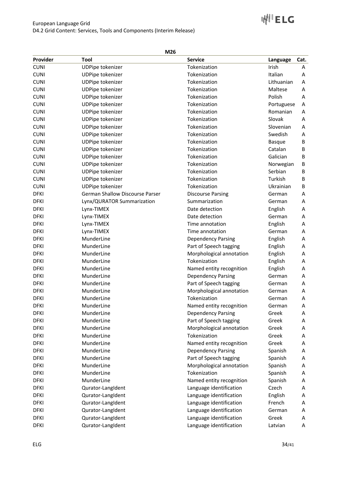**WILETC** 

## European Language Grid D4.2 Grid Content: Services, Tools and Components (Interim Release)

| Provider    | Tool                            | <b>Service</b>            | Language      | Cat. |
|-------------|---------------------------------|---------------------------|---------------|------|
| <b>CUNI</b> | UDPipe tokenizer                | Tokenization              | Irish         | Α    |
| <b>CUNI</b> | <b>UDPipe tokenizer</b>         | Tokenization              | Italian       | Α    |
| <b>CUNI</b> | <b>UDPipe tokenizer</b>         | Tokenization              | Lithuanian    | Α    |
| <b>CUNI</b> | <b>UDPipe tokenizer</b>         | Tokenization              | Maltese       | Α    |
| <b>CUNI</b> | UDPipe tokenizer                | Tokenization              | Polish        | A    |
| <b>CUNI</b> | <b>UDPipe tokenizer</b>         | Tokenization              | Portuguese    | A    |
| <b>CUNI</b> | <b>UDPipe tokenizer</b>         | Tokenization              | Romanian      | Α    |
| <b>CUNI</b> | UDPipe tokenizer                | Tokenization              | Slovak        | Α    |
| <b>CUNI</b> | <b>UDPipe tokenizer</b>         | Tokenization              | Slovenian     | Α    |
| <b>CUNI</b> | UDPipe tokenizer                | Tokenization              | Swedish       | Α    |
| <b>CUNI</b> | <b>UDPipe tokenizer</b>         | Tokenization              | <b>Basque</b> | В    |
| <b>CUNI</b> | <b>UDPipe tokenizer</b>         | Tokenization              | Catalan       | В    |
| <b>CUNI</b> | <b>UDPipe tokenizer</b>         | Tokenization              | Galician      | В    |
| <b>CUNI</b> | <b>UDPipe tokenizer</b>         | Tokenization              | Norwegian     | В    |
| <b>CUNI</b> | UDPipe tokenizer                | Tokenization              | Serbian       | B    |
| <b>CUNI</b> | UDPipe tokenizer                | Tokenization              | Turkish       | B    |
| <b>CUNI</b> | UDPipe tokenizer                | Tokenization              | Ukrainian     | B    |
| <b>DFKI</b> | German Shallow Discourse Parser | <b>Discourse Parsing</b>  | German        | Α    |
| <b>DFKI</b> | Lynx/QURATOR Summarization      | Summarization             | German        | Α    |
| <b>DFKI</b> | Lynx-TIMEX                      | Date detection            | English       | Α    |
| <b>DFKI</b> | Lynx-TIMEX                      | Date detection            | German        | Α    |
| <b>DFKI</b> | Lynx-TIMEX                      | Time annotation           | English       | Α    |
| <b>DFKI</b> | Lynx-TIMEX                      | Time annotation           | German        | Α    |
| <b>DFKI</b> | MunderLine                      | <b>Dependency Parsing</b> | English       | Α    |
| <b>DFKI</b> | MunderLine                      | Part of Speech tagging    | English       | Α    |
| <b>DFKI</b> | MunderLine                      | Morphological annotation  | English       | Α    |
| <b>DFKI</b> | MunderLine                      | Tokenization              | English       | Α    |
| <b>DFKI</b> | MunderLine                      | Named entity recognition  | English       | Α    |
| <b>DFKI</b> | MunderLine                      | <b>Dependency Parsing</b> | German        | Α    |
| <b>DFKI</b> | MunderLine                      | Part of Speech tagging    | German        | Α    |
| <b>DFKI</b> | MunderLine                      | Morphological annotation  | German        | Α    |
| <b>DFKI</b> | MunderLine                      | Tokenization              | German        | Α    |
| <b>DFKI</b> | MunderLine                      | Named entity recognition  | German        | Α    |
| <b>DFKI</b> | MunderLine                      | <b>Dependency Parsing</b> | Greek         | Α    |
| <b>DFKI</b> | MunderLine                      | Part of Speech tagging    | Greek         | A    |
| <b>DFKI</b> | MunderLine                      | Morphological annotation  | Greek         | A    |
| <b>DFKI</b> | MunderLine                      | Tokenization              | Greek         | Α    |
| <b>DFKI</b> | MunderLine                      | Named entity recognition  | Greek         | Α    |
| <b>DFKI</b> | MunderLine                      | <b>Dependency Parsing</b> | Spanish       | Α    |
| <b>DFKI</b> | MunderLine                      | Part of Speech tagging    | Spanish       | Α    |
| <b>DFKI</b> | MunderLine                      | Morphological annotation  | Spanish       | Α    |
| <b>DFKI</b> | MunderLine                      | Tokenization              | Spanish       | Α    |
| <b>DFKI</b> | MunderLine                      | Named entity recognition  | Spanish       | Α    |
| <b>DFKI</b> | Qurator-LangIdent               | Language identification   | Czech         | Α    |
| <b>DFKI</b> | Qurator-LangIdent               | Language identification   | English       | Α    |
| <b>DFKI</b> | Qurator-LangIdent               | Language identification   | French        | Α    |
| <b>DFKI</b> | Qurator-LangIdent               | Language identification   | German        | Α    |
| <b>DFKI</b> | Qurator-LangIdent               | Language identification   | Greek         | Α    |
| <b>DFKI</b> | Qurator-LangIdent               | Language identification   | Latvian       | Α    |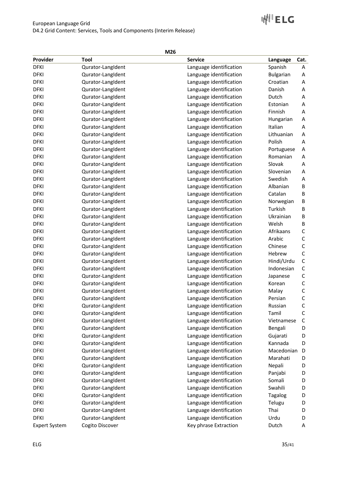## European Language Grid D4.2 Grid Content: Services, Tools and Components (Interim Release)

# **WILETC**

| Provider             | Tool              | <b>Service</b>          | Language       | Cat.         |
|----------------------|-------------------|-------------------------|----------------|--------------|
| <b>DFKI</b>          | Qurator-LangIdent | Language identification | Spanish        | Α            |
| <b>DFKI</b>          | Qurator-LangIdent | Language identification | Bulgarian      | Α            |
| <b>DFKI</b>          | Qurator-LangIdent | Language identification | Croatian       | Α            |
| <b>DFKI</b>          | Qurator-LangIdent | Language identification | Danish         | Α            |
| <b>DFKI</b>          | Qurator-LangIdent | Language identification | Dutch          | A            |
| <b>DFKI</b>          | Qurator-LangIdent | Language identification | Estonian       | Α            |
| <b>DFKI</b>          | Qurator-LangIdent | Language identification | Finnish        | Α            |
| <b>DFKI</b>          | Qurator-LangIdent | Language identification | Hungarian      | Α            |
| <b>DFKI</b>          | Qurator-LangIdent | Language identification | Italian        | Α            |
| <b>DFKI</b>          | Qurator-LangIdent | Language identification | Lithuanian     | Α            |
| <b>DFKI</b>          | Qurator-LangIdent | Language identification | Polish         | A            |
| <b>DFKI</b>          | Qurator-LangIdent | Language identification | Portuguese     | Α            |
| <b>DFKI</b>          | Qurator-LangIdent | Language identification | Romanian       | A            |
| <b>DFKI</b>          | Qurator-LangIdent | Language identification | Slovak         | Α            |
| <b>DFKI</b>          | Qurator-LangIdent | Language identification | Slovenian      | Α            |
| <b>DFKI</b>          | Qurator-LangIdent | Language identification | Swedish        | Α            |
| <b>DFKI</b>          | Qurator-LangIdent | Language identification | Albanian       | B            |
| <b>DFKI</b>          | Qurator-LangIdent | Language identification | Catalan        | B            |
| <b>DFKI</b>          | Qurator-LangIdent | Language identification | Norwegian      | B            |
| <b>DFKI</b>          | Qurator-LangIdent | Language identification | Turkish        | B            |
| <b>DFKI</b>          | Qurator-LangIdent | Language identification | Ukrainian      | B            |
| <b>DFKI</b>          | Qurator-LangIdent | Language identification | Welsh          | В            |
| <b>DFKI</b>          | Qurator-LangIdent | Language identification | Afrikaans      | С            |
| <b>DFKI</b>          | Qurator-LangIdent | Language identification | Arabic         | $\mathsf C$  |
| <b>DFKI</b>          | Qurator-LangIdent | Language identification | Chinese        | $\mathsf C$  |
| <b>DFKI</b>          | Qurator-LangIdent | Language identification | Hebrew         | $\mathsf C$  |
| <b>DFKI</b>          | Qurator-LangIdent | Language identification | Hindi/Urdu     | $\mathsf C$  |
| <b>DFKI</b>          | Qurator-LangIdent | Language identification | Indonesian     | $\mathsf C$  |
| <b>DFKI</b>          | Qurator-LangIdent | Language identification | Japanese       | $\mathsf C$  |
| <b>DFKI</b>          | Qurator-LangIdent | Language identification | Korean         | $\mathsf C$  |
| <b>DFKI</b>          | Qurator-LangIdent | Language identification | Malay          | $\mathsf C$  |
| <b>DFKI</b>          | Qurator-LangIdent | Language identification | Persian        | $\mathsf C$  |
| <b>DFKI</b>          | Qurator-LangIdent | Language identification | Russian        | $\mathsf C$  |
| <b>DFKI</b>          | Qurator-LangIdent | Language identification | Tamil          | $\mathsf{C}$ |
| <b>DFKI</b>          | Qurator-LangIdent | Language identification | Vietnamese     | $\mathsf{C}$ |
| <b>DFKI</b>          | Qurator-LangIdent | Language identification | Bengali        | D            |
| <b>DFKI</b>          | Qurator-LangIdent | Language identification | Gujarati       | D            |
| <b>DFKI</b>          | Qurator-LangIdent | Language identification | Kannada        | D            |
| <b>DFKI</b>          | Qurator-LangIdent | Language identification | Macedonian     | D            |
| <b>DFKI</b>          | Qurator-LangIdent | Language identification | Marahati       | D            |
| <b>DFKI</b>          | Qurator-LangIdent | Language identification | Nepali         | D            |
| <b>DFKI</b>          | Qurator-LangIdent | Language identification | Panjabi        | D            |
| <b>DFKI</b>          | Qurator-LangIdent | Language identification | Somali         | D            |
| <b>DFKI</b>          | Qurator-LangIdent | Language identification | Swahili        | D            |
| <b>DFKI</b>          | Qurator-LangIdent | Language identification | <b>Tagalog</b> | D            |
| <b>DFKI</b>          | Qurator-LangIdent | Language identification | Telugu         | D            |
| <b>DFKI</b>          | Qurator-LangIdent | Language identification | Thai           | D            |
| <b>DFKI</b>          | Qurator-LangIdent | Language identification | Urdu           | D            |
| <b>Expert System</b> | Cogito Discover   | Key phrase Extraction   | Dutch          | Α            |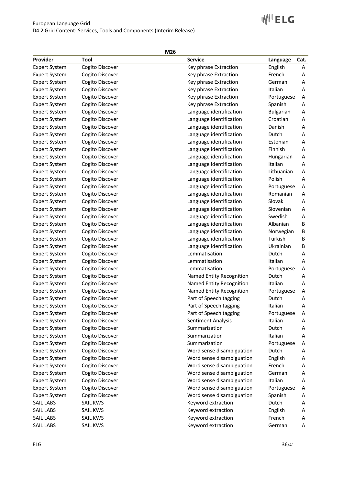# **WILETC**

| Provider             | Tool            | <b>Service</b>            | Language         | Cat. |
|----------------------|-----------------|---------------------------|------------------|------|
| <b>Expert System</b> | Cogito Discover | Key phrase Extraction     | English          | Α    |
| <b>Expert System</b> | Cogito Discover | Key phrase Extraction     | French           | Α    |
| <b>Expert System</b> | Cogito Discover | Key phrase Extraction     | German           | Α    |
| <b>Expert System</b> | Cogito Discover | Key phrase Extraction     | Italian          | Α    |
| <b>Expert System</b> | Cogito Discover | Key phrase Extraction     | Portuguese       | Α    |
| <b>Expert System</b> | Cogito Discover | Key phrase Extraction     | Spanish          | Α    |
| <b>Expert System</b> | Cogito Discover | Language identification   | <b>Bulgarian</b> | Α    |
| <b>Expert System</b> | Cogito Discover | Language identification   | Croatian         | Α    |
| <b>Expert System</b> | Cogito Discover | Language identification   | Danish           | Α    |
| <b>Expert System</b> | Cogito Discover | Language identification   | Dutch            | Α    |
| <b>Expert System</b> | Cogito Discover | Language identification   | Estonian         | Α    |
| <b>Expert System</b> | Cogito Discover | Language identification   | Finnish          | Α    |
| <b>Expert System</b> | Cogito Discover | Language identification   | Hungarian        | Α    |
| <b>Expert System</b> | Cogito Discover | Language identification   | Italian          | Α    |
| <b>Expert System</b> | Cogito Discover | Language identification   | Lithuanian       | А    |
| <b>Expert System</b> | Cogito Discover | Language identification   | Polish           | Α    |
| <b>Expert System</b> | Cogito Discover | Language identification   | Portuguese       | Α    |
| <b>Expert System</b> | Cogito Discover | Language identification   | Romanian         | Α    |
| <b>Expert System</b> | Cogito Discover | Language identification   | Slovak           | Α    |
| <b>Expert System</b> | Cogito Discover | Language identification   | Slovenian        | Α    |
| <b>Expert System</b> | Cogito Discover | Language identification   | Swedish          | Α    |
| <b>Expert System</b> | Cogito Discover | Language identification   | Albanian         | В    |
| <b>Expert System</b> | Cogito Discover | Language identification   | Norwegian        | B    |
| <b>Expert System</b> | Cogito Discover | Language identification   | Turkish          | B    |
| <b>Expert System</b> | Cogito Discover | Language identification   | Ukrainian        | B    |
| <b>Expert System</b> | Cogito Discover | Lemmatisation             | Dutch            | А    |
| <b>Expert System</b> | Cogito Discover | Lemmatisation             | Italian          | Α    |
| <b>Expert System</b> | Cogito Discover | Lemmatisation             | Portuguese       | А    |
| <b>Expert System</b> | Cogito Discover | Named Entity Recognition  | Dutch            | Α    |
| <b>Expert System</b> | Cogito Discover | Named Entity Recognition  | Italian          | Α    |
| <b>Expert System</b> | Cogito Discover | Named Entity Recognition  | Portuguese       | Α    |
| <b>Expert System</b> | Cogito Discover | Part of Speech tagging    | Dutch            | Α    |
| <b>Expert System</b> | Cogito Discover | Part of Speech tagging    | Italian          | Α    |
| <b>Expert System</b> | Cogito Discover | Part of Speech tagging    | Portuguese       | A    |
| <b>Expert System</b> | Cogito Discover | Sentiment Analysis        | Italian          | A    |
| <b>Expert System</b> | Cogito Discover | Summarization             | Dutch            | A    |
| <b>Expert System</b> | Cogito Discover | Summarization             | Italian          | Α    |
| <b>Expert System</b> | Cogito Discover | Summarization             | Portuguese       | A    |
| <b>Expert System</b> | Cogito Discover | Word sense disambiguation | Dutch            | Α    |
| <b>Expert System</b> | Cogito Discover | Word sense disambiguation | English          | A    |
| <b>Expert System</b> | Cogito Discover | Word sense disambiguation | French           | A    |
| <b>Expert System</b> | Cogito Discover | Word sense disambiguation | German           | Α    |
| <b>Expert System</b> | Cogito Discover | Word sense disambiguation | Italian          | Α    |
| <b>Expert System</b> | Cogito Discover | Word sense disambiguation | Portuguese       | Α    |
| <b>Expert System</b> | Cogito Discover | Word sense disambiguation | Spanish          | Α    |
| SAIL LABS            | SAIL KWS        | Keyword extraction        | Dutch            | A    |
| <b>SAIL LABS</b>     | <b>SAIL KWS</b> | Keyword extraction        | English          | A    |
| SAIL LABS            | <b>SAIL KWS</b> | Keyword extraction        | French           | Α    |
| SAIL LABS            | SAIL KWS        | Keyword extraction        | German           | A    |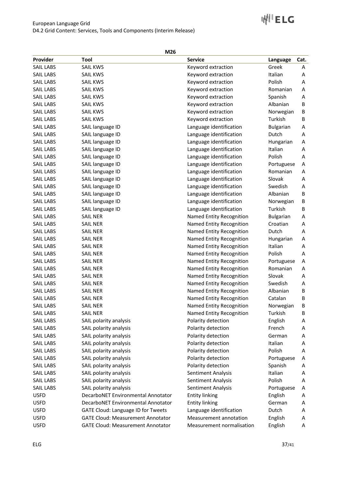## European Language Grid D4.2 Grid Content: Services, Tools and Components (Interim Release)

# **WILETC**

| Provider         | Tool                                     | <b>Service</b>            | Language         | Cat. |
|------------------|------------------------------------------|---------------------------|------------------|------|
| <b>SAIL LABS</b> | <b>SAIL KWS</b>                          | Keyword extraction        | Greek            | Α    |
| <b>SAIL LABS</b> | <b>SAIL KWS</b>                          | Keyword extraction        | Italian          | A    |
| <b>SAIL LABS</b> | <b>SAIL KWS</b>                          | Keyword extraction        | Polish           | A    |
| <b>SAIL LABS</b> | SAIL KWS                                 | Keyword extraction        | Romanian         | Α    |
| <b>SAIL LABS</b> | <b>SAIL KWS</b>                          | Keyword extraction        | Spanish          | Α    |
| <b>SAIL LABS</b> | <b>SAIL KWS</b>                          | Keyword extraction        | Albanian         | B    |
| <b>SAIL LABS</b> | <b>SAIL KWS</b>                          | Keyword extraction        | Norwegian        | В    |
| <b>SAIL LABS</b> | <b>SAIL KWS</b>                          | Keyword extraction        | Turkish          | В    |
| <b>SAIL LABS</b> | SAIL language ID                         | Language identification   | <b>Bulgarian</b> | Α    |
| <b>SAIL LABS</b> | SAIL language ID                         | Language identification   | Dutch            | Α    |
| <b>SAIL LABS</b> | SAIL language ID                         | Language identification   | Hungarian        | A    |
| <b>SAIL LABS</b> | SAIL language ID                         | Language identification   | Italian          | Α    |
| <b>SAIL LABS</b> | SAIL language ID                         | Language identification   | Polish           | A    |
| <b>SAIL LABS</b> | SAIL language ID                         | Language identification   | Portuguese       | A    |
| <b>SAIL LABS</b> | SAIL language ID                         | Language identification   | Romanian         | Α    |
| <b>SAIL LABS</b> | SAIL language ID                         | Language identification   | Slovak           | А    |
| <b>SAIL LABS</b> | SAIL language ID                         | Language identification   | Swedish          | Α    |
| <b>SAIL LABS</b> | SAIL language ID                         | Language identification   | Albanian         | B    |
| <b>SAIL LABS</b> | SAIL language ID                         | Language identification   | Norwegian        | B    |
| <b>SAIL LABS</b> | SAIL language ID                         | Language identification   | Turkish          | В    |
| <b>SAIL LABS</b> | <b>SAIL NER</b>                          | Named Entity Recognition  | <b>Bulgarian</b> | Α    |
| <b>SAIL LABS</b> | <b>SAIL NER</b>                          | Named Entity Recognition  | Croatian         | Α    |
| <b>SAIL LABS</b> | <b>SAIL NER</b>                          | Named Entity Recognition  | Dutch            | Α    |
| <b>SAIL LABS</b> | <b>SAIL NER</b>                          | Named Entity Recognition  | Hungarian        | Α    |
| <b>SAIL LABS</b> | <b>SAIL NER</b>                          | Named Entity Recognition  | Italian          | Α    |
| <b>SAIL LABS</b> | <b>SAIL NER</b>                          | Named Entity Recognition  | Polish           | Α    |
| <b>SAIL LABS</b> | <b>SAIL NER</b>                          | Named Entity Recognition  | Portuguese       | Α    |
| <b>SAIL LABS</b> | <b>SAIL NER</b>                          | Named Entity Recognition  | Romanian         | А    |
| <b>SAIL LABS</b> | <b>SAIL NER</b>                          | Named Entity Recognition  | Slovak           | Α    |
| <b>SAIL LABS</b> | <b>SAIL NER</b>                          | Named Entity Recognition  | Swedish          | Α    |
| <b>SAIL LABS</b> | <b>SAIL NER</b>                          | Named Entity Recognition  | Albanian         | B    |
| <b>SAIL LABS</b> | <b>SAIL NER</b>                          | Named Entity Recognition  | Catalan          | B    |
| <b>SAIL LABS</b> | <b>SAIL NER</b>                          | Named Entity Recognition  | Norwegian        | B    |
| <b>SAIL LABS</b> | <b>SAIL NER</b>                          | Named Entity Recognition  | Turkish          | B    |
| <b>SAIL LABS</b> | SAIL polarity analysis                   | Polarity detection        | English          | A    |
| <b>SAIL LABS</b> | SAIL polarity analysis                   | Polarity detection        | French           | Α    |
| <b>SAIL LABS</b> | SAIL polarity analysis                   | Polarity detection        | German           | Α    |
| <b>SAIL LABS</b> | SAIL polarity analysis                   | Polarity detection        | Italian          | Α    |
| <b>SAIL LABS</b> | SAIL polarity analysis                   | Polarity detection        | Polish           | A    |
| <b>SAIL LABS</b> | SAIL polarity analysis                   | Polarity detection        | Portuguese       | Α    |
| <b>SAIL LABS</b> | SAIL polarity analysis                   | Polarity detection        | Spanish          | Α    |
| <b>SAIL LABS</b> | SAIL polarity analysis                   | Sentiment Analysis        | Italian          | Α    |
| <b>SAIL LABS</b> | SAIL polarity analysis                   | Sentiment Analysis        | Polish           | Α    |
| <b>SAIL LABS</b> | SAIL polarity analysis                   | Sentiment Analysis        | Portuguese       | A    |
| <b>USFD</b>      | DecarboNET Environmental Annotator       | <b>Entity linking</b>     | English          | Α    |
| <b>USFD</b>      | DecarboNET Environmental Annotator       | <b>Entity linking</b>     | German           | A    |
| <b>USFD</b>      | GATE Cloud: Language ID for Tweets       | Language identification   | Dutch            | A    |
| <b>USFD</b>      | <b>GATE Cloud: Measurement Annotator</b> | Measurement annotation    | English          | Α    |
| <b>USFD</b>      | <b>GATE Cloud: Measurement Annotator</b> | Measurement normalisation | English          | Α    |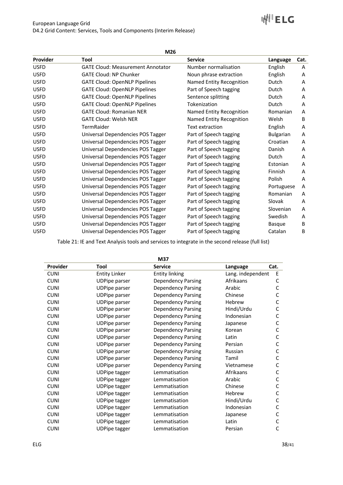|             | M26                                      |                          |                  |      |  |  |
|-------------|------------------------------------------|--------------------------|------------------|------|--|--|
| Provider    | Tool                                     | <b>Service</b>           | Language         | Cat. |  |  |
| <b>USFD</b> | <b>GATE Cloud: Measurement Annotator</b> | Number normalisation     | English          | A    |  |  |
| <b>USFD</b> | <b>GATE Cloud: NP Chunker</b>            | Noun phrase extraction   | English          | A    |  |  |
| <b>USFD</b> | <b>GATE Cloud: OpenNLP Pipelines</b>     | Named Entity Recognition | Dutch            | A    |  |  |
| <b>USFD</b> | <b>GATE Cloud: OpenNLP Pipelines</b>     | Part of Speech tagging   | Dutch            | A    |  |  |
| <b>USFD</b> | <b>GATE Cloud: OpenNLP Pipelines</b>     | Sentence splitting       | Dutch            | A    |  |  |
| <b>USFD</b> | <b>GATE Cloud: OpenNLP Pipelines</b>     | Tokenization             | Dutch            | A    |  |  |
| <b>USFD</b> | <b>GATE Cloud: Romanian NER</b>          | Named Entity Recognition | Romanian         | A    |  |  |
| <b>USFD</b> | <b>GATE Cloud: Welsh NER</b>             | Named Entity Recognition | Welsh            | B    |  |  |
| <b>USFD</b> | TermRaider                               | Text extraction          | English          | A    |  |  |
| <b>USFD</b> | Universal Dependencies POS Tagger        | Part of Speech tagging   | <b>Bulgarian</b> | A    |  |  |
| <b>USFD</b> | Universal Dependencies POS Tagger        | Part of Speech tagging   | Croatian         | A    |  |  |
| <b>USFD</b> | Universal Dependencies POS Tagger        | Part of Speech tagging   | Danish           | A    |  |  |
| <b>USFD</b> | Universal Dependencies POS Tagger        | Part of Speech tagging   | Dutch            | A    |  |  |
| <b>USFD</b> | Universal Dependencies POS Tagger        | Part of Speech tagging   | Estonian         | A    |  |  |
| <b>USFD</b> | Universal Dependencies POS Tagger        | Part of Speech tagging   | Finnish          | A    |  |  |
| <b>USFD</b> | Universal Dependencies POS Tagger        | Part of Speech tagging   | Polish           | A    |  |  |
| <b>USFD</b> | Universal Dependencies POS Tagger        | Part of Speech tagging   | Portuguese       | A    |  |  |
| <b>USFD</b> | Universal Dependencies POS Tagger        | Part of Speech tagging   | Romanian         | A    |  |  |
| <b>USFD</b> | Universal Dependencies POS Tagger        | Part of Speech tagging   | Slovak           | A    |  |  |
| <b>USFD</b> | Universal Dependencies POS Tagger        | Part of Speech tagging   | Slovenian        | A    |  |  |
| <b>USFD</b> | Universal Dependencies POS Tagger        | Part of Speech tagging   | Swedish          | A    |  |  |
| <b>USFD</b> | Universal Dependencies POS Tagger        | Part of Speech tagging   | <b>Basque</b>    | B    |  |  |
| <b>USFD</b> | Universal Dependencies POS Tagger        | Part of Speech tagging   | Catalan          | B    |  |  |

Table 21: IE and Text Analysis tools and services to integrate in the second release (full list)

| M37         |                      |                           |                   |      |
|-------------|----------------------|---------------------------|-------------------|------|
| Provider    | Tool                 | <b>Service</b>            | Language          | Cat. |
| <b>CUNI</b> | <b>Entity Linker</b> | <b>Entity linking</b>     | Lang. independent | E    |
| <b>CUNI</b> | <b>UDPipe parser</b> | <b>Dependency Parsing</b> | Afrikaans         | C    |
| <b>CUNI</b> | <b>UDPipe parser</b> | <b>Dependency Parsing</b> | Arabic            | C    |
| <b>CUNI</b> | <b>UDPipe parser</b> | <b>Dependency Parsing</b> | Chinese           | C    |
| <b>CUNI</b> | <b>UDPipe parser</b> | <b>Dependency Parsing</b> | Hebrew            | С    |
| <b>CUNI</b> | <b>UDPipe parser</b> | <b>Dependency Parsing</b> | Hindi/Urdu        | C    |
| <b>CUNI</b> | <b>UDPipe parser</b> | <b>Dependency Parsing</b> | Indonesian        | C    |
| <b>CUNI</b> | <b>UDPipe parser</b> | <b>Dependency Parsing</b> | Japanese          | С    |
| <b>CUNI</b> | <b>UDPipe parser</b> | <b>Dependency Parsing</b> | Korean            | С    |
| <b>CUNI</b> | <b>UDPipe parser</b> | <b>Dependency Parsing</b> | Latin             | C    |
| <b>CUNI</b> | <b>UDPipe parser</b> | <b>Dependency Parsing</b> | Persian           | C    |
| <b>CUNI</b> | <b>UDPipe parser</b> | <b>Dependency Parsing</b> | Russian           | C    |
| <b>CUNI</b> | <b>UDPipe parser</b> | <b>Dependency Parsing</b> | Tamil             | C    |
| <b>CUNI</b> | <b>UDPipe parser</b> | <b>Dependency Parsing</b> | Vietnamese        | C    |
| <b>CUNI</b> | <b>UDPipe tagger</b> | Lemmatisation             | Afrikaans         | C    |
| <b>CUNI</b> | <b>UDPipe tagger</b> | Lemmatisation             | Arabic            | C    |
| <b>CUNI</b> | <b>UDPipe tagger</b> | Lemmatisation             | Chinese           | C    |
| <b>CUNI</b> | <b>UDPipe tagger</b> | Lemmatisation             | Hebrew            | C    |
| <b>CUNI</b> | <b>UDPipe tagger</b> | Lemmatisation             | Hindi/Urdu        | C    |
| <b>CUNI</b> | <b>UDPipe tagger</b> | Lemmatisation             | Indonesian        | C    |
| <b>CUNI</b> | <b>UDPipe tagger</b> | Lemmatisation             | Japanese          | C    |
| <b>CUNI</b> | <b>UDPipe tagger</b> | Lemmatisation             | Latin             | C    |
| <b>CUNI</b> | <b>UDPipe tagger</b> | Lemmatisation             | Persian           | C    |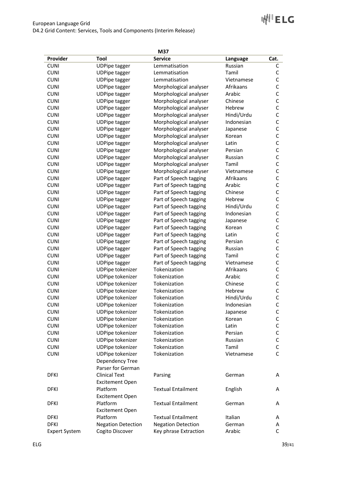| Provider<br>Tool<br><b>Service</b><br>Cat.<br>Language<br><b>CUNI</b><br><b>UDPipe tagger</b><br>Lemmatisation<br>Russian<br>C<br><b>CUNI</b><br>Lemmatisation<br>Tamil<br>C<br><b>UDPipe tagger</b><br>$\mathsf C$<br><b>CUNI</b><br>Lemmatisation<br><b>UDPipe tagger</b><br>Vietnamese<br>$\mathsf{C}$<br><b>CUNI</b><br>Morphological analyser<br>Afrikaans<br><b>UDPipe tagger</b><br>$\mathsf{C}$<br><b>CUNI</b><br>Arabic<br>Morphological analyser<br><b>UDPipe tagger</b><br>$\mathsf{C}$<br><b>CUNI</b><br>Chinese<br><b>UDPipe tagger</b><br>Morphological analyser<br>$\mathsf{C}$<br><b>CUNI</b><br>Hebrew<br><b>UDPipe tagger</b><br>Morphological analyser<br>$\mathsf C$<br><b>CUNI</b><br>Hindi/Urdu<br><b>UDPipe tagger</b><br>Morphological analyser<br>$\mathsf C$<br><b>CUNI</b><br>Indonesian<br><b>UDPipe tagger</b><br>Morphological analyser<br>$\mathsf C$<br><b>CUNI</b><br><b>UDPipe tagger</b><br>Morphological analyser<br>Japanese<br>$\mathsf C$<br><b>CUNI</b><br><b>UDPipe tagger</b><br>Morphological analyser<br>Korean<br>$\mathsf C$<br><b>CUNI</b><br><b>UDPipe tagger</b><br>Morphological analyser<br>Latin<br>$\mathsf C$<br><b>CUNI</b><br><b>UDPipe tagger</b><br>Morphological analyser<br>Persian<br>$\mathsf C$<br><b>CUNI</b><br><b>UDPipe tagger</b><br>Morphological analyser<br>Russian<br>$\mathsf C$<br><b>CUNI</b><br><b>UDPipe tagger</b><br>Morphological analyser<br>Tamil<br>$\mathsf C$<br><b>CUNI</b><br><b>UDPipe tagger</b><br>Morphological analyser<br>Vietnamese<br>$\mathsf C$<br><b>CUNI</b><br>Afrikaans<br><b>UDPipe tagger</b><br>Part of Speech tagging<br>$\mathsf C$<br><b>CUNI</b><br>Arabic<br><b>UDPipe tagger</b><br>Part of Speech tagging<br>$\mathsf{C}$<br><b>CUNI</b><br>Chinese<br><b>UDPipe tagger</b><br>Part of Speech tagging<br>$\mathsf{C}$<br><b>CUNI</b><br>Part of Speech tagging<br><b>UDPipe tagger</b><br>Hebrew<br>$\mathsf{C}$<br><b>CUNI</b><br>Part of Speech tagging<br>Hindi/Urdu<br><b>UDPipe tagger</b><br>$\frac{C}{C}$<br><b>CUNI</b><br>Indonesian<br><b>UDPipe tagger</b><br>Part of Speech tagging<br><b>CUNI</b><br>Part of Speech tagging<br><b>UDPipe tagger</b><br>Japanese<br>$\mathsf{C}$<br><b>CUNI</b><br>Part of Speech tagging<br><b>UDPipe tagger</b><br>Korean<br>$\mathsf C$<br><b>CUNI</b><br>Part of Speech tagging<br><b>UDPipe tagger</b><br>Latin<br>$\mathsf C$<br><b>CUNI</b><br><b>UDPipe tagger</b><br>Part of Speech tagging<br>Persian<br>$\mathsf{C}$<br><b>CUNI</b><br>Part of Speech tagging<br><b>UDPipe tagger</b><br>Russian<br>$\mathsf{C}$<br><b>CUNI</b><br><b>UDPipe tagger</b><br>Part of Speech tagging<br>Tamil<br>$\mathsf{C}$<br><b>CUNI</b><br>Part of Speech tagging<br><b>UDPipe tagger</b><br>Vietnamese<br>$\mathsf{C}$<br><b>CUNI</b><br>Tokenization<br>Afrikaans<br>UDPipe tokenizer<br>$\mathsf C$<br>Arabic<br><b>CUNI</b><br>Tokenization<br><b>UDPipe tokenizer</b><br>$\mathsf{C}$<br><b>CUNI</b><br>Tokenization<br>UDPipe tokenizer<br>Chinese<br>$\mathsf{C}$<br><b>CUNI</b><br>UDPipe tokenizer<br>Tokenization<br>Hebrew<br>$\mathsf C$<br><b>CUNI</b><br>Tokenization<br>Hindi/Urdu<br>UDPipe tokenizer<br><b>CUNI</b><br><b>UDPipe tokenizer</b><br>Indonesian<br>Tokenization<br>С<br>UDPipe tokenizer<br>$\mathsf{C}$<br><b>CUNI</b><br>Tokenization<br>Japanese<br>$\mathsf C$<br><b>CUNI</b><br>UDPipe tokenizer<br>Tokenization<br>Korean<br>$\mathsf C$<br><b>CUNI</b><br><b>UDPipe tokenizer</b><br>Tokenization<br>Latin<br>$\mathsf C$<br><b>CUNI</b><br>UDPipe tokenizer<br>Tokenization<br>Persian<br>$\mathsf C$<br><b>CUNI</b><br>UDPipe tokenizer<br>Tokenization<br>Russian<br>$\mathsf C$<br><b>CUNI</b><br>UDPipe tokenizer<br>Tokenization<br>Tamil<br>$\mathsf C$<br><b>CUNI</b><br>UDPipe tokenizer<br>Tokenization<br>Vietnamese<br>Dependency Tree<br>Parser for German<br><b>Clinical Text</b><br><b>DFKI</b><br>Parsing<br>German<br>A<br><b>Excitement Open</b><br>Platform<br><b>Textual Entailment</b><br><b>DFKI</b><br>English<br>Α<br><b>Excitement Open</b><br>Platform<br><b>Textual Entailment</b><br><b>DFKI</b><br>German<br>Α<br><b>Excitement Open</b><br>Platform<br><b>Textual Entailment</b><br>Italian<br>DFKI<br>Α<br><b>DFKI</b><br><b>Negation Detection</b><br><b>Negation Detection</b><br>German<br>Α<br>$\mathsf C$<br>Cogito Discover<br>Key phrase Extraction<br>Arabic<br><b>Expert System</b> |  | M37 |  |
|--------------------------------------------------------------------------------------------------------------------------------------------------------------------------------------------------------------------------------------------------------------------------------------------------------------------------------------------------------------------------------------------------------------------------------------------------------------------------------------------------------------------------------------------------------------------------------------------------------------------------------------------------------------------------------------------------------------------------------------------------------------------------------------------------------------------------------------------------------------------------------------------------------------------------------------------------------------------------------------------------------------------------------------------------------------------------------------------------------------------------------------------------------------------------------------------------------------------------------------------------------------------------------------------------------------------------------------------------------------------------------------------------------------------------------------------------------------------------------------------------------------------------------------------------------------------------------------------------------------------------------------------------------------------------------------------------------------------------------------------------------------------------------------------------------------------------------------------------------------------------------------------------------------------------------------------------------------------------------------------------------------------------------------------------------------------------------------------------------------------------------------------------------------------------------------------------------------------------------------------------------------------------------------------------------------------------------------------------------------------------------------------------------------------------------------------------------------------------------------------------------------------------------------------------------------------------------------------------------------------------------------------------------------------------------------------------------------------------------------------------------------------------------------------------------------------------------------------------------------------------------------------------------------------------------------------------------------------------------------------------------------------------------------------------------------------------------------------------------------------------------------------------------------------------------------------------------------------------------------------------------------------------------------------------------------------------------------------------------------------------------------------------------------------------------------------------------------------------------------------------------------------------------------------------------------------------------------------------------------------------------------------------------------------------------------------------------------------------------------------------------------------------------------------------------------------------------------------------------------------------------------------------------------------------------------------------------------------------------------------------------------------------------------------------------------------------------------------------------------------------------------------------------------------------------------------------------------------------------------------------------------------------------------------------------------------------------------------------------------------------------------------------------------------------|--|-----|--|
|                                                                                                                                                                                                                                                                                                                                                                                                                                                                                                                                                                                                                                                                                                                                                                                                                                                                                                                                                                                                                                                                                                                                                                                                                                                                                                                                                                                                                                                                                                                                                                                                                                                                                                                                                                                                                                                                                                                                                                                                                                                                                                                                                                                                                                                                                                                                                                                                                                                                                                                                                                                                                                                                                                                                                                                                                                                                                                                                                                                                                                                                                                                                                                                                                                                                                                                                                                                                                                                                                                                                                                                                                                                                                                                                                                                                                                                                                                                                                                                                                                                                                                                                                                                                                                                                                                                                                                                                                          |  |     |  |
|                                                                                                                                                                                                                                                                                                                                                                                                                                                                                                                                                                                                                                                                                                                                                                                                                                                                                                                                                                                                                                                                                                                                                                                                                                                                                                                                                                                                                                                                                                                                                                                                                                                                                                                                                                                                                                                                                                                                                                                                                                                                                                                                                                                                                                                                                                                                                                                                                                                                                                                                                                                                                                                                                                                                                                                                                                                                                                                                                                                                                                                                                                                                                                                                                                                                                                                                                                                                                                                                                                                                                                                                                                                                                                                                                                                                                                                                                                                                                                                                                                                                                                                                                                                                                                                                                                                                                                                                                          |  |     |  |
|                                                                                                                                                                                                                                                                                                                                                                                                                                                                                                                                                                                                                                                                                                                                                                                                                                                                                                                                                                                                                                                                                                                                                                                                                                                                                                                                                                                                                                                                                                                                                                                                                                                                                                                                                                                                                                                                                                                                                                                                                                                                                                                                                                                                                                                                                                                                                                                                                                                                                                                                                                                                                                                                                                                                                                                                                                                                                                                                                                                                                                                                                                                                                                                                                                                                                                                                                                                                                                                                                                                                                                                                                                                                                                                                                                                                                                                                                                                                                                                                                                                                                                                                                                                                                                                                                                                                                                                                                          |  |     |  |
|                                                                                                                                                                                                                                                                                                                                                                                                                                                                                                                                                                                                                                                                                                                                                                                                                                                                                                                                                                                                                                                                                                                                                                                                                                                                                                                                                                                                                                                                                                                                                                                                                                                                                                                                                                                                                                                                                                                                                                                                                                                                                                                                                                                                                                                                                                                                                                                                                                                                                                                                                                                                                                                                                                                                                                                                                                                                                                                                                                                                                                                                                                                                                                                                                                                                                                                                                                                                                                                                                                                                                                                                                                                                                                                                                                                                                                                                                                                                                                                                                                                                                                                                                                                                                                                                                                                                                                                                                          |  |     |  |
|                                                                                                                                                                                                                                                                                                                                                                                                                                                                                                                                                                                                                                                                                                                                                                                                                                                                                                                                                                                                                                                                                                                                                                                                                                                                                                                                                                                                                                                                                                                                                                                                                                                                                                                                                                                                                                                                                                                                                                                                                                                                                                                                                                                                                                                                                                                                                                                                                                                                                                                                                                                                                                                                                                                                                                                                                                                                                                                                                                                                                                                                                                                                                                                                                                                                                                                                                                                                                                                                                                                                                                                                                                                                                                                                                                                                                                                                                                                                                                                                                                                                                                                                                                                                                                                                                                                                                                                                                          |  |     |  |
|                                                                                                                                                                                                                                                                                                                                                                                                                                                                                                                                                                                                                                                                                                                                                                                                                                                                                                                                                                                                                                                                                                                                                                                                                                                                                                                                                                                                                                                                                                                                                                                                                                                                                                                                                                                                                                                                                                                                                                                                                                                                                                                                                                                                                                                                                                                                                                                                                                                                                                                                                                                                                                                                                                                                                                                                                                                                                                                                                                                                                                                                                                                                                                                                                                                                                                                                                                                                                                                                                                                                                                                                                                                                                                                                                                                                                                                                                                                                                                                                                                                                                                                                                                                                                                                                                                                                                                                                                          |  |     |  |
|                                                                                                                                                                                                                                                                                                                                                                                                                                                                                                                                                                                                                                                                                                                                                                                                                                                                                                                                                                                                                                                                                                                                                                                                                                                                                                                                                                                                                                                                                                                                                                                                                                                                                                                                                                                                                                                                                                                                                                                                                                                                                                                                                                                                                                                                                                                                                                                                                                                                                                                                                                                                                                                                                                                                                                                                                                                                                                                                                                                                                                                                                                                                                                                                                                                                                                                                                                                                                                                                                                                                                                                                                                                                                                                                                                                                                                                                                                                                                                                                                                                                                                                                                                                                                                                                                                                                                                                                                          |  |     |  |
|                                                                                                                                                                                                                                                                                                                                                                                                                                                                                                                                                                                                                                                                                                                                                                                                                                                                                                                                                                                                                                                                                                                                                                                                                                                                                                                                                                                                                                                                                                                                                                                                                                                                                                                                                                                                                                                                                                                                                                                                                                                                                                                                                                                                                                                                                                                                                                                                                                                                                                                                                                                                                                                                                                                                                                                                                                                                                                                                                                                                                                                                                                                                                                                                                                                                                                                                                                                                                                                                                                                                                                                                                                                                                                                                                                                                                                                                                                                                                                                                                                                                                                                                                                                                                                                                                                                                                                                                                          |  |     |  |
|                                                                                                                                                                                                                                                                                                                                                                                                                                                                                                                                                                                                                                                                                                                                                                                                                                                                                                                                                                                                                                                                                                                                                                                                                                                                                                                                                                                                                                                                                                                                                                                                                                                                                                                                                                                                                                                                                                                                                                                                                                                                                                                                                                                                                                                                                                                                                                                                                                                                                                                                                                                                                                                                                                                                                                                                                                                                                                                                                                                                                                                                                                                                                                                                                                                                                                                                                                                                                                                                                                                                                                                                                                                                                                                                                                                                                                                                                                                                                                                                                                                                                                                                                                                                                                                                                                                                                                                                                          |  |     |  |
|                                                                                                                                                                                                                                                                                                                                                                                                                                                                                                                                                                                                                                                                                                                                                                                                                                                                                                                                                                                                                                                                                                                                                                                                                                                                                                                                                                                                                                                                                                                                                                                                                                                                                                                                                                                                                                                                                                                                                                                                                                                                                                                                                                                                                                                                                                                                                                                                                                                                                                                                                                                                                                                                                                                                                                                                                                                                                                                                                                                                                                                                                                                                                                                                                                                                                                                                                                                                                                                                                                                                                                                                                                                                                                                                                                                                                                                                                                                                                                                                                                                                                                                                                                                                                                                                                                                                                                                                                          |  |     |  |
|                                                                                                                                                                                                                                                                                                                                                                                                                                                                                                                                                                                                                                                                                                                                                                                                                                                                                                                                                                                                                                                                                                                                                                                                                                                                                                                                                                                                                                                                                                                                                                                                                                                                                                                                                                                                                                                                                                                                                                                                                                                                                                                                                                                                                                                                                                                                                                                                                                                                                                                                                                                                                                                                                                                                                                                                                                                                                                                                                                                                                                                                                                                                                                                                                                                                                                                                                                                                                                                                                                                                                                                                                                                                                                                                                                                                                                                                                                                                                                                                                                                                                                                                                                                                                                                                                                                                                                                                                          |  |     |  |
|                                                                                                                                                                                                                                                                                                                                                                                                                                                                                                                                                                                                                                                                                                                                                                                                                                                                                                                                                                                                                                                                                                                                                                                                                                                                                                                                                                                                                                                                                                                                                                                                                                                                                                                                                                                                                                                                                                                                                                                                                                                                                                                                                                                                                                                                                                                                                                                                                                                                                                                                                                                                                                                                                                                                                                                                                                                                                                                                                                                                                                                                                                                                                                                                                                                                                                                                                                                                                                                                                                                                                                                                                                                                                                                                                                                                                                                                                                                                                                                                                                                                                                                                                                                                                                                                                                                                                                                                                          |  |     |  |
|                                                                                                                                                                                                                                                                                                                                                                                                                                                                                                                                                                                                                                                                                                                                                                                                                                                                                                                                                                                                                                                                                                                                                                                                                                                                                                                                                                                                                                                                                                                                                                                                                                                                                                                                                                                                                                                                                                                                                                                                                                                                                                                                                                                                                                                                                                                                                                                                                                                                                                                                                                                                                                                                                                                                                                                                                                                                                                                                                                                                                                                                                                                                                                                                                                                                                                                                                                                                                                                                                                                                                                                                                                                                                                                                                                                                                                                                                                                                                                                                                                                                                                                                                                                                                                                                                                                                                                                                                          |  |     |  |
|                                                                                                                                                                                                                                                                                                                                                                                                                                                                                                                                                                                                                                                                                                                                                                                                                                                                                                                                                                                                                                                                                                                                                                                                                                                                                                                                                                                                                                                                                                                                                                                                                                                                                                                                                                                                                                                                                                                                                                                                                                                                                                                                                                                                                                                                                                                                                                                                                                                                                                                                                                                                                                                                                                                                                                                                                                                                                                                                                                                                                                                                                                                                                                                                                                                                                                                                                                                                                                                                                                                                                                                                                                                                                                                                                                                                                                                                                                                                                                                                                                                                                                                                                                                                                                                                                                                                                                                                                          |  |     |  |
|                                                                                                                                                                                                                                                                                                                                                                                                                                                                                                                                                                                                                                                                                                                                                                                                                                                                                                                                                                                                                                                                                                                                                                                                                                                                                                                                                                                                                                                                                                                                                                                                                                                                                                                                                                                                                                                                                                                                                                                                                                                                                                                                                                                                                                                                                                                                                                                                                                                                                                                                                                                                                                                                                                                                                                                                                                                                                                                                                                                                                                                                                                                                                                                                                                                                                                                                                                                                                                                                                                                                                                                                                                                                                                                                                                                                                                                                                                                                                                                                                                                                                                                                                                                                                                                                                                                                                                                                                          |  |     |  |
|                                                                                                                                                                                                                                                                                                                                                                                                                                                                                                                                                                                                                                                                                                                                                                                                                                                                                                                                                                                                                                                                                                                                                                                                                                                                                                                                                                                                                                                                                                                                                                                                                                                                                                                                                                                                                                                                                                                                                                                                                                                                                                                                                                                                                                                                                                                                                                                                                                                                                                                                                                                                                                                                                                                                                                                                                                                                                                                                                                                                                                                                                                                                                                                                                                                                                                                                                                                                                                                                                                                                                                                                                                                                                                                                                                                                                                                                                                                                                                                                                                                                                                                                                                                                                                                                                                                                                                                                                          |  |     |  |
|                                                                                                                                                                                                                                                                                                                                                                                                                                                                                                                                                                                                                                                                                                                                                                                                                                                                                                                                                                                                                                                                                                                                                                                                                                                                                                                                                                                                                                                                                                                                                                                                                                                                                                                                                                                                                                                                                                                                                                                                                                                                                                                                                                                                                                                                                                                                                                                                                                                                                                                                                                                                                                                                                                                                                                                                                                                                                                                                                                                                                                                                                                                                                                                                                                                                                                                                                                                                                                                                                                                                                                                                                                                                                                                                                                                                                                                                                                                                                                                                                                                                                                                                                                                                                                                                                                                                                                                                                          |  |     |  |
|                                                                                                                                                                                                                                                                                                                                                                                                                                                                                                                                                                                                                                                                                                                                                                                                                                                                                                                                                                                                                                                                                                                                                                                                                                                                                                                                                                                                                                                                                                                                                                                                                                                                                                                                                                                                                                                                                                                                                                                                                                                                                                                                                                                                                                                                                                                                                                                                                                                                                                                                                                                                                                                                                                                                                                                                                                                                                                                                                                                                                                                                                                                                                                                                                                                                                                                                                                                                                                                                                                                                                                                                                                                                                                                                                                                                                                                                                                                                                                                                                                                                                                                                                                                                                                                                                                                                                                                                                          |  |     |  |
|                                                                                                                                                                                                                                                                                                                                                                                                                                                                                                                                                                                                                                                                                                                                                                                                                                                                                                                                                                                                                                                                                                                                                                                                                                                                                                                                                                                                                                                                                                                                                                                                                                                                                                                                                                                                                                                                                                                                                                                                                                                                                                                                                                                                                                                                                                                                                                                                                                                                                                                                                                                                                                                                                                                                                                                                                                                                                                                                                                                                                                                                                                                                                                                                                                                                                                                                                                                                                                                                                                                                                                                                                                                                                                                                                                                                                                                                                                                                                                                                                                                                                                                                                                                                                                                                                                                                                                                                                          |  |     |  |
|                                                                                                                                                                                                                                                                                                                                                                                                                                                                                                                                                                                                                                                                                                                                                                                                                                                                                                                                                                                                                                                                                                                                                                                                                                                                                                                                                                                                                                                                                                                                                                                                                                                                                                                                                                                                                                                                                                                                                                                                                                                                                                                                                                                                                                                                                                                                                                                                                                                                                                                                                                                                                                                                                                                                                                                                                                                                                                                                                                                                                                                                                                                                                                                                                                                                                                                                                                                                                                                                                                                                                                                                                                                                                                                                                                                                                                                                                                                                                                                                                                                                                                                                                                                                                                                                                                                                                                                                                          |  |     |  |
|                                                                                                                                                                                                                                                                                                                                                                                                                                                                                                                                                                                                                                                                                                                                                                                                                                                                                                                                                                                                                                                                                                                                                                                                                                                                                                                                                                                                                                                                                                                                                                                                                                                                                                                                                                                                                                                                                                                                                                                                                                                                                                                                                                                                                                                                                                                                                                                                                                                                                                                                                                                                                                                                                                                                                                                                                                                                                                                                                                                                                                                                                                                                                                                                                                                                                                                                                                                                                                                                                                                                                                                                                                                                                                                                                                                                                                                                                                                                                                                                                                                                                                                                                                                                                                                                                                                                                                                                                          |  |     |  |
|                                                                                                                                                                                                                                                                                                                                                                                                                                                                                                                                                                                                                                                                                                                                                                                                                                                                                                                                                                                                                                                                                                                                                                                                                                                                                                                                                                                                                                                                                                                                                                                                                                                                                                                                                                                                                                                                                                                                                                                                                                                                                                                                                                                                                                                                                                                                                                                                                                                                                                                                                                                                                                                                                                                                                                                                                                                                                                                                                                                                                                                                                                                                                                                                                                                                                                                                                                                                                                                                                                                                                                                                                                                                                                                                                                                                                                                                                                                                                                                                                                                                                                                                                                                                                                                                                                                                                                                                                          |  |     |  |
|                                                                                                                                                                                                                                                                                                                                                                                                                                                                                                                                                                                                                                                                                                                                                                                                                                                                                                                                                                                                                                                                                                                                                                                                                                                                                                                                                                                                                                                                                                                                                                                                                                                                                                                                                                                                                                                                                                                                                                                                                                                                                                                                                                                                                                                                                                                                                                                                                                                                                                                                                                                                                                                                                                                                                                                                                                                                                                                                                                                                                                                                                                                                                                                                                                                                                                                                                                                                                                                                                                                                                                                                                                                                                                                                                                                                                                                                                                                                                                                                                                                                                                                                                                                                                                                                                                                                                                                                                          |  |     |  |
|                                                                                                                                                                                                                                                                                                                                                                                                                                                                                                                                                                                                                                                                                                                                                                                                                                                                                                                                                                                                                                                                                                                                                                                                                                                                                                                                                                                                                                                                                                                                                                                                                                                                                                                                                                                                                                                                                                                                                                                                                                                                                                                                                                                                                                                                                                                                                                                                                                                                                                                                                                                                                                                                                                                                                                                                                                                                                                                                                                                                                                                                                                                                                                                                                                                                                                                                                                                                                                                                                                                                                                                                                                                                                                                                                                                                                                                                                                                                                                                                                                                                                                                                                                                                                                                                                                                                                                                                                          |  |     |  |
|                                                                                                                                                                                                                                                                                                                                                                                                                                                                                                                                                                                                                                                                                                                                                                                                                                                                                                                                                                                                                                                                                                                                                                                                                                                                                                                                                                                                                                                                                                                                                                                                                                                                                                                                                                                                                                                                                                                                                                                                                                                                                                                                                                                                                                                                                                                                                                                                                                                                                                                                                                                                                                                                                                                                                                                                                                                                                                                                                                                                                                                                                                                                                                                                                                                                                                                                                                                                                                                                                                                                                                                                                                                                                                                                                                                                                                                                                                                                                                                                                                                                                                                                                                                                                                                                                                                                                                                                                          |  |     |  |
|                                                                                                                                                                                                                                                                                                                                                                                                                                                                                                                                                                                                                                                                                                                                                                                                                                                                                                                                                                                                                                                                                                                                                                                                                                                                                                                                                                                                                                                                                                                                                                                                                                                                                                                                                                                                                                                                                                                                                                                                                                                                                                                                                                                                                                                                                                                                                                                                                                                                                                                                                                                                                                                                                                                                                                                                                                                                                                                                                                                                                                                                                                                                                                                                                                                                                                                                                                                                                                                                                                                                                                                                                                                                                                                                                                                                                                                                                                                                                                                                                                                                                                                                                                                                                                                                                                                                                                                                                          |  |     |  |
|                                                                                                                                                                                                                                                                                                                                                                                                                                                                                                                                                                                                                                                                                                                                                                                                                                                                                                                                                                                                                                                                                                                                                                                                                                                                                                                                                                                                                                                                                                                                                                                                                                                                                                                                                                                                                                                                                                                                                                                                                                                                                                                                                                                                                                                                                                                                                                                                                                                                                                                                                                                                                                                                                                                                                                                                                                                                                                                                                                                                                                                                                                                                                                                                                                                                                                                                                                                                                                                                                                                                                                                                                                                                                                                                                                                                                                                                                                                                                                                                                                                                                                                                                                                                                                                                                                                                                                                                                          |  |     |  |
|                                                                                                                                                                                                                                                                                                                                                                                                                                                                                                                                                                                                                                                                                                                                                                                                                                                                                                                                                                                                                                                                                                                                                                                                                                                                                                                                                                                                                                                                                                                                                                                                                                                                                                                                                                                                                                                                                                                                                                                                                                                                                                                                                                                                                                                                                                                                                                                                                                                                                                                                                                                                                                                                                                                                                                                                                                                                                                                                                                                                                                                                                                                                                                                                                                                                                                                                                                                                                                                                                                                                                                                                                                                                                                                                                                                                                                                                                                                                                                                                                                                                                                                                                                                                                                                                                                                                                                                                                          |  |     |  |
|                                                                                                                                                                                                                                                                                                                                                                                                                                                                                                                                                                                                                                                                                                                                                                                                                                                                                                                                                                                                                                                                                                                                                                                                                                                                                                                                                                                                                                                                                                                                                                                                                                                                                                                                                                                                                                                                                                                                                                                                                                                                                                                                                                                                                                                                                                                                                                                                                                                                                                                                                                                                                                                                                                                                                                                                                                                                                                                                                                                                                                                                                                                                                                                                                                                                                                                                                                                                                                                                                                                                                                                                                                                                                                                                                                                                                                                                                                                                                                                                                                                                                                                                                                                                                                                                                                                                                                                                                          |  |     |  |
|                                                                                                                                                                                                                                                                                                                                                                                                                                                                                                                                                                                                                                                                                                                                                                                                                                                                                                                                                                                                                                                                                                                                                                                                                                                                                                                                                                                                                                                                                                                                                                                                                                                                                                                                                                                                                                                                                                                                                                                                                                                                                                                                                                                                                                                                                                                                                                                                                                                                                                                                                                                                                                                                                                                                                                                                                                                                                                                                                                                                                                                                                                                                                                                                                                                                                                                                                                                                                                                                                                                                                                                                                                                                                                                                                                                                                                                                                                                                                                                                                                                                                                                                                                                                                                                                                                                                                                                                                          |  |     |  |
|                                                                                                                                                                                                                                                                                                                                                                                                                                                                                                                                                                                                                                                                                                                                                                                                                                                                                                                                                                                                                                                                                                                                                                                                                                                                                                                                                                                                                                                                                                                                                                                                                                                                                                                                                                                                                                                                                                                                                                                                                                                                                                                                                                                                                                                                                                                                                                                                                                                                                                                                                                                                                                                                                                                                                                                                                                                                                                                                                                                                                                                                                                                                                                                                                                                                                                                                                                                                                                                                                                                                                                                                                                                                                                                                                                                                                                                                                                                                                                                                                                                                                                                                                                                                                                                                                                                                                                                                                          |  |     |  |
|                                                                                                                                                                                                                                                                                                                                                                                                                                                                                                                                                                                                                                                                                                                                                                                                                                                                                                                                                                                                                                                                                                                                                                                                                                                                                                                                                                                                                                                                                                                                                                                                                                                                                                                                                                                                                                                                                                                                                                                                                                                                                                                                                                                                                                                                                                                                                                                                                                                                                                                                                                                                                                                                                                                                                                                                                                                                                                                                                                                                                                                                                                                                                                                                                                                                                                                                                                                                                                                                                                                                                                                                                                                                                                                                                                                                                                                                                                                                                                                                                                                                                                                                                                                                                                                                                                                                                                                                                          |  |     |  |
|                                                                                                                                                                                                                                                                                                                                                                                                                                                                                                                                                                                                                                                                                                                                                                                                                                                                                                                                                                                                                                                                                                                                                                                                                                                                                                                                                                                                                                                                                                                                                                                                                                                                                                                                                                                                                                                                                                                                                                                                                                                                                                                                                                                                                                                                                                                                                                                                                                                                                                                                                                                                                                                                                                                                                                                                                                                                                                                                                                                                                                                                                                                                                                                                                                                                                                                                                                                                                                                                                                                                                                                                                                                                                                                                                                                                                                                                                                                                                                                                                                                                                                                                                                                                                                                                                                                                                                                                                          |  |     |  |
|                                                                                                                                                                                                                                                                                                                                                                                                                                                                                                                                                                                                                                                                                                                                                                                                                                                                                                                                                                                                                                                                                                                                                                                                                                                                                                                                                                                                                                                                                                                                                                                                                                                                                                                                                                                                                                                                                                                                                                                                                                                                                                                                                                                                                                                                                                                                                                                                                                                                                                                                                                                                                                                                                                                                                                                                                                                                                                                                                                                                                                                                                                                                                                                                                                                                                                                                                                                                                                                                                                                                                                                                                                                                                                                                                                                                                                                                                                                                                                                                                                                                                                                                                                                                                                                                                                                                                                                                                          |  |     |  |
|                                                                                                                                                                                                                                                                                                                                                                                                                                                                                                                                                                                                                                                                                                                                                                                                                                                                                                                                                                                                                                                                                                                                                                                                                                                                                                                                                                                                                                                                                                                                                                                                                                                                                                                                                                                                                                                                                                                                                                                                                                                                                                                                                                                                                                                                                                                                                                                                                                                                                                                                                                                                                                                                                                                                                                                                                                                                                                                                                                                                                                                                                                                                                                                                                                                                                                                                                                                                                                                                                                                                                                                                                                                                                                                                                                                                                                                                                                                                                                                                                                                                                                                                                                                                                                                                                                                                                                                                                          |  |     |  |
|                                                                                                                                                                                                                                                                                                                                                                                                                                                                                                                                                                                                                                                                                                                                                                                                                                                                                                                                                                                                                                                                                                                                                                                                                                                                                                                                                                                                                                                                                                                                                                                                                                                                                                                                                                                                                                                                                                                                                                                                                                                                                                                                                                                                                                                                                                                                                                                                                                                                                                                                                                                                                                                                                                                                                                                                                                                                                                                                                                                                                                                                                                                                                                                                                                                                                                                                                                                                                                                                                                                                                                                                                                                                                                                                                                                                                                                                                                                                                                                                                                                                                                                                                                                                                                                                                                                                                                                                                          |  |     |  |
|                                                                                                                                                                                                                                                                                                                                                                                                                                                                                                                                                                                                                                                                                                                                                                                                                                                                                                                                                                                                                                                                                                                                                                                                                                                                                                                                                                                                                                                                                                                                                                                                                                                                                                                                                                                                                                                                                                                                                                                                                                                                                                                                                                                                                                                                                                                                                                                                                                                                                                                                                                                                                                                                                                                                                                                                                                                                                                                                                                                                                                                                                                                                                                                                                                                                                                                                                                                                                                                                                                                                                                                                                                                                                                                                                                                                                                                                                                                                                                                                                                                                                                                                                                                                                                                                                                                                                                                                                          |  |     |  |
|                                                                                                                                                                                                                                                                                                                                                                                                                                                                                                                                                                                                                                                                                                                                                                                                                                                                                                                                                                                                                                                                                                                                                                                                                                                                                                                                                                                                                                                                                                                                                                                                                                                                                                                                                                                                                                                                                                                                                                                                                                                                                                                                                                                                                                                                                                                                                                                                                                                                                                                                                                                                                                                                                                                                                                                                                                                                                                                                                                                                                                                                                                                                                                                                                                                                                                                                                                                                                                                                                                                                                                                                                                                                                                                                                                                                                                                                                                                                                                                                                                                                                                                                                                                                                                                                                                                                                                                                                          |  |     |  |
|                                                                                                                                                                                                                                                                                                                                                                                                                                                                                                                                                                                                                                                                                                                                                                                                                                                                                                                                                                                                                                                                                                                                                                                                                                                                                                                                                                                                                                                                                                                                                                                                                                                                                                                                                                                                                                                                                                                                                                                                                                                                                                                                                                                                                                                                                                                                                                                                                                                                                                                                                                                                                                                                                                                                                                                                                                                                                                                                                                                                                                                                                                                                                                                                                                                                                                                                                                                                                                                                                                                                                                                                                                                                                                                                                                                                                                                                                                                                                                                                                                                                                                                                                                                                                                                                                                                                                                                                                          |  |     |  |
|                                                                                                                                                                                                                                                                                                                                                                                                                                                                                                                                                                                                                                                                                                                                                                                                                                                                                                                                                                                                                                                                                                                                                                                                                                                                                                                                                                                                                                                                                                                                                                                                                                                                                                                                                                                                                                                                                                                                                                                                                                                                                                                                                                                                                                                                                                                                                                                                                                                                                                                                                                                                                                                                                                                                                                                                                                                                                                                                                                                                                                                                                                                                                                                                                                                                                                                                                                                                                                                                                                                                                                                                                                                                                                                                                                                                                                                                                                                                                                                                                                                                                                                                                                                                                                                                                                                                                                                                                          |  |     |  |
|                                                                                                                                                                                                                                                                                                                                                                                                                                                                                                                                                                                                                                                                                                                                                                                                                                                                                                                                                                                                                                                                                                                                                                                                                                                                                                                                                                                                                                                                                                                                                                                                                                                                                                                                                                                                                                                                                                                                                                                                                                                                                                                                                                                                                                                                                                                                                                                                                                                                                                                                                                                                                                                                                                                                                                                                                                                                                                                                                                                                                                                                                                                                                                                                                                                                                                                                                                                                                                                                                                                                                                                                                                                                                                                                                                                                                                                                                                                                                                                                                                                                                                                                                                                                                                                                                                                                                                                                                          |  |     |  |
|                                                                                                                                                                                                                                                                                                                                                                                                                                                                                                                                                                                                                                                                                                                                                                                                                                                                                                                                                                                                                                                                                                                                                                                                                                                                                                                                                                                                                                                                                                                                                                                                                                                                                                                                                                                                                                                                                                                                                                                                                                                                                                                                                                                                                                                                                                                                                                                                                                                                                                                                                                                                                                                                                                                                                                                                                                                                                                                                                                                                                                                                                                                                                                                                                                                                                                                                                                                                                                                                                                                                                                                                                                                                                                                                                                                                                                                                                                                                                                                                                                                                                                                                                                                                                                                                                                                                                                                                                          |  |     |  |
|                                                                                                                                                                                                                                                                                                                                                                                                                                                                                                                                                                                                                                                                                                                                                                                                                                                                                                                                                                                                                                                                                                                                                                                                                                                                                                                                                                                                                                                                                                                                                                                                                                                                                                                                                                                                                                                                                                                                                                                                                                                                                                                                                                                                                                                                                                                                                                                                                                                                                                                                                                                                                                                                                                                                                                                                                                                                                                                                                                                                                                                                                                                                                                                                                                                                                                                                                                                                                                                                                                                                                                                                                                                                                                                                                                                                                                                                                                                                                                                                                                                                                                                                                                                                                                                                                                                                                                                                                          |  |     |  |
|                                                                                                                                                                                                                                                                                                                                                                                                                                                                                                                                                                                                                                                                                                                                                                                                                                                                                                                                                                                                                                                                                                                                                                                                                                                                                                                                                                                                                                                                                                                                                                                                                                                                                                                                                                                                                                                                                                                                                                                                                                                                                                                                                                                                                                                                                                                                                                                                                                                                                                                                                                                                                                                                                                                                                                                                                                                                                                                                                                                                                                                                                                                                                                                                                                                                                                                                                                                                                                                                                                                                                                                                                                                                                                                                                                                                                                                                                                                                                                                                                                                                                                                                                                                                                                                                                                                                                                                                                          |  |     |  |
|                                                                                                                                                                                                                                                                                                                                                                                                                                                                                                                                                                                                                                                                                                                                                                                                                                                                                                                                                                                                                                                                                                                                                                                                                                                                                                                                                                                                                                                                                                                                                                                                                                                                                                                                                                                                                                                                                                                                                                                                                                                                                                                                                                                                                                                                                                                                                                                                                                                                                                                                                                                                                                                                                                                                                                                                                                                                                                                                                                                                                                                                                                                                                                                                                                                                                                                                                                                                                                                                                                                                                                                                                                                                                                                                                                                                                                                                                                                                                                                                                                                                                                                                                                                                                                                                                                                                                                                                                          |  |     |  |
|                                                                                                                                                                                                                                                                                                                                                                                                                                                                                                                                                                                                                                                                                                                                                                                                                                                                                                                                                                                                                                                                                                                                                                                                                                                                                                                                                                                                                                                                                                                                                                                                                                                                                                                                                                                                                                                                                                                                                                                                                                                                                                                                                                                                                                                                                                                                                                                                                                                                                                                                                                                                                                                                                                                                                                                                                                                                                                                                                                                                                                                                                                                                                                                                                                                                                                                                                                                                                                                                                                                                                                                                                                                                                                                                                                                                                                                                                                                                                                                                                                                                                                                                                                                                                                                                                                                                                                                                                          |  |     |  |
|                                                                                                                                                                                                                                                                                                                                                                                                                                                                                                                                                                                                                                                                                                                                                                                                                                                                                                                                                                                                                                                                                                                                                                                                                                                                                                                                                                                                                                                                                                                                                                                                                                                                                                                                                                                                                                                                                                                                                                                                                                                                                                                                                                                                                                                                                                                                                                                                                                                                                                                                                                                                                                                                                                                                                                                                                                                                                                                                                                                                                                                                                                                                                                                                                                                                                                                                                                                                                                                                                                                                                                                                                                                                                                                                                                                                                                                                                                                                                                                                                                                                                                                                                                                                                                                                                                                                                                                                                          |  |     |  |
|                                                                                                                                                                                                                                                                                                                                                                                                                                                                                                                                                                                                                                                                                                                                                                                                                                                                                                                                                                                                                                                                                                                                                                                                                                                                                                                                                                                                                                                                                                                                                                                                                                                                                                                                                                                                                                                                                                                                                                                                                                                                                                                                                                                                                                                                                                                                                                                                                                                                                                                                                                                                                                                                                                                                                                                                                                                                                                                                                                                                                                                                                                                                                                                                                                                                                                                                                                                                                                                                                                                                                                                                                                                                                                                                                                                                                                                                                                                                                                                                                                                                                                                                                                                                                                                                                                                                                                                                                          |  |     |  |
|                                                                                                                                                                                                                                                                                                                                                                                                                                                                                                                                                                                                                                                                                                                                                                                                                                                                                                                                                                                                                                                                                                                                                                                                                                                                                                                                                                                                                                                                                                                                                                                                                                                                                                                                                                                                                                                                                                                                                                                                                                                                                                                                                                                                                                                                                                                                                                                                                                                                                                                                                                                                                                                                                                                                                                                                                                                                                                                                                                                                                                                                                                                                                                                                                                                                                                                                                                                                                                                                                                                                                                                                                                                                                                                                                                                                                                                                                                                                                                                                                                                                                                                                                                                                                                                                                                                                                                                                                          |  |     |  |
|                                                                                                                                                                                                                                                                                                                                                                                                                                                                                                                                                                                                                                                                                                                                                                                                                                                                                                                                                                                                                                                                                                                                                                                                                                                                                                                                                                                                                                                                                                                                                                                                                                                                                                                                                                                                                                                                                                                                                                                                                                                                                                                                                                                                                                                                                                                                                                                                                                                                                                                                                                                                                                                                                                                                                                                                                                                                                                                                                                                                                                                                                                                                                                                                                                                                                                                                                                                                                                                                                                                                                                                                                                                                                                                                                                                                                                                                                                                                                                                                                                                                                                                                                                                                                                                                                                                                                                                                                          |  |     |  |
|                                                                                                                                                                                                                                                                                                                                                                                                                                                                                                                                                                                                                                                                                                                                                                                                                                                                                                                                                                                                                                                                                                                                                                                                                                                                                                                                                                                                                                                                                                                                                                                                                                                                                                                                                                                                                                                                                                                                                                                                                                                                                                                                                                                                                                                                                                                                                                                                                                                                                                                                                                                                                                                                                                                                                                                                                                                                                                                                                                                                                                                                                                                                                                                                                                                                                                                                                                                                                                                                                                                                                                                                                                                                                                                                                                                                                                                                                                                                                                                                                                                                                                                                                                                                                                                                                                                                                                                                                          |  |     |  |
|                                                                                                                                                                                                                                                                                                                                                                                                                                                                                                                                                                                                                                                                                                                                                                                                                                                                                                                                                                                                                                                                                                                                                                                                                                                                                                                                                                                                                                                                                                                                                                                                                                                                                                                                                                                                                                                                                                                                                                                                                                                                                                                                                                                                                                                                                                                                                                                                                                                                                                                                                                                                                                                                                                                                                                                                                                                                                                                                                                                                                                                                                                                                                                                                                                                                                                                                                                                                                                                                                                                                                                                                                                                                                                                                                                                                                                                                                                                                                                                                                                                                                                                                                                                                                                                                                                                                                                                                                          |  |     |  |
|                                                                                                                                                                                                                                                                                                                                                                                                                                                                                                                                                                                                                                                                                                                                                                                                                                                                                                                                                                                                                                                                                                                                                                                                                                                                                                                                                                                                                                                                                                                                                                                                                                                                                                                                                                                                                                                                                                                                                                                                                                                                                                                                                                                                                                                                                                                                                                                                                                                                                                                                                                                                                                                                                                                                                                                                                                                                                                                                                                                                                                                                                                                                                                                                                                                                                                                                                                                                                                                                                                                                                                                                                                                                                                                                                                                                                                                                                                                                                                                                                                                                                                                                                                                                                                                                                                                                                                                                                          |  |     |  |
|                                                                                                                                                                                                                                                                                                                                                                                                                                                                                                                                                                                                                                                                                                                                                                                                                                                                                                                                                                                                                                                                                                                                                                                                                                                                                                                                                                                                                                                                                                                                                                                                                                                                                                                                                                                                                                                                                                                                                                                                                                                                                                                                                                                                                                                                                                                                                                                                                                                                                                                                                                                                                                                                                                                                                                                                                                                                                                                                                                                                                                                                                                                                                                                                                                                                                                                                                                                                                                                                                                                                                                                                                                                                                                                                                                                                                                                                                                                                                                                                                                                                                                                                                                                                                                                                                                                                                                                                                          |  |     |  |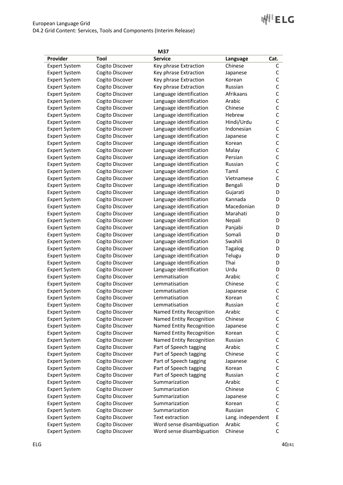| M37                                          |                 |                           |                   |              |
|----------------------------------------------|-----------------|---------------------------|-------------------|--------------|
| Provider                                     | Tool            | <b>Service</b>            | Language          | Cat.         |
| <b>Expert System</b>                         | Cogito Discover | Key phrase Extraction     | Chinese           | С            |
| <b>Expert System</b>                         | Cogito Discover | Key phrase Extraction     | Japanese          | C            |
| <b>Expert System</b>                         | Cogito Discover | Key phrase Extraction     | Korean            | $\mathsf{C}$ |
| <b>Expert System</b>                         | Cogito Discover | Key phrase Extraction     | Russian           | $\mathsf{C}$ |
| <b>Expert System</b>                         | Cogito Discover | Language identification   | Afrikaans         | $\mathsf C$  |
| <b>Expert System</b>                         | Cogito Discover | Language identification   | Arabic            | $\mathsf C$  |
| <b>Expert System</b>                         | Cogito Discover | Language identification   | Chinese           | $\mathsf{C}$ |
| <b>Expert System</b>                         | Cogito Discover | Language identification   | Hebrew            | $\mathsf C$  |
| <b>Expert System</b>                         | Cogito Discover | Language identification   | Hindi/Urdu        | $\mathsf C$  |
| <b>Expert System</b>                         | Cogito Discover | Language identification   | Indonesian        | $\mathsf C$  |
| <b>Expert System</b>                         | Cogito Discover | Language identification   | Japanese          | $\mathsf C$  |
| <b>Expert System</b>                         | Cogito Discover | Language identification   | Korean            | C            |
| <b>Expert System</b>                         | Cogito Discover | Language identification   | Malay             | C            |
| <b>Expert System</b>                         | Cogito Discover | Language identification   | Persian           | C            |
| <b>Expert System</b>                         | Cogito Discover | Language identification   | Russian           | C            |
| <b>Expert System</b>                         | Cogito Discover | Language identification   | Tamil             | C            |
| <b>Expert System</b>                         | Cogito Discover | Language identification   | Vietnamese        | C            |
| <b>Expert System</b>                         | Cogito Discover | Language identification   | Bengali           | D            |
| <b>Expert System</b>                         | Cogito Discover | Language identification   | Gujarati          | D            |
| <b>Expert System</b>                         | Cogito Discover | Language identification   | Kannada           | D            |
| <b>Expert System</b>                         | Cogito Discover | Language identification   | Macedonian        | D            |
| <b>Expert System</b>                         | Cogito Discover | Language identification   | Marahati          | D            |
| <b>Expert System</b>                         | Cogito Discover | Language identification   | Nepali            | D            |
| <b>Expert System</b>                         | Cogito Discover | Language identification   | Panjabi           | D            |
| <b>Expert System</b>                         | Cogito Discover | Language identification   | Somali            | D            |
| <b>Expert System</b>                         | Cogito Discover | Language identification   | Swahili           | D            |
| <b>Expert System</b>                         | Cogito Discover | Language identification   | <b>Tagalog</b>    | D            |
| <b>Expert System</b>                         | Cogito Discover | Language identification   | Telugu            | D            |
| <b>Expert System</b>                         | Cogito Discover | Language identification   | Thai              | D            |
| <b>Expert System</b>                         | Cogito Discover | Language identification   | Urdu              | D            |
| <b>Expert System</b>                         | Cogito Discover | Lemmatisation             | Arabic            | C            |
| <b>Expert System</b>                         | Cogito Discover | Lemmatisation             | Chinese           | $\mathsf{C}$ |
| <b>Expert System</b>                         | Cogito Discover | Lemmatisation             | Japanese          | $\mathsf{C}$ |
| <b>Expert System</b>                         | Cogito Discover | Lemmatisation             | Korean            | $\mathsf{C}$ |
| <b>Expert System</b>                         | Cogito Discover | Lemmatisation             | Russian           | $\mathsf{C}$ |
| <b>Expert System</b>                         | Cogito Discover | Named Entity Recognition  | Arabic            | C            |
| <b>Expert System</b>                         | Cogito Discover | Named Entity Recognition  | Chinese           | C            |
| <b>Expert System</b>                         | Cogito Discover | Named Entity Recognition  | Japanese          | C            |
| <b>Expert System</b>                         | Cogito Discover | Named Entity Recognition  | Korean            | C            |
| <b>Expert System</b>                         | Cogito Discover | Named Entity Recognition  | Russian           | $\mathsf C$  |
| <b>Expert System</b>                         | Cogito Discover | Part of Speech tagging    | Arabic            | С            |
| <b>Expert System</b>                         | Cogito Discover | Part of Speech tagging    | Chinese           | С            |
| <b>Expert System</b>                         | Cogito Discover | Part of Speech tagging    | Japanese          | C            |
| <b>Expert System</b>                         | Cogito Discover | Part of Speech tagging    | Korean            | C            |
| <b>Expert System</b>                         | Cogito Discover | Part of Speech tagging    | Russian           | C            |
|                                              | Cogito Discover | Summarization             | Arabic            | C            |
| <b>Expert System</b><br><b>Expert System</b> | Cogito Discover | Summarization             | Chinese           | C            |
|                                              |                 | Summarization             |                   |              |
| <b>Expert System</b>                         | Cogito Discover |                           | Japanese          | С            |
| <b>Expert System</b>                         | Cogito Discover | Summarization             | Korean            | С            |
| <b>Expert System</b>                         | Cogito Discover | Summarization             | Russian           | $\mathsf C$  |
| <b>Expert System</b>                         | Cogito Discover | Text extraction           | Lang. independent | E            |
| <b>Expert System</b>                         | Cogito Discover | Word sense disambiguation | Arabic            | C            |
| <b>Expert System</b>                         | Cogito Discover | Word sense disambiguation | Chinese           | C            |